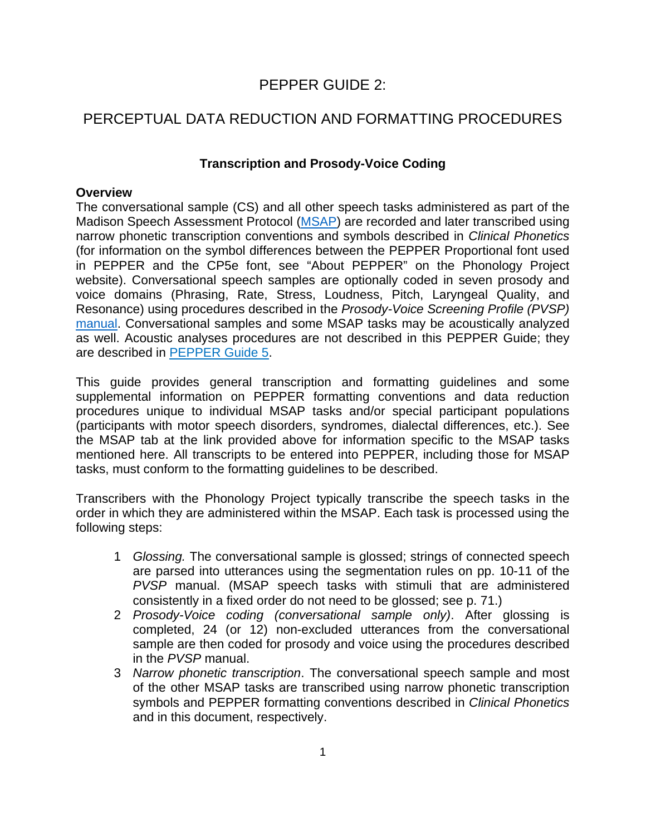# PEPPER GUIDE 2:

# PERCEPTUAL DATA REDUCTION AND FORMATTING PROCEDURES

# **Transcription and Prosody-Voice Coding**

## **Overview**

The conversational sample (CS) and all other speech tasks administered as part of the Madison Speech Assessment Protocol [\(MSAP](https://phonology.waisman.wisc.edu/measures/)) are recorded and later transcribed using narrow phonetic transcription conventions and symbols described in *Clinical Phonetics*  (for information on the symbol differences between the PEPPER Proportional font used in PEPPER and the CP5e font, see "About PEPPER" on the Phonology Project website). Conversational speech samples are optionally coded in seven prosody and voice domains (Phrasing, Rate, Stress, Loudness, Pitch, Laryngeal Quality, and Resonance) using procedures described in the *Prosody-Voice Screening Profile (PVSP)* [manual](https://uwmadison.box.com/s/dw2pvjnd0cjxw989e5m4ew019z39elg2). Conversational samples and some MSAP tasks may be acoustically analyzed as well. Acoustic analyses procedures are not described in this PEPPER Guide; they are described in [PEPPER Guide 5.](https://phonology.waisman.wisc.edu/wp-content/uploads/sites/532/2019/07/PEPPER-Guide-5.pdf)

This guide provides general transcription and formatting guidelines and some supplemental information on PEPPER formatting conventions and data reduction procedures unique to individual MSAP tasks and/or special participant populations (participants with motor speech disorders, syndromes, dialectal differences, etc.). See the MSAP tab at the link provided above for information specific to the MSAP tasks mentioned here. All transcripts to be entered into PEPPER, including those for MSAP tasks, must conform to the formatting guidelines to be described.

Transcribers with the Phonology Project typically transcribe the speech tasks in the order in which they are administered within the MSAP. Each task is processed using the following steps:

- 1 *Glossing.* The conversational sample is glossed; strings of connected speech are parsed into utterances using the segmentation rules on pp. 10-11 of the *PVSP* manual. (MSAP speech tasks with stimuli that are administered consistently in a fixed order do not need to be glossed; see p. 71.)
- 2 *Prosody-Voice coding (conversational sample only)*. After glossing is completed, 24 (or 12) non-excluded utterances from the conversational sample are then coded for prosody and voice using the procedures described in the *PVSP* manual.
- 3 *Narrow phonetic transcription*. The conversational speech sample and most of the other MSAP tasks are transcribed using narrow phonetic transcription symbols and PEPPER formatting conventions described in *Clinical Phonetics* and in this document, respectively.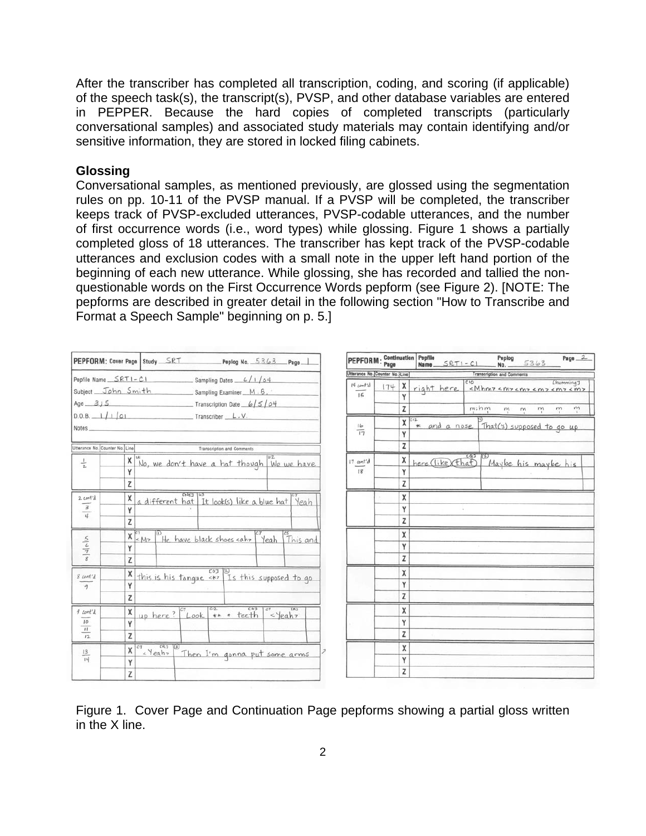After the transcriber has completed all transcription, coding, and scoring (if applicable) of the speech task(s), the transcript(s), PVSP, and other database variables are entered in PEPPER. Because the hard copies of completed transcripts (particularly conversational samples) and associated study materials may contain identifying and/or sensitive information, they are stored in locked filing cabinets.

#### **Glossing**

Conversational samples, as mentioned previously, are glossed using the segmentation rules on pp. 10-11 of the PVSP manual. If a PVSP will be completed, the transcriber keeps track of PVSP-excluded utterances, PVSP-codable utterances, and the number of first occurrence words (i.e., word types) while glossing. Figure 1 shows a partially completed gloss of 18 utterances. The transcriber has kept track of the PVSP-codable utterances and exclusion codes with a small note in the upper left hand portion of the beginning of each new utterance. While glossing, she has recorded and tallied the nonquestionable words on the First Occurrence Words pepform (see Figure 2). [NOTE: The pepforms are described in greater detail in the following section "How to Transcribe and Format a Speech Sample" beginning on p. 5.]

| PEPFORM: Cover Page Study SRT                             |   |                            |                                | Peplog No. $5363$               | Page                                            |
|-----------------------------------------------------------|---|----------------------------|--------------------------------|---------------------------------|-------------------------------------------------|
| Pepfile Name __ SRT1-C1                                   |   |                            |                                | $Sampling Dates = 6/1/64$       |                                                 |
| Subject John Smith                                        |   |                            |                                | Sampling Examiner M.B.          |                                                 |
| Age $3,5$                                                 |   |                            |                                | $T$ Transcription Date $6/5/04$ |                                                 |
| $D.D.B. \_ 1/1/01$<br>Notes                               |   |                            | Transcriber L.V.               |                                 |                                                 |
| Utterance No. Counter No. Line                            |   |                            |                                | Transcription and Comments      |                                                 |
| $\frac{1}{2}$                                             | χ |                            |                                |                                 | No, we don't have a hat though We we have       |
|                                                           | γ |                            |                                |                                 |                                                 |
|                                                           | Z |                            |                                |                                 |                                                 |
| $2$ cont'd<br>$\ensuremath{\mathsf{3}}$<br>$\overline{u}$ | X |                            | <b>CNET</b><br>Tü <sup>1</sup> |                                 | a different hat It look(s) like a blue hat Yeah |
|                                                           | Y |                            |                                |                                 |                                                 |
|                                                           | Z |                            |                                |                                 |                                                 |
|                                                           | χ | ക<br>< M                   | He have black shoes cahr       |                                 | $\overline{c}$<br>Yeah<br>This and              |
| $rac{5}{4}$                                               | Υ |                            |                                |                                 |                                                 |
|                                                           | Z |                            |                                |                                 |                                                 |
| % cont'd                                                  | x |                            | <b>COT</b>                     |                                 | this is his tonque <** Is this supposed to go   |
| $\overline{a}$                                            | Υ |                            |                                |                                 |                                                 |
|                                                           | Z |                            |                                |                                 |                                                 |
| $f$ cont'd                                                | X | up here?                   | C12<br>CT.<br>Look             | C@3<br>** * teeth               | CR3<br>$c\tau$<br><yeah7< td=""></yeah7<>       |
| 10                                                        | Y |                            |                                |                                 |                                                 |
| $\mathbf{H}$<br>12.                                       | Z |                            |                                |                                 |                                                 |
| 13                                                        | X | <b>CR3</b><br>ĊТ<br>«Yeahr |                                |                                 | Then I'm gonna put some arms                    |
| 14                                                        | γ |                            |                                |                                 |                                                 |
|                                                           | Z |                            |                                |                                 |                                                 |

| PEPFORM: Continuation Pepfile<br>Page |     | Name. | $SRTI-CI$                         | Peplog<br>No.     |                                                                           | 5363 | $Page_2$            |            |  |
|---------------------------------------|-----|-------|-----------------------------------|-------------------|---------------------------------------------------------------------------|------|---------------------|------------|--|
| Utterance No. Counter No. Line        |     |       | <b>Transcription and Comments</b> |                   |                                                                           |      |                     |            |  |
| $14$ cont'd                           | 174 | χ     | right here                        | $\overline{c}$ 10 | «Mhm7 <m7 <m7="" <m7<="" th=""><th></th><th></th><th>Chumming J</th></m7> |      |                     | Chumming J |  |
| 15                                    |     | Y     |                                   |                   |                                                                           |      |                     |            |  |
|                                       |     | z     |                                   |                   | m: h m<br>т                                                               | m    | ņ                   | ņ<br>m     |  |
| 16                                    |     | X     | C12<br>$\ast$                     | and a nose        | U)<br>That('s) supposed to go up                                          |      |                     |            |  |
| 17                                    |     | Y     |                                   |                   |                                                                           |      |                     |            |  |
|                                       |     | Z     |                                   |                   |                                                                           |      |                     |            |  |
| $17$ cont'd                           |     | χ     | here (like that                   | CQ3               | (5)                                                                       |      | Maybe his maybe his |            |  |
| 18                                    |     | Υ     |                                   |                   |                                                                           |      |                     |            |  |
|                                       |     | Z     |                                   |                   |                                                                           |      |                     |            |  |
|                                       |     | χ     |                                   |                   |                                                                           |      |                     |            |  |
|                                       |     | Y     |                                   | ŧ                 |                                                                           |      |                     |            |  |
|                                       |     | Z     |                                   |                   |                                                                           |      |                     |            |  |
|                                       |     | X     |                                   |                   |                                                                           |      |                     |            |  |
|                                       |     | Y     |                                   |                   |                                                                           |      |                     |            |  |
|                                       |     | Z     |                                   |                   |                                                                           |      |                     |            |  |
|                                       |     | χ     |                                   |                   |                                                                           |      |                     |            |  |
|                                       |     | Υ     |                                   |                   |                                                                           |      |                     |            |  |
|                                       |     | z     |                                   |                   |                                                                           |      |                     |            |  |
|                                       |     | χ     |                                   |                   |                                                                           |      |                     |            |  |
|                                       |     | Υ     |                                   |                   |                                                                           |      |                     |            |  |
|                                       |     | Z     |                                   |                   |                                                                           |      |                     |            |  |
|                                       |     | X     |                                   |                   |                                                                           |      |                     |            |  |
|                                       |     | Υ     |                                   |                   |                                                                           |      |                     |            |  |
|                                       |     | Z     |                                   |                   |                                                                           |      |                     |            |  |

Figure 1. Cover Page and Continuation Page pepforms showing a partial gloss written in the X line.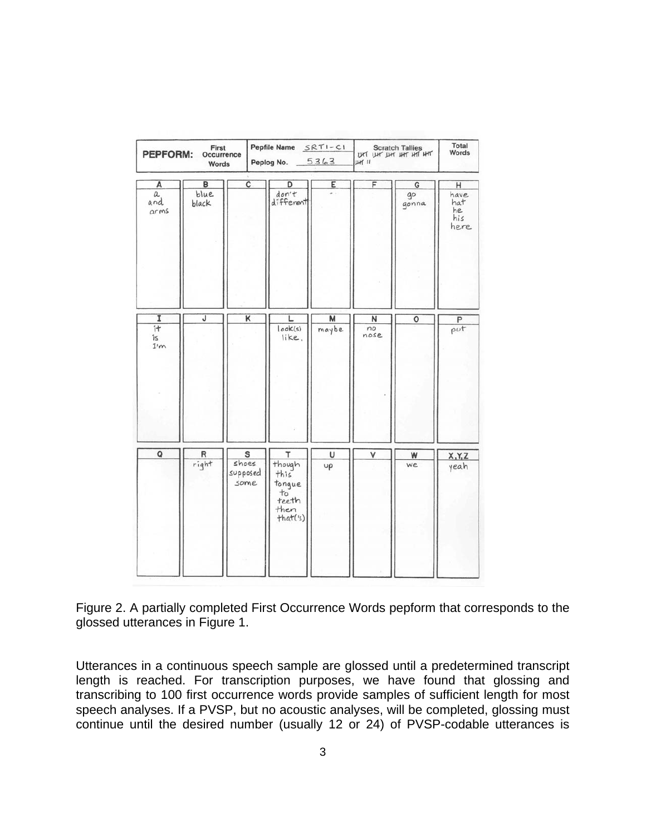| First<br>PEPFORM:<br>Occurrence<br>Words |                    |                                | Pepfile Name SRTI-CI<br>Peplog No. 5363                           |            | Scratch Tallies<br>UHT UHT UHT UHT HHT<br>$µH$ $II$ | Total<br>Words   |                                       |
|------------------------------------------|--------------------|--------------------------------|-------------------------------------------------------------------|------------|-----------------------------------------------------|------------------|---------------------------------------|
| А<br>$\it a$<br>and<br>arms              | B<br>blue<br>black | $\overline{\mathsf{c}}$        | D<br>don't<br>different                                           | E<br>. .   | F                                                   | G<br>go<br>gonna | H<br>have<br>hat<br>he<br>his<br>here |
| I<br>i<br>is<br>I'm                      | J                  | K                              | L<br> ook(s) <br>like,                                            | M<br>maybe | N<br>no<br>nose                                     | $\circ$          | P<br>pvt                              |
| $\mathsf Q$                              | R<br>right         | S<br>shoes<br>supposed<br>some | т<br>though<br>this<br>tonque<br>$+5$<br>teeth<br>then<br>that(s) | U<br>υρ    | v                                                   | W<br><b>we</b>   | X, Y, Z<br>yeah                       |

Figure 2. A partially completed First Occurrence Words pepform that corresponds to the glossed utterances in Figure 1.

Utterances in a continuous speech sample are glossed until a predetermined transcript length is reached. For transcription purposes, we have found that glossing and transcribing to 100 first occurrence words provide samples of sufficient length for most speech analyses. If a PVSP, but no acoustic analyses, will be completed, glossing must continue until the desired number (usually 12 or 24) of PVSP-codable utterances is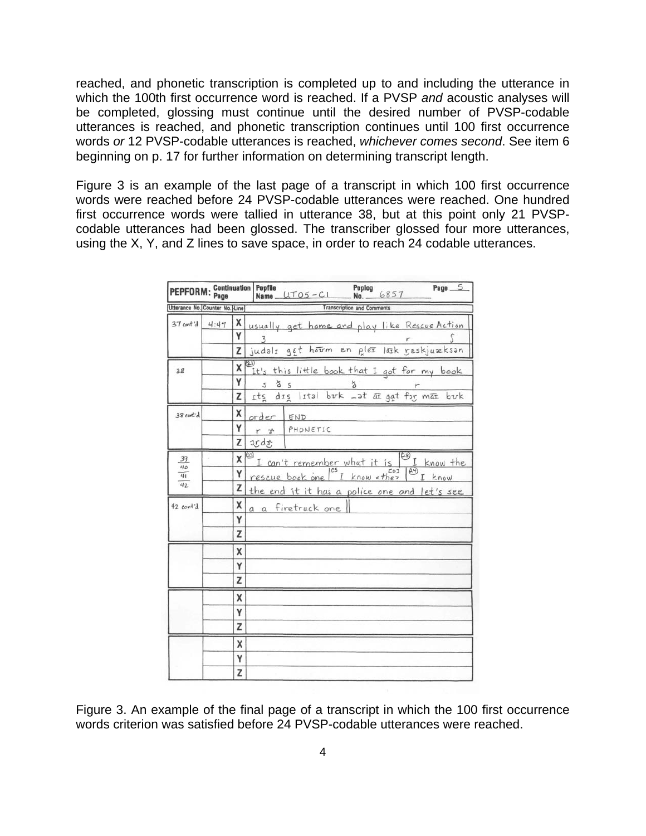reached, and phonetic transcription is completed up to and including the utterance in which the 100th first occurrence word is reached. If a PVSP *and* acoustic analyses will be completed, glossing must continue until the desired number of PVSP-codable utterances is reached, and phonetic transcription continues until 100 first occurrence words *or* 12 PVSP-codable utterances is reached, *whichever comes second*. See item 6 beginning on p. 17 for further information on determining transcript length.

Figure 3 is an example of the last page of a transcript in which 100 first occurrence words were reached before 24 PVSP-codable utterances were reached. One hundred first occurrence words were tallied in utterance 38, but at this point only 21 PVSPcodable utterances had been glossed. The transcriber glossed four more utterances, using the X, Y, and Z lines to save space, in order to reach 24 codable utterances.

| PEPFORM: Continuation Pepfile  |      |         | $Page_5$<br>Peplog<br>$Name$ $UTO5 - C1$<br>6857<br><b>Nn</b>                                   |
|--------------------------------|------|---------|-------------------------------------------------------------------------------------------------|
| Utterance No. Counter No. Line |      |         | <b>Transcription and Comments</b>                                                               |
| $37 \text{ cent}'$ d           | 4:47 | Y<br>Z  | X usually get home and play like Rescue Action<br>3<br>judals get horm en plex lask reskjuæksan |
|                                |      |         |                                                                                                 |
| 38                             |      | x<br>Y  | It's this little book that I got for my book                                                    |
|                                |      | z       | 8S<br>$\mathcal{S}$<br>Its dis lital buck at at gat for mat buck                                |
| 38 cont'd                      |      | x       | order END                                                                                       |
|                                |      | γ<br>z  | PHONETIC<br>$r \gamma$<br>ords                                                                  |
|                                |      |         |                                                                                                 |
| 39<br>40                       |      | 10<br>x | হিট<br>I can't remember what it is<br>I know the<br>$\overline{E}$<br><b>Col</b>                |
| 41<br>42                       |      | γ<br>z  | rescue book one ["I know < they<br>I know                                                       |
| 42 cont'd                      |      | x       | the end it it has a police one and let's see<br>a a firetruck one                               |
|                                |      | Y       |                                                                                                 |
|                                |      | Z       |                                                                                                 |
|                                |      | X       |                                                                                                 |
|                                |      | Y       |                                                                                                 |
|                                |      | z       |                                                                                                 |
|                                |      | X       |                                                                                                 |
|                                |      | Y       |                                                                                                 |
|                                |      | z       |                                                                                                 |
|                                |      | χ       |                                                                                                 |
|                                |      | Y       |                                                                                                 |
|                                |      | Z       |                                                                                                 |

Figure 3. An example of the final page of a transcript in which the 100 first occurrence words criterion was satisfied before 24 PVSP-codable utterances were reached.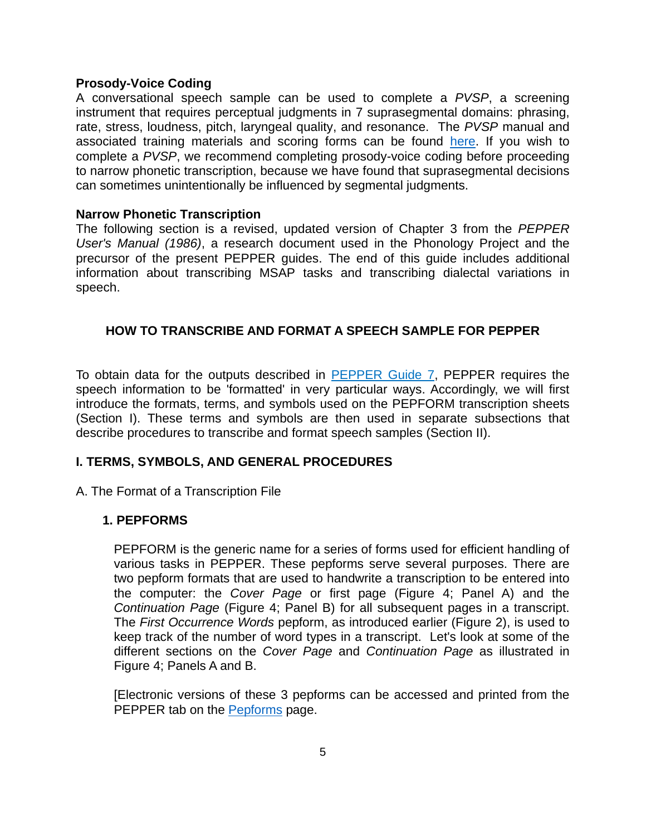#### **Prosody-Voice Coding**

A conversational speech sample can be used to complete a *PVSP*, a screening instrument that requires perceptual judgments in 7 suprasegmental domains: phrasing, rate, stress, loudness, pitch, laryngeal quality, and resonance. The *PVSP* manual and associated training materials and scoring forms can be found [here.](https://uwmadison.box.com/s/3zom8edo6hzmhdr8huxx04fr33k7tlxu) If you wish to complete a *PVSP*, we recommend completing prosody-voice coding before proceeding to narrow phonetic transcription, because we have found that suprasegmental decisions can sometimes unintentionally be influenced by segmental judgments.

#### **Narrow Phonetic Transcription**

The following section is a revised, updated version of Chapter 3 from the *PEPPER User's Manual (1986)*, a research document used in the Phonology Project and the precursor of the present PEPPER guides. The end of this guide includes additional information about transcribing MSAP tasks and transcribing dialectal variations in speech.

## **HOW TO TRANSCRIBE AND FORMAT A SPEECH SAMPLE FOR PEPPER**

To obtain data for the outputs described in [PEPPER Guide 7](https://phonology.waisman.wisc.edu/wp-content/uploads/sites/532/2019/07/Pepper-Guide-7.pdf), PEPPER requires the speech information to be 'formatted' in very particular ways. Accordingly, we will first introduce the formats, terms, and symbols used on the PEPFORM transcription sheets (Section I). These terms and symbols are then used in separate subsections that describe procedures to transcribe and format speech samples (Section II).

### **I. TERMS, SYMBOLS, AND GENERAL PROCEDURES**

A. The Format of a Transcription File

### **1. PEPFORMS**

PEPFORM is the generic name for a series of forms used for efficient handling of various tasks in PEPPER. These pepforms serve several purposes. There are two pepform formats that are used to handwrite a transcription to be entered into the computer: the *Cover Page* or first page (Figure 4; Panel A) and the *Continuation Page* (Figure 4; Panel B) for all subsequent pages in a transcript. The *First Occurrence Words* pepform, as introduced earlier (Figure 2), is used to keep track of the number of word types in a transcript. Let's look at some of the different sections on the *Cover Page* and *Continuation Page* as illustrated in Figure 4; Panels A and B.

[Electronic versions of these 3 pepforms can be accessed and printed from the PEPPER tab on the [Pepforms](https://phonology.waisman.wisc.edu/pepforms/) page.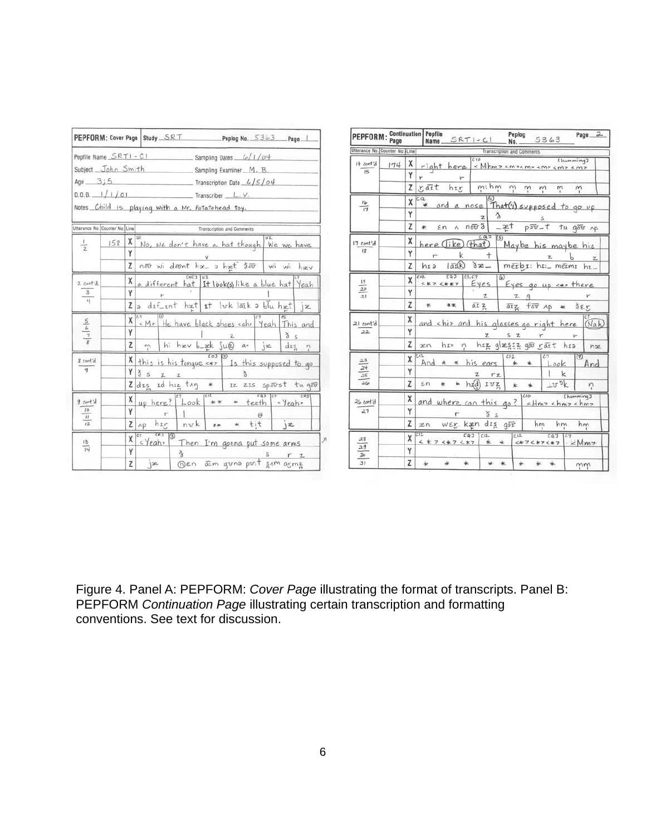|                 |                                                |                                                   |              |                                                                  | PEPFORM: Cover Page Study SRT Peplog No. 5363 Page                |
|-----------------|------------------------------------------------|---------------------------------------------------|--------------|------------------------------------------------------------------|-------------------------------------------------------------------|
|                 | Pepfile Name $SRTI - CI$<br>Subject John Smith |                                                   |              | Sampling Dates $\frac{L}{c}$ / 1 / 04<br>Sampling Examiner M. B. |                                                                   |
|                 | Age $3;5$                                      |                                                   |              | $Transcription$ Date $6/5/04$                                    |                                                                   |
|                 | $D.0.8.$ $1/1/01$                              |                                                   |              | Transcriber L.V.                                                 |                                                                   |
|                 |                                                | Notes Child is playing with a Mr. Potatohead toy. |              |                                                                  |                                                                   |
|                 | Utterance No. Counter No. Line                 |                                                   |              | <b>Transcription and Comments</b>                                |                                                                   |
| L               | χ<br>158                                       | $\mathbf{u}$                                      |              |                                                                  | No, we don't have a hat though We we have                         |
| $\overline{2}$  | Υ                                              |                                                   |              |                                                                  |                                                                   |
|                 | Z                                              |                                                   |              |                                                                  | nou wi dount has a hast dout wi wi haev                           |
| 2 cont'd        | x                                              |                                                   | $CNE3$ $ u3$ |                                                                  | a different hat It look(s) like a blue hat Yeah                   |
| 3<br>4          | γ                                              | ٣                                                 |              |                                                                  |                                                                   |
|                 |                                                |                                                   |              |                                                                  | $Z$ a dif int hat it like laik a blu hat ja                       |
| $\frac{5}{6}$   | χ                                              | 67                                                |              |                                                                  | « M7 He have black shoes cahr Yeah This and                       |
|                 | γ                                              |                                                   |              |                                                                  | ðs                                                                |
|                 | Z                                              |                                                   |              | m   hi hæv b_æk su@ a>   jæ                                      | $dx_{n}$ ?                                                        |
| & cont'd        | x                                              |                                                   |              | $\sqrt{2}$                                                       | this is his tongue $\langle \star \rangle$ Is this supposed to go |
| $\mathbf{q}$    | Y                                              | 852<br>Z                                          |              |                                                                  |                                                                   |
|                 | z                                              | $dis$ id $hiz$ they *                             |              |                                                                  | IZ ZIS Spoorst tu good                                            |
| 9 cont'd        | X                                              | up here? $2^{c_7}$ Look ** * teeth eyeah.         |              |                                                                  | $CQJ$ $C7$ $CRJ$                                                  |
| 10              | Y                                              |                                                   |              | Θ                                                                |                                                                   |
| 12              | Z                                              | Ap h <sub>If</sub>                                | nvk          | tit<br>$+$                                                       | jæ                                                                |
| $\frac{13}{14}$ | χ                                              | 583<br>$\sqrt{3}$<br><yeah></yeah>                |              | Then I'm gonna put some arms                                     |                                                                   |
|                 | γ                                              | $\times$                                          |              |                                                                  |                                                                   |
|                 | Z                                              | 3e                                                |              | Den aim guna puit sam armz                                       |                                                                   |

| PEPFORM: Continuation Pepfile                                    |     |                |                                             | Name SRTI-CI        |                                                |               | Peplog<br>No.        |                                   | 5363           |                                       | $Page_2$                                                                                         |
|------------------------------------------------------------------|-----|----------------|---------------------------------------------|---------------------|------------------------------------------------|---------------|----------------------|-----------------------------------|----------------|---------------------------------------|--------------------------------------------------------------------------------------------------|
| Utterance No. Counter No. Line                                   |     |                |                                             |                     |                                                |               |                      | <b>Transcription and Comments</b> |                |                                       |                                                                                                  |
| 14 cont'd<br>15                                                  | 174 | x              | right here                                  |                     | $\overline{c}$ io                              |               |                      |                                   |                | [humming]<br>«Mhmz cmzcmz cmz cmz cmz |                                                                                                  |
|                                                                  |     | Y              | ۳                                           | v-                  |                                                |               |                      |                                   |                |                                       |                                                                                                  |
|                                                                  |     | Z              | raīt                                        | $h_{LT}$            |                                                | $m: h_m$      | $\tilde{\gamma}$     | m                                 |                |                                       | m                                                                                                |
| 16<br>$\overline{17}$                                            |     | χ              | C12<br>¥.                                   | and a nose          |                                                |               |                      |                                   |                |                                       | That(s) supposed to go up                                                                        |
|                                                                  |     | Υ              |                                             |                     | z                                              | ð             |                      |                                   |                |                                       |                                                                                                  |
|                                                                  |     | Z              | ×<br>En                                     |                     | $n \overline{\delta v} \delta$                 |               | $ \frac{2e^{t}}{h}$  |                                   |                |                                       | pou-t tu gou np                                                                                  |
| I7 cont'd                                                        |     | χ              | here                                        | Tike (that)         |                                                | $\circledS$   |                      |                                   |                |                                       | Maybe his maybe his                                                                              |
| $\overline{18}$                                                  |     | Υ              |                                             | k                   |                                                | $^{+}$        |                      |                                   |                |                                       | Z                                                                                                |
|                                                                  |     | $\overline{z}$ | hra                                         | $l$ $\overline{ab}$ | $3x -$                                         |               |                      |                                   |                |                                       | métbi: hi: méimi hi                                                                              |
| 19                                                               |     | X              | C12<br>< * 7 < * * 7                        | EQJ                 | 05,07<br>Eyes                                  |               | $\overline{\omega}$  |                                   |                |                                       | Eyes go up <** there                                                                             |
| 20<br>21                                                         |     | Y              |                                             |                     |                                                | z             |                      | $\mathbb{Z}$<br>- q               |                |                                       |                                                                                                  |
|                                                                  |     | Z              | $\ast$                                      | 平米                  | āī z                                           |               |                      | arz for Ap                        |                | $\ast$                                | SET                                                                                              |
| 21 cont'd                                                        |     | x              | and <hi> and his glasses go right here</hi> |                     |                                                |               |                      |                                   |                |                                       | (Nah                                                                                             |
| 22                                                               |     | Y              |                                             |                     |                                                | Z             | Ś.                   | $\mathbb{Z}$                      |                |                                       |                                                                                                  |
|                                                                  |     | Z              | $x_{n}$                                     | hr <sub>2</sub>     | Ň,                                             |               |                      | hiz glæssz gou rait               |                | hra                                   | næ                                                                                               |
|                                                                  |     | X              | C12<br>And                                  | 元<br>#              | his ears                                       |               | C <sub>12</sub><br>* | ÷.                                | $\overline{c}$ | Look                                  | (7)<br>And                                                                                       |
| $\frac{23}{24}$ $\frac{25}{26}$                                  |     | Y              |                                             |                     | z                                              | rz            |                      |                                   |                | k                                     |                                                                                                  |
|                                                                  |     | Z              | εn                                          |                     | $h$ $f$ $\left(\frac{1}{e}\right)$ $I$ $v$ $z$ |               | $\star$              | $\frac{1}{2}$                     |                | $\pm v$ %                             | ņ                                                                                                |
| 26 cant'd                                                        |     | χ              | and where can this go?                      |                     |                                                |               |                      | CID                               |                |                                       | [humming]<br>$<$ Hm <sub>7</sub> $<$ hm <sub>7</sub> $<$ hm <sub>7</sub>                         |
| 27                                                               |     | Υ              |                                             |                     |                                                | ð s           |                      |                                   |                |                                       |                                                                                                  |
|                                                                  |     | Z              | 22n                                         | WEY Kæn dig gov     |                                                |               |                      |                                   | hm             | hm                                    | hm                                                                                               |
| $\ensuremath{\mathcal{A}}\xspace\ensuremath{\mathcal{S}}\xspace$ |     | X              | 212<br>$4 * 7 4 * 7 4 * 7$                  |                     | CQJ                                            | $C12-$<br>* * |                      | C12                               |                | CQJ                                   | $<$ $\times$ $7$ $<$ $\times$ $7$ $\times$ $\times$ $\times$ $\times$ $\times$ $\times$ $\times$ |
| 29<br>30                                                         |     | Y              |                                             |                     |                                                |               |                      |                                   |                |                                       |                                                                                                  |
| $\overline{31}$                                                  |     | Z              | ÷                                           | یز                  | 女                                              |               |                      |                                   |                |                                       | mή                                                                                               |

Figure 4. Panel A: PEPFORM: *Cover Page* illustrating the format of transcripts. Panel B: PEPFORM *Continuation Page* illustrating certain transcription and formatting conventions. See text for discussion.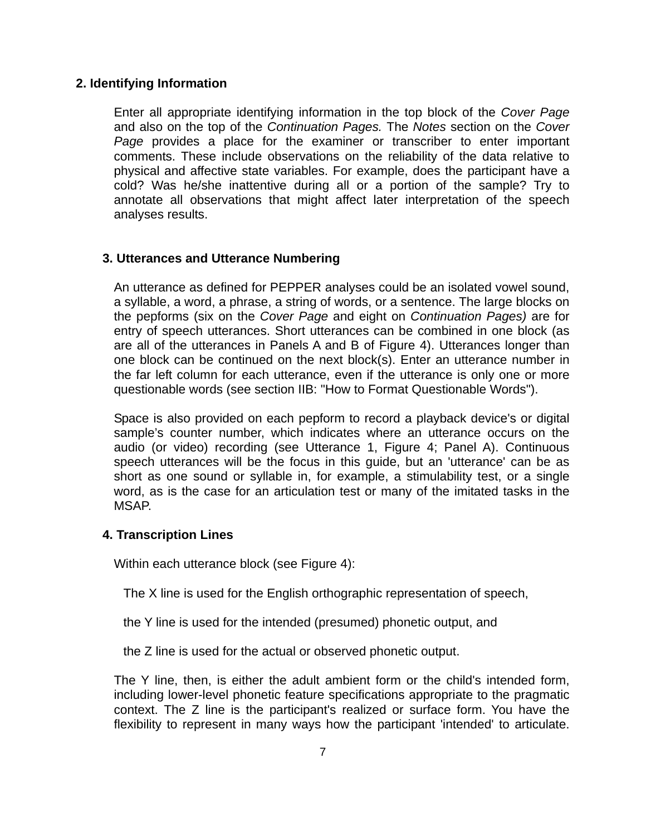## **2. Identifying Information**

Enter all appropriate identifying information in the top block of the *Cover Page*  and also on the top of the *Continuation Pages.* The *Notes* section on the *Cover Page* provides a place for the examiner or transcriber to enter important comments. These include observations on the reliability of the data relative to physical and affective state variables. For example, does the participant have a cold? Was he/she inattentive during all or a portion of the sample? Try to annotate all observations that might affect later interpretation of the speech analyses results.

## **3. Utterances and Utterance Numbering**

An utterance as defined for PEPPER analyses could be an isolated vowel sound, a syllable, a word, a phrase, a string of words, or a sentence. The large blocks on the pepforms (six on the *Cover Page* and eight on *Continuation Pages)* are for entry of speech utterances. Short utterances can be combined in one block (as are all of the utterances in Panels A and B of Figure 4). Utterances longer than one block can be continued on the next block(s). Enter an utterance number in the far left column for each utterance, even if the utterance is only one or more questionable words (see section IIB: "How to Format Questionable Words").

Space is also provided on each pepform to record a playback device's or digital sample's counter number, which indicates where an utterance occurs on the audio (or video) recording (see Utterance 1, Figure 4; Panel A). Continuous speech utterances will be the focus in this guide, but an 'utterance' can be as short as one sound or syllable in, for example, a stimulability test, or a single word, as is the case for an articulation test or many of the imitated tasks in the MSAP.

### **4. Transcription Lines**

Within each utterance block (see Figure 4):

The X line is used for the English orthographic representation of speech,

the Y line is used for the intended (presumed) phonetic output, and

the Z line is used for the actual or observed phonetic output.

The Y line, then, is either the adult ambient form or the child's intended form, including lower-level phonetic feature specifications appropriate to the pragmatic context. The Z line is the participant's realized or surface form. You have the flexibility to represent in many ways how the participant 'intended' to articulate.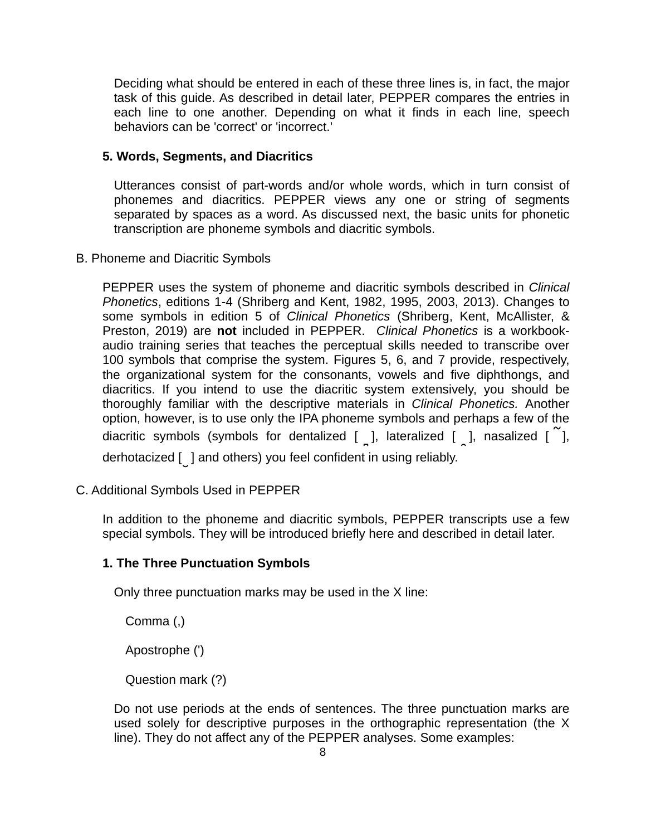Deciding what should be entered in each of these three lines is, in fact, the major task of this guide. As described in detail later, PEPPER compares the entries in each line to one another. Depending on what it finds in each line, speech behaviors can be 'correct' or 'incorrect.'

## **5. Words, Segments, and Diacritics**

Utterances consist of part-words and/or whole words, which in turn consist of phonemes and diacritics. PEPPER views any one or string of segments separated by spaces as a word. As discussed next, the basic units for phonetic transcription are phoneme symbols and diacritic symbols.

### B. Phoneme and Diacritic Symbols

PEPPER uses the system of phoneme and diacritic symbols described in *Clinical Phonetics*, editions 1-4 (Shriberg and Kent, 1982, 1995, 2003, 2013). Changes to some symbols in edition 5 of *Clinical Phonetics* (Shriberg, Kent, McAllister, & Preston, 2019) are **not** included in PEPPER. *Clinical Phonetics* is a workbookaudio training series that teaches the perceptual skills needed to transcribe over 100 symbols that comprise the system. Figures 5, 6, and 7 provide, respectively, the organizational system for the consonants, vowels and five diphthongs, and diacritics. If you intend to use the diacritic system extensively, you should be thoroughly familiar with the descriptive materials in *Clinical Phonetics.* Another option, however, is to use only the IPA phoneme symbols and perhaps a few of the diacritic symbols (symbols for dentalized [ **I**], lateralized [ **P**], nasalized [ **!**], derhotacized [ ] and others) you feel confident in using reliably.

C. Additional Symbols Used in PEPPER

In addition to the phoneme and diacritic symbols, PEPPER transcripts use a few special symbols. They will be introduced briefly here and described in detail later.

### **1. The Three Punctuation Symbols**

Only three punctuation marks may be used in the X line:

Comma (,)

Apostrophe (')

Question mark (?)

Do not use periods at the ends of sentences. The three punctuation marks are used solely for descriptive purposes in the orthographic representation (the X line). They do not affect any of the PEPPER analyses. Some examples: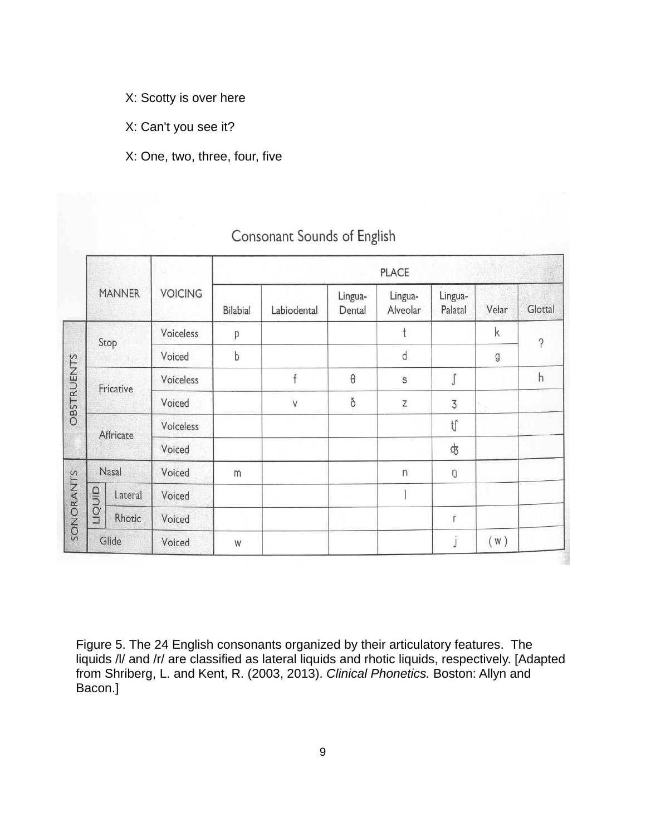- X: Scotty is over here
- X: Can't you see it?

# X: One, two, three, four, five

|           |                                             |               |                | <b>PLACE</b>    |                       |                   |                            |                             |                        |          |
|-----------|---------------------------------------------|---------------|----------------|-----------------|-----------------------|-------------------|----------------------------|-----------------------------|------------------------|----------|
|           |                                             | <b>MANNER</b> | <b>VOICING</b> | <b>Bilabial</b> | Labiodental           | Lingua-<br>Dental | Lingua-<br>Alveolar        | Lingua-<br>Palatal          | Velar                  | Glottal  |
|           |                                             |               | Voiceless      | p               |                       |                   | t                          |                             | $\mathsf k$            | $\gamma$ |
|           | Stop                                        | Voiced        | b              |                 |                       | d                 |                            | g                           |                        |          |
|           | <b>OBSTRUENTS</b><br>Fricative<br>Affricate | Voiceless     |                | f               | $\boldsymbol{\theta}$ | $\mathbb S$       | $\mathbf{r}$               |                             | h                      |          |
|           |                                             | Voiced        |                | $\vee$          | ð                     | Z                 | $\overline{3}$             | $\mathcal{L}_{\mathcal{L}}$ |                        |          |
|           |                                             | Voiceless     |                |                 |                       |                   | $\mathfrak{t}\mathfrak{f}$ |                             |                        |          |
|           |                                             |               | Voiced         |                 |                       |                   |                            | \$                          |                        |          |
|           |                                             | Nasal         | Voiced         | m               |                       |                   | $\overline{\phantom{a}}$   | ŋ                           |                        |          |
|           |                                             | Lateral       | Voiced         |                 |                       |                   |                            |                             | $\mathcal{L}^{\prime}$ |          |
| SONORANTS | dinon                                       | Rhotic        | Voiced         |                 |                       |                   |                            | r                           |                        |          |
|           |                                             | Glide         | Voiced         | W               |                       |                   |                            | J                           | (W)                    |          |

# Consonant Sounds of English

Figure 5. The 24 English consonants organized by their articulatory features. The liquids /l/ and /r/ are classified as lateral liquids and rhotic liquids, respectively. [Adapted from Shriberg, L. and Kent, R. (2003, 2013). *Clinical Phonetics.* Boston: Allyn and Bacon.]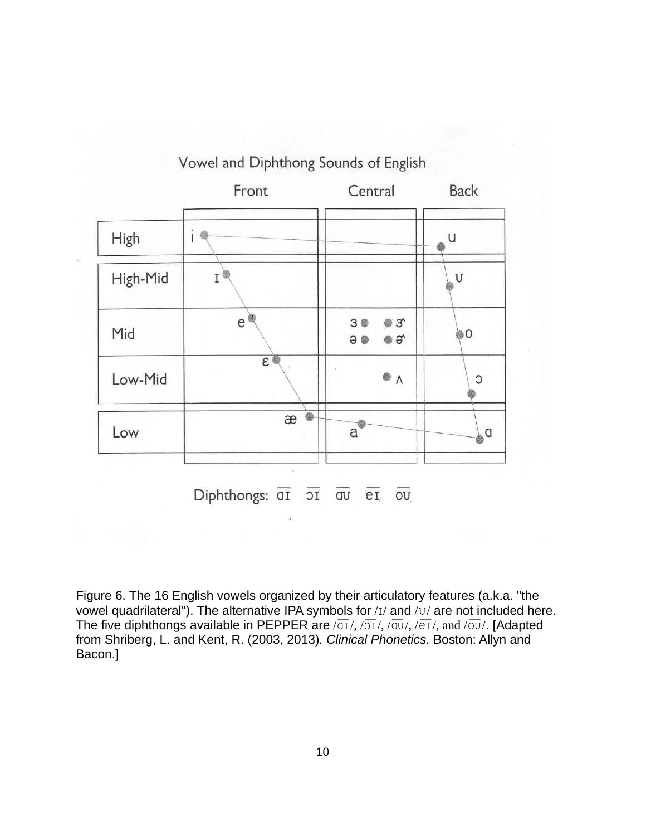

Figure 6. The 16 English vowels organized by their articulatory features (a.k.a. "the vowel quadrilateral"). The alternative IPA symbols for  $/1/$  and  $/1/$  are not included here. The five diphthongs available in PEPPER are  $\sqrt{a_1}/\sqrt{a_2}/\sqrt{a_3}/\sqrt{e_1}/$ , and  $\sqrt{a_3}/$ . [Adapted from Shriberg, L. and Kent, R. (2003, 2013)*. Clinical Phonetics.* Boston: Allyn and Bacon.]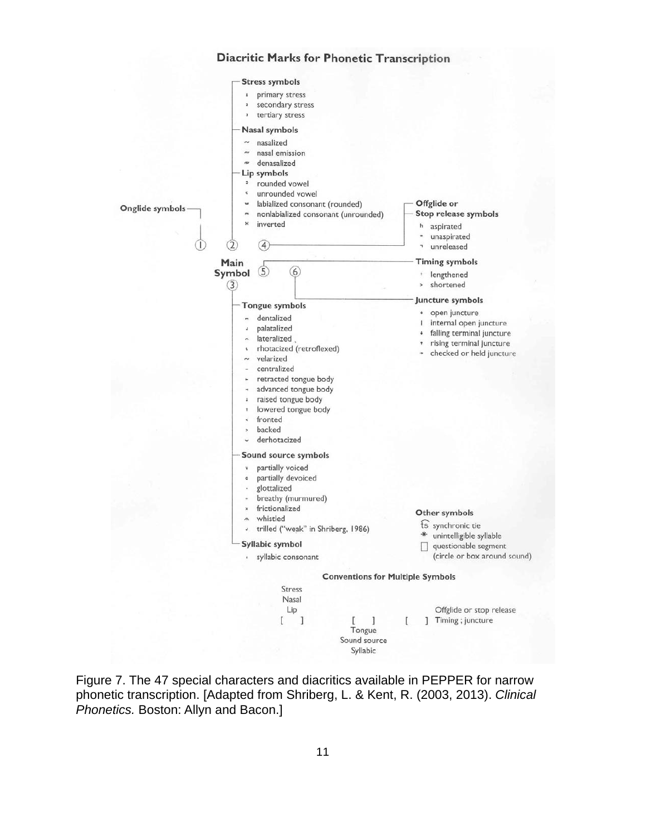## **Diacritic Marks for Phonetic Transcription**



Figure 7. The 47 special characters and diacritics available in PEPPER for narrow phonetic transcription. [Adapted from Shriberg, L. & Kent, R. (2003, 2013). *Clinical Phonetics.* Boston: Allyn and Bacon.]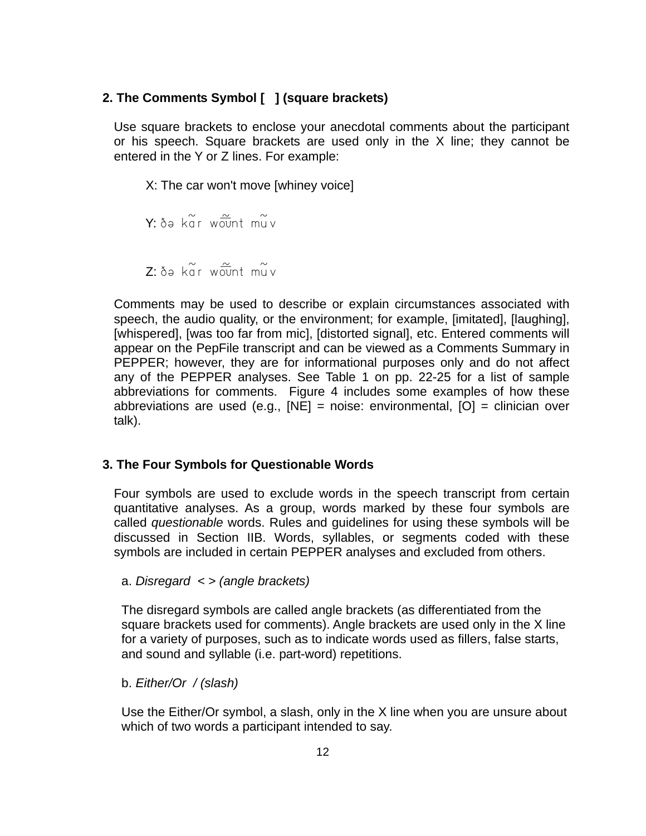## **2. The Comments Symbol [ ] (square brackets)**

Use square brackets to enclose your anecdotal comments about the participant or his speech. Square brackets are used only in the X line; they cannot be entered in the Y or Z lines. For example:

 X: The car won't move [whiney voice]  $Y: \delta \Theta$  kg r wount muy  $7.84 \times 7.8$ 

Comments may be used to describe or explain circumstances associated with speech, the audio quality, or the environment; for example, [imitated], [laughing], [whispered], [was too far from mic], [distorted signal], etc. Entered comments will appear on the PepFile transcript and can be viewed as a Comments Summary in PEPPER; however, they are for informational purposes only and do not affect any of the PEPPER analyses. See Table 1 on pp. 22-25 for a list of sample abbreviations for comments. Figure 4 includes some examples of how these abbreviations are used (e.g., [NE] = noise: environmental, [O] = clinician over talk).

### **3. The Four Symbols for Questionable Words**

Four symbols are used to exclude words in the speech transcript from certain quantitative analyses. As a group, words marked by these four symbols are called *questionable* words. Rules and guidelines for using these symbols will be discussed in Section IIB. Words, syllables, or segments coded with these symbols are included in certain PEPPER analyses and excluded from others.

a. *Disregard < > (angle brackets)* 

The disregard symbols are called angle brackets (as differentiated from the square brackets used for comments). Angle brackets are used only in the X line for a variety of purposes, such as to indicate words used as fillers, false starts, and sound and syllable (i.e. part-word) repetitions.

### b. *Either/Or / (slash)*

Use the Either/Or symbol, a slash, only in the X line when you are unsure about which of two words a participant intended to say.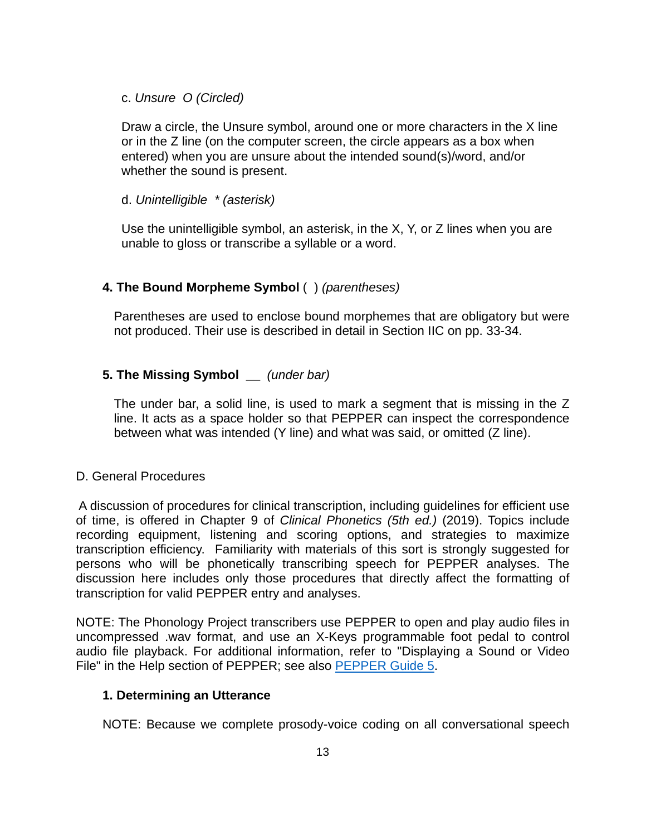## c. *Unsure O (Circled)*

Draw a circle, the Unsure symbol, around one or more characters in the X line or in the Z line (on the computer screen, the circle appears as a box when entered) when you are unsure about the intended sound(s)/word, and/or whether the sound is present.

## d. *Unintelligible \* (asterisk)*

Use the unintelligible symbol, an asterisk, in the X, Y, or Z lines when you are unable to gloss or transcribe a syllable or a word.

# **4. The Bound Morpheme Symbol** ( ) *(parentheses)*

Parentheses are used to enclose bound morphemes that are obligatory but were not produced. Their use is described in detail in Section IIC on pp. 33-34.

# **5. The Missing Symbol \_\_** *(under bar)*

The under bar, a solid line, is used to mark a segment that is missing in the Z line. It acts as a space holder so that PEPPER can inspect the correspondence between what was intended (Y line) and what was said, or omitted (Z line).

# D. General Procedures

 A discussion of procedures for clinical transcription, including guidelines for efficient use of time, is offered in Chapter 9 of *Clinical Phonetics (5th ed.)* (2019). Topics include recording equipment, listening and scoring options, and strategies to maximize transcription efficiency. Familiarity with materials of this sort is strongly suggested for persons who will be phonetically transcribing speech for PEPPER analyses. The discussion here includes only those procedures that directly affect the formatting of transcription for valid PEPPER entry and analyses.

NOTE: The Phonology Project transcribers use PEPPER to open and play audio files in uncompressed .wav format, and use an X-Keys programmable foot pedal to control audio file playback. For additional information, refer to "Displaying a Sound or Video File" in the Help section of PEPPER; see also [PEPPER Guide 5.](https://phonology.waisman.wisc.edu/wp-content/uploads/sites/532/2019/07/PEPPER-Guide-5.pdf)

# **1. Determining an Utterance**

NOTE: Because we complete prosody-voice coding on all conversational speech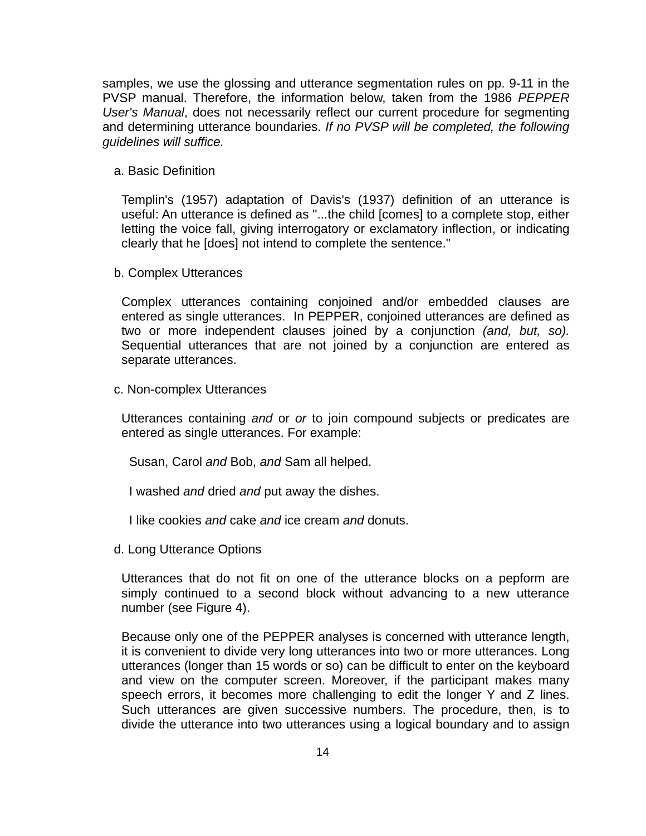samples, we use the glossing and utterance segmentation rules on pp. 9-11 in the PVSP manual. Therefore, the information below, taken from the 1986 *PEPPER User's Manual*, does not necessarily reflect our current procedure for segmenting and determining utterance boundaries. *If no PVSP will be completed, the following guidelines will suffice.*

a. Basic Definition

Templin's (1957) adaptation of Davis's (1937) definition of an utterance is useful: An utterance is defined as "...the child [comes] to a complete stop, either letting the voice fall, giving interrogatory or exclamatory inflection, or indicating clearly that he [does] not intend to complete the sentence."

b. Complex Utterances

Complex utterances containing conjoined and/or embedded clauses are entered as single utterances. In PEPPER, conjoined utterances are defined as two or more independent clauses joined by a conjunction *(and, but, so).*  Sequential utterances that are not joined by a conjunction are entered as separate utterances.

c. Non-complex Utterances

Utterances containing *and* or *or* to join compound subjects or predicates are entered as single utterances. For example:

Susan, Carol *and* Bob, *and* Sam all helped.

I washed *and* dried *and* put away the dishes.

I like cookies *and* cake *and* ice cream *and* donuts.

d. Long Utterance Options

Utterances that do not fit on one of the utterance blocks on a pepform are simply continued to a second block without advancing to a new utterance number (see Figure 4).

Because only one of the PEPPER analyses is concerned with utterance length, it is convenient to divide very long utterances into two or more utterances. Long utterances (longer than 15 words or so) can be difficult to enter on the keyboard and view on the computer screen. Moreover, if the participant makes many speech errors, it becomes more challenging to edit the longer Y and Z lines. Such utterances are given successive numbers. The procedure, then, is to divide the utterance into two utterances using a logical boundary and to assign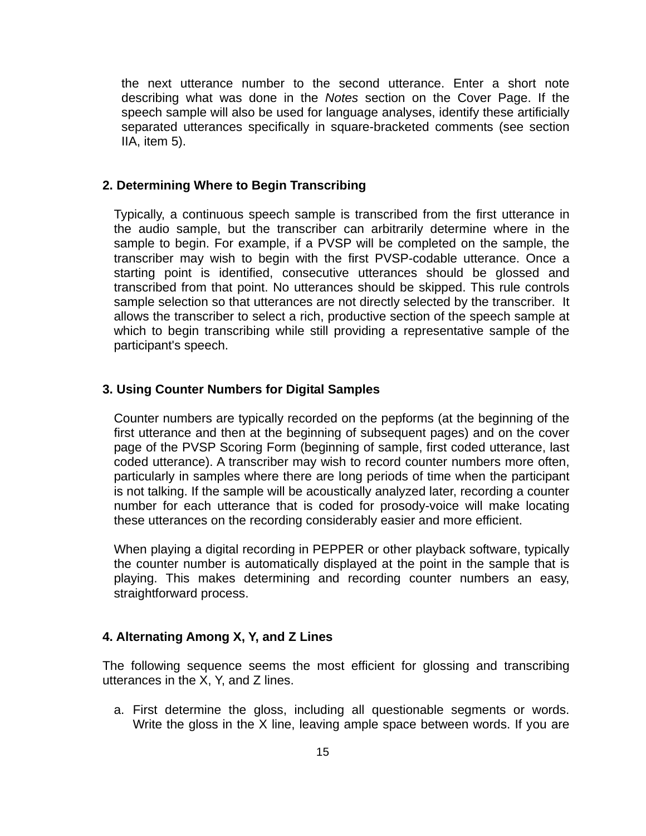the next utterance number to the second utterance. Enter a short note describing what was done in the *Notes* section on the Cover Page. If the speech sample will also be used for language analyses, identify these artificially separated utterances specifically in square-bracketed comments (see section IIA, item 5).

## **2. Determining Where to Begin Transcribing**

Typically, a continuous speech sample is transcribed from the first utterance in the audio sample, but the transcriber can arbitrarily determine where in the sample to begin. For example, if a PVSP will be completed on the sample, the transcriber may wish to begin with the first PVSP-codable utterance. Once a starting point is identified, consecutive utterances should be glossed and transcribed from that point. No utterances should be skipped. This rule controls sample selection so that utterances are not directly selected by the transcriber. It allows the transcriber to select a rich, productive section of the speech sample at which to begin transcribing while still providing a representative sample of the participant's speech.

#### **3. Using Counter Numbers for Digital Samples**

Counter numbers are typically recorded on the pepforms (at the beginning of the first utterance and then at the beginning of subsequent pages) and on the cover page of the PVSP Scoring Form (beginning of sample, first coded utterance, last coded utterance). A transcriber may wish to record counter numbers more often, particularly in samples where there are long periods of time when the participant is not talking. If the sample will be acoustically analyzed later, recording a counter number for each utterance that is coded for prosody-voice will make locating these utterances on the recording considerably easier and more efficient.

When playing a digital recording in PEPPER or other playback software, typically the counter number is automatically displayed at the point in the sample that is playing. This makes determining and recording counter numbers an easy, straightforward process.

#### **4. Alternating Among X, Y, and Z Lines**

The following sequence seems the most efficient for glossing and transcribing utterances in the X, Y, and Z lines.

a. First determine the gloss, including all questionable segments or words. Write the gloss in the X line, leaving ample space between words. If you are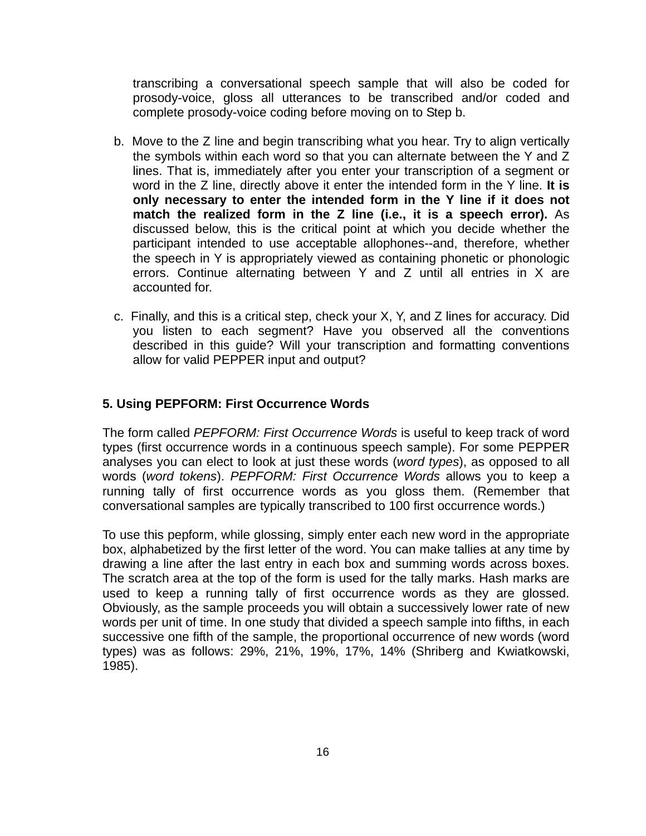transcribing a conversational speech sample that will also be coded for prosody-voice, gloss all utterances to be transcribed and/or coded and complete prosody-voice coding before moving on to Step b.

- b. Move to the Z line and begin transcribing what you hear. Try to align vertically the symbols within each word so that you can alternate between the Y and Z lines. That is, immediately after you enter your transcription of a segment or word in the Z line, directly above it enter the intended form in the Y line. **It is only necessary to enter the intended form in the Y line if it does not match the realized form in the Z line (i.e., it is a speech error).** As discussed below, this is the critical point at which you decide whether the participant intended to use acceptable allophones--and, therefore, whether the speech in Y is appropriately viewed as containing phonetic or phonologic errors. Continue alternating between Y and Z until all entries in X are accounted for.
- c. Finally, and this is a critical step, check your X, Y, and Z lines for accuracy. Did you listen to each segment? Have you observed all the conventions described in this guide? Will your transcription and formatting conventions allow for valid PEPPER input and output?

# **5. Using PEPFORM: First Occurrence Words**

The form called *PEPFORM: First Occurrence Words* is useful to keep track of word types (first occurrence words in a continuous speech sample). For some PEPPER analyses you can elect to look at just these words (*word types*), as opposed to all words (*word tokens*). *PEPFORM: First Occurrence Words* allows you to keep a running tally of first occurrence words as you gloss them. (Remember that conversational samples are typically transcribed to 100 first occurrence words.)

To use this pepform, while glossing, simply enter each new word in the appropriate box, alphabetized by the first letter of the word. You can make tallies at any time by drawing a line after the last entry in each box and summing words across boxes. The scratch area at the top of the form is used for the tally marks. Hash marks are used to keep a running tally of first occurrence words as they are glossed. Obviously, as the sample proceeds you will obtain a successively lower rate of new words per unit of time. In one study that divided a speech sample into fifths, in each successive one fifth of the sample, the proportional occurrence of new words (word types) was as follows: 29%, 21%, 19%, 17%, 14% (Shriberg and Kwiatkowski, 1985).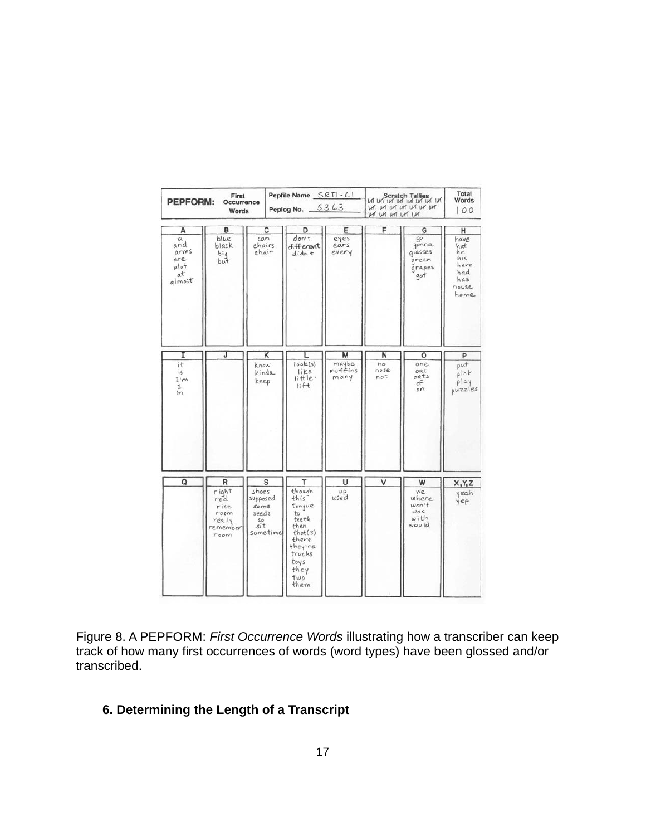| First<br><b>PEPFORM:</b><br>Occurrence<br>Words       |                                                                 |                                                                  | Pepfile Name SRTI-CI<br>Peplog No. 5363                                                                                      |                               | Scratch Tailies<br>LAT LAT LAT LAT LAT LAT LAT<br>LHT LHT LHT ILHT | Total<br>Words<br>100                                           |                                                                      |
|-------------------------------------------------------|-----------------------------------------------------------------|------------------------------------------------------------------|------------------------------------------------------------------------------------------------------------------------------|-------------------------------|--------------------------------------------------------------------|-----------------------------------------------------------------|----------------------------------------------------------------------|
| A<br>α<br>and<br>arms<br>are<br>alot<br>at<br>almost  | в<br>blue<br>black<br>big<br>but                                | с<br>can<br>chairs<br>chair                                      | D<br>don't<br>different<br>didn't                                                                                            | Ε<br>eyes<br>ears<br>every    | F                                                                  | G<br>$90^{\circ}$<br>gonna<br>glasses<br>green<br>grapes<br>got | H<br>have<br>hat<br>he<br>his<br>here<br>had<br>has<br>house<br>home |
| I<br>it<br>is.<br>I'm<br>$\mathbf{I}$<br>$\mathbf{r}$ | J                                                               | κ<br><b>know</b><br>kinda<br>keep                                | L<br>look(s)<br>like<br>$I$ ittle<br>lift                                                                                    | М<br>maybe<br>muffins<br>many | N<br>no<br>noise<br>not                                            | $\circ$<br>one<br>oat<br>oats<br>of<br>$\circ$ n                | P<br>put<br>pink<br>play<br>puzzles                                  |
| Q                                                     | R<br>right<br>red<br>rice<br>room<br>really<br>remember<br>room | s<br>shoes<br>supposed<br>some<br>seeds<br>SO<br>sit<br>sometime | т<br>though<br>this<br>tonque<br>to<br>teeth<br>then<br>that(s)<br>there<br>they're<br>trucks<br>toys<br>they<br>two<br>them | υ<br>$\mu$ p<br>used          | ٧                                                                  | W<br>we<br>where<br>won't<br>was<br>with<br>would               | X, Y, Z<br>yeah<br>yep                                               |

Figure 8. A PEPFORM: *First Occurrence Words* illustrating how a transcriber can keep track of how many first occurrences of words (word types) have been glossed and/or transcribed.

# **6. Determining the Length of a Transcript**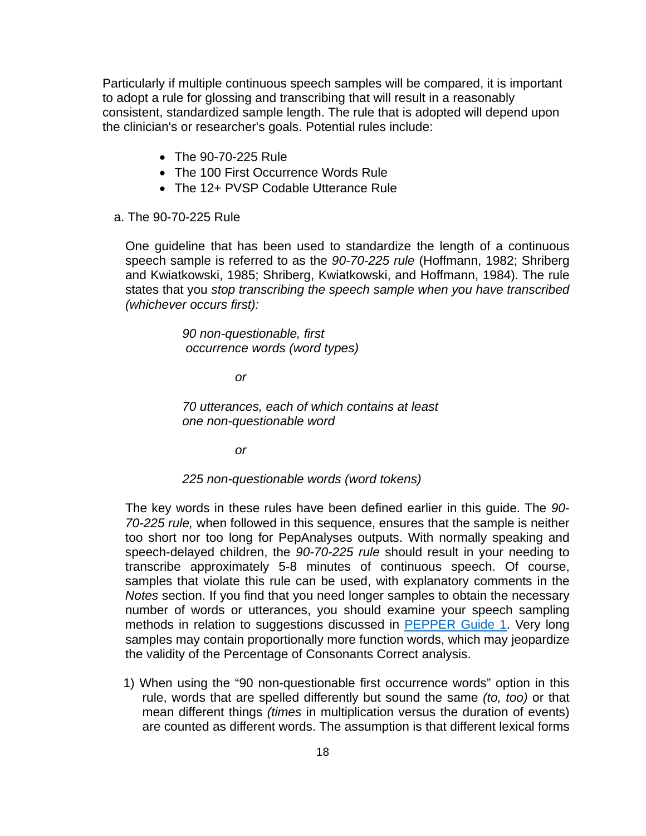Particularly if multiple continuous speech samples will be compared, it is important to adopt a rule for glossing and transcribing that will result in a reasonably consistent, standardized sample length. The rule that is adopted will depend upon the clinician's or researcher's goals. Potential rules include:

- The 90-70-225 Rule
- The 100 First Occurrence Words Rule
- The 12+ PVSP Codable Utterance Rule
- a. The 90-70-225 Rule

One guideline that has been used to standardize the length of a continuous speech sample is referred to as the *90-70-225 rule* (Hoffmann, 1982; Shriberg and Kwiatkowski, 1985; Shriberg, Kwiatkowski, and Hoffmann, 1984). The rule states that you *stop transcribing the speech sample when you have transcribed (whichever occurs first):* 

> *90 non-questionable, first occurrence words (word types)*

> > *or*

*70 utterances, each of which contains at least one non-questionable word* 

 *or* 

#### *225 non-questionable words (word tokens)*

The key words in these rules have been defined earlier in this guide. The *90- 70-225 rule,* when followed in this sequence, ensures that the sample is neither too short nor too long for PepAnalyses outputs. With normally speaking and speech-delayed children, the *90-70-225 rule* should result in your needing to transcribe approximately 5-8 minutes of continuous speech. Of course, samples that violate this rule can be used, with explanatory comments in the *Notes* section. If you find that you need longer samples to obtain the necessary number of words or utterances, you should examine your speech sampling methods in relation to suggestions discussed in [PEPPER Guide 1](https://phonology.waisman.wisc.edu/wp-content/uploads/sites/532/2019/07/PEPPER-Guide-1.pdf). Very long samples may contain proportionally more function words, which may jeopardize the validity of the Percentage of Consonants Correct analysis.

1) When using the "90 non-questionable first occurrence words" option in this rule, words that are spelled differently but sound the same *(to, too)* or that mean different things *(times* in multiplication versus the duration of events) are counted as different words. The assumption is that different lexical forms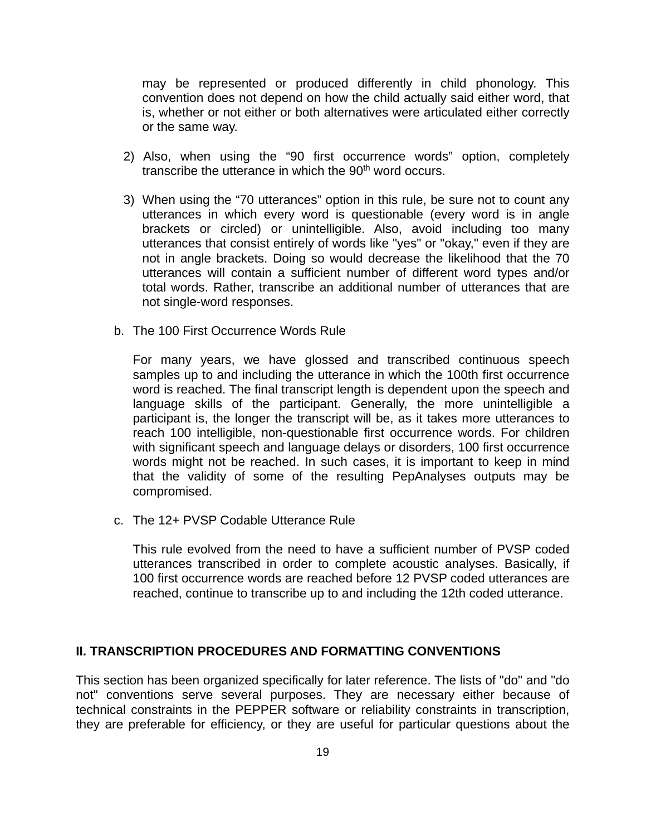may be represented or produced differently in child phonology. This convention does not depend on how the child actually said either word, that is, whether or not either or both alternatives were articulated either correctly or the same way.

- 2) Also, when using the "90 first occurrence words" option, completely transcribe the utterance in which the  $90<sup>th</sup>$  word occurs.
- 3) When using the "70 utterances" option in this rule, be sure not to count any utterances in which every word is questionable (every word is in angle brackets or circled) or unintelligible. Also, avoid including too many utterances that consist entirely of words like "yes" or "okay," even if they are not in angle brackets. Doing so would decrease the likelihood that the 70 utterances will contain a sufficient number of different word types and/or total words. Rather, transcribe an additional number of utterances that are not single-word responses.
- b. The 100 First Occurrence Words Rule

For many years, we have glossed and transcribed continuous speech samples up to and including the utterance in which the 100th first occurrence word is reached. The final transcript length is dependent upon the speech and language skills of the participant. Generally, the more unintelligible a participant is, the longer the transcript will be, as it takes more utterances to reach 100 intelligible, non-questionable first occurrence words. For children with significant speech and language delays or disorders, 100 first occurrence words might not be reached. In such cases, it is important to keep in mind that the validity of some of the resulting PepAnalyses outputs may be compromised.

c. The 12+ PVSP Codable Utterance Rule

This rule evolved from the need to have a sufficient number of PVSP coded utterances transcribed in order to complete acoustic analyses. Basically, if 100 first occurrence words are reached before 12 PVSP coded utterances are reached, continue to transcribe up to and including the 12th coded utterance.

#### **II. TRANSCRIPTION PROCEDURES AND FORMATTING CONVENTIONS**

This section has been organized specifically for later reference. The lists of "do" and "do not" conventions serve several purposes. They are necessary either because of technical constraints in the PEPPER software or reliability constraints in transcription, they are preferable for efficiency, or they are useful for particular questions about the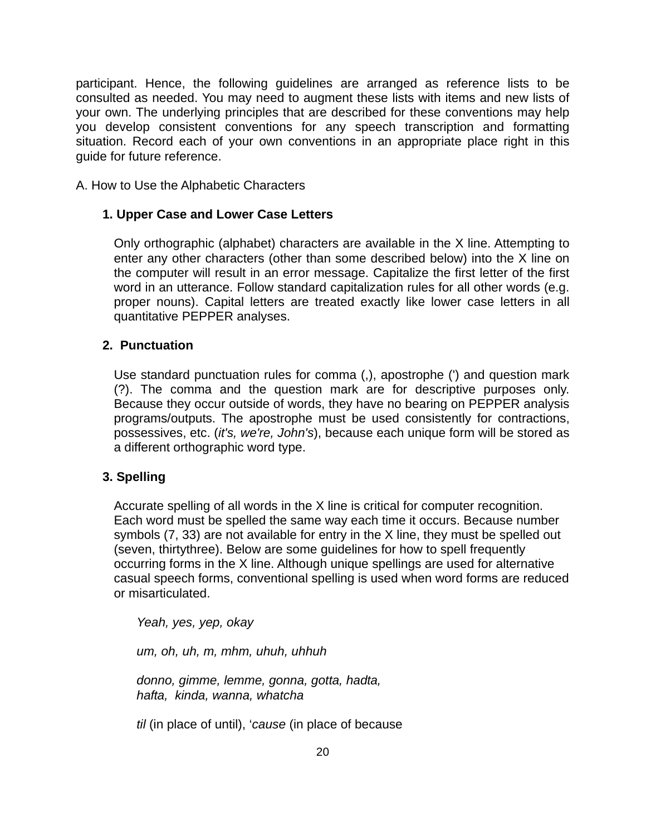participant. Hence, the following guidelines are arranged as reference lists to be consulted as needed. You may need to augment these lists with items and new lists of your own. The underlying principles that are described for these conventions may help you develop consistent conventions for any speech transcription and formatting situation. Record each of your own conventions in an appropriate place right in this guide for future reference.

A. How to Use the Alphabetic Characters

## **1. Upper Case and Lower Case Letters**

Only orthographic (alphabet) characters are available in the X line. Attempting to enter any other characters (other than some described below) into the X line on the computer will result in an error message. Capitalize the first letter of the first word in an utterance. Follow standard capitalization rules for all other words (e.g. proper nouns). Capital letters are treated exactly like lower case letters in all quantitative PEPPER analyses.

## **2. Punctuation**

Use standard punctuation rules for comma (,), apostrophe (') and question mark (?). The comma and the question mark are for descriptive purposes only. Because they occur outside of words, they have no bearing on PEPPER analysis programs/outputs. The apostrophe must be used consistently for contractions, possessives, etc. (*it's, we're, John's*), because each unique form will be stored as a different orthographic word type.

### **3. Spelling**

Accurate spelling of all words in the X line is critical for computer recognition. Each word must be spelled the same way each time it occurs. Because number symbols (7, 33) are not available for entry in the X line, they must be spelled out (seven, thirtythree). Below are some guidelines for how to spell frequently occurring forms in the X line. Although unique spellings are used for alternative casual speech forms, conventional spelling is used when word forms are reduced or misarticulated.

*Yeah, yes, yep, okay* 

*um, oh, uh, m, mhm, uhuh, uhhuh* 

*donno, gimme, lemme, gonna, gotta, hadta, hafta, kinda, wanna, whatcha* 

*til* (in place of until), '*cause* (in place of because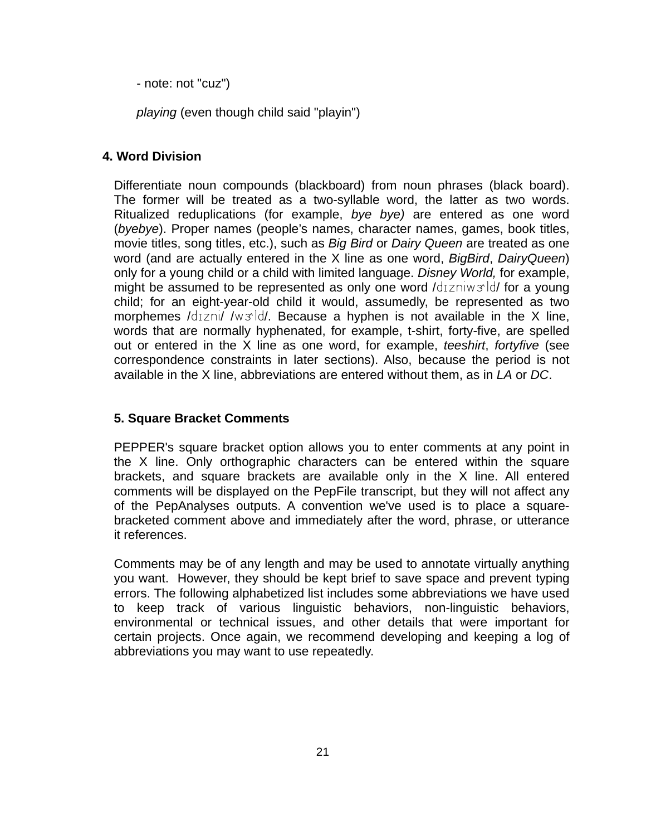- note: not "cuz")

*playing* (even though child said "playin")

# **4. Word Division**

Differentiate noun compounds (blackboard) from noun phrases (black board). The former will be treated as a two-syllable word, the latter as two words. Ritualized reduplications (for example, *bye bye)* are entered as one word (*byebye*). Proper names (people's names, character names, games, book titles, movie titles, song titles, etc.), such as *Big Bird* or *Dairy Queen* are treated as one word (and are actually entered in the X line as one word, *BigBird*, *DairyQueen*) only for a young child or a child with limited language. *Disney World,* for example, might be assumed to be represented as only one word /dizniwsld/ for a young child; for an eight-year-old child it would, assumedly, be represented as two morphemes /d $izni/$  /w $x$ ld/. Because a hyphen is not available in the X line, words that are normally hyphenated, for example, t-shirt, forty-five, are spelled out or entered in the X line as one word, for example, *teeshirt*, *fortyfive* (see correspondence constraints in later sections). Also, because the period is not available in the X line, abbreviations are entered without them, as in *LA* or *DC*.

# **5. Square Bracket Comments**

PEPPER's square bracket option allows you to enter comments at any point in the X line. Only orthographic characters can be entered within the square brackets, and square brackets are available only in the X line. All entered comments will be displayed on the PepFile transcript, but they will not affect any of the PepAnalyses outputs. A convention we've used is to place a squarebracketed comment above and immediately after the word, phrase, or utterance it references.

Comments may be of any length and may be used to annotate virtually anything you want. However, they should be kept brief to save space and prevent typing errors. The following alphabetized list includes some abbreviations we have used to keep track of various linguistic behaviors, non-linguistic behaviors, environmental or technical issues, and other details that were important for certain projects. Once again, we recommend developing and keeping a log of abbreviations you may want to use repeatedly.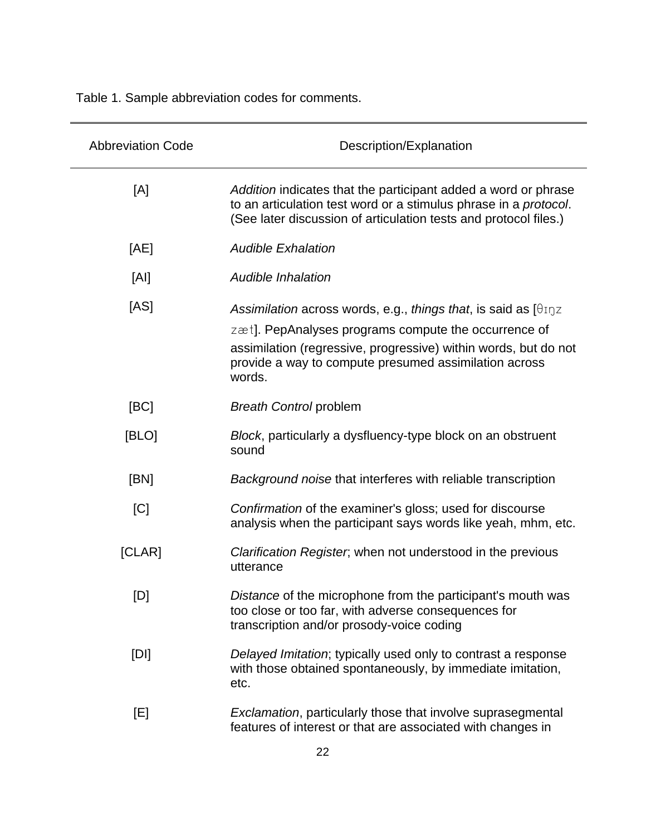Table 1. Sample abbreviation codes for comments.

| <b>Abbreviation Code</b> | Description/Explanation                                                                                                                                                                                                                                                            |
|--------------------------|------------------------------------------------------------------------------------------------------------------------------------------------------------------------------------------------------------------------------------------------------------------------------------|
| [A]                      | Addition indicates that the participant added a word or phrase<br>to an articulation test word or a stimulus phrase in a protocol.<br>(See later discussion of articulation tests and protocol files.)                                                                             |
| [AE]                     | <b>Audible Exhalation</b>                                                                                                                                                                                                                                                          |
| [AI]                     | Audible Inhalation                                                                                                                                                                                                                                                                 |
| [AS]                     | Assimilation across words, e.g., things that, is said as $[\theta_{\text{I}}\eta z]$<br>zæt]. PepAnalyses programs compute the occurrence of<br>assimilation (regressive, progressive) within words, but do not<br>provide a way to compute presumed assimilation across<br>words. |
| [BC]                     | <b>Breath Control problem</b>                                                                                                                                                                                                                                                      |
| [BLO]                    | Block, particularly a dysfluency-type block on an obstruent<br>sound                                                                                                                                                                                                               |
| [BN]                     | Background noise that interferes with reliable transcription                                                                                                                                                                                                                       |
| [C]                      | Confirmation of the examiner's gloss; used for discourse<br>analysis when the participant says words like yeah, mhm, etc.                                                                                                                                                          |
| [CLAR]                   | Clarification Register, when not understood in the previous<br>utterance                                                                                                                                                                                                           |
| [D]                      | Distance of the microphone from the participant's mouth was<br>too close or too far, with adverse consequences for<br>transcription and/or prosody-voice coding                                                                                                                    |
| [D]                      | Delayed Imitation; typically used only to contrast a response<br>with those obtained spontaneously, by immediate imitation,<br>etc.                                                                                                                                                |
| [E]                      | Exclamation, particularly those that involve suprasegmental<br>features of interest or that are associated with changes in                                                                                                                                                         |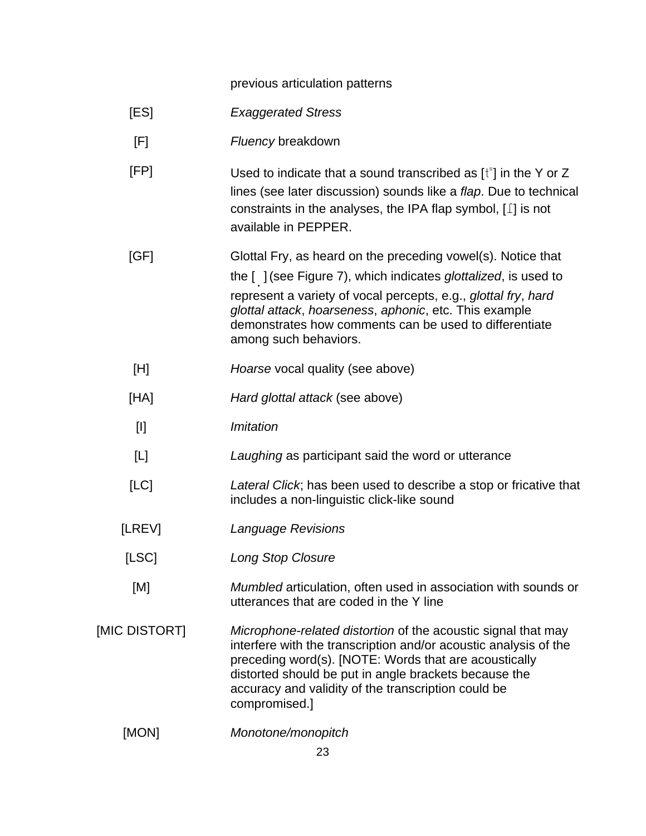previous articulation patterns

- [ES] *Exaggerated Stress*
- [F] *Fluency* breakdown
- $[FP]$  Used to indicate that a sound transcribed as  $[t^{\dagger}]$  in the Y or Z lines (see later discussion) sounds like a *flap*. Due to technical constraints in the analyses, the IPA flap symbol,  $[\;]$  is not available in PEPPER.

[GF] Glottal Fry, as heard on the preceding vowel(s). Notice that the [ **"**](see Figure 7), which indicates *glottalized*, is used to represent a variety of vocal percepts, e.g., *glottal fry*, *hard glottal attack*, *hoarseness*, *aphonic*, etc. This example demonstrates how comments can be used to differentiate among such behaviors.

- [H] *Hoarse* vocal quality (see above)
- [HA] *Hard glottal attack* (see above)
- [I] *Imitation*
- [L] *Laughing* as participant said the word or utterance
- [LC] *Lateral Click*; has been used to describe a stop or fricative that includes a non-linguistic click-like sound
- [LREV] *Language Revisions*
- [LSC] *Long Stop Closure*
- [M] *Mumbled* articulation, often used in association with sounds or utterances that are coded in the Y line
- [MIC DISTORT] *Microphone-related distortion* of the acoustic signal that may interfere with the transcription and/or acoustic analysis of the preceding word(s). [NOTE: Words that are acoustically distorted should be put in angle brackets because the accuracy and validity of the transcription could be compromised.]
	- [MON] *Monotone/monopitch*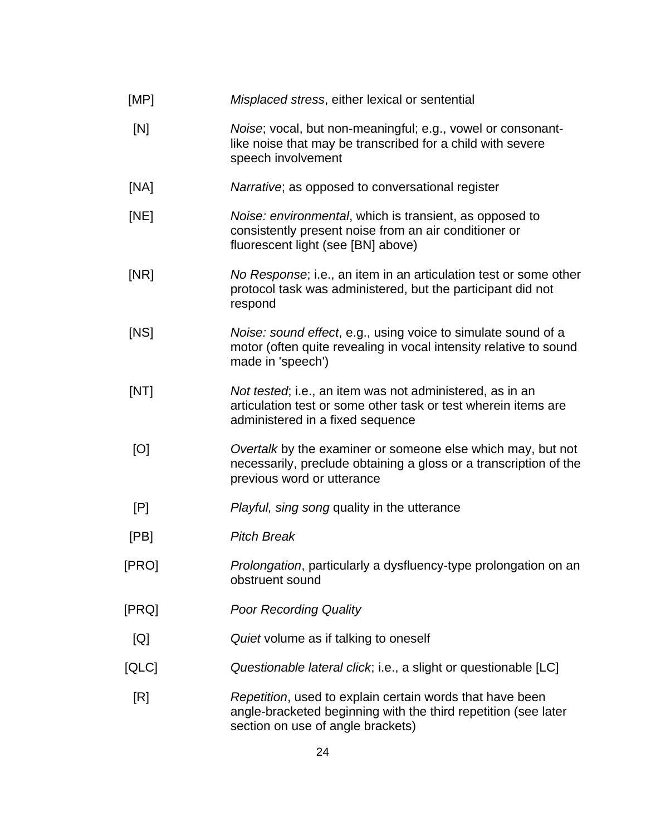| [MP]  | Misplaced stress, either lexical or sentential                                                                                                                  |
|-------|-----------------------------------------------------------------------------------------------------------------------------------------------------------------|
| [N]   | Noise; vocal, but non-meaningful; e.g., vowel or consonant-<br>like noise that may be transcribed for a child with severe<br>speech involvement                 |
| [NA]  | Narrative; as opposed to conversational register                                                                                                                |
| [NE]  | Noise: environmental, which is transient, as opposed to<br>consistently present noise from an air conditioner or<br>fluorescent light (see [BN] above)          |
| [NR]  | No Response; i.e., an item in an articulation test or some other<br>protocol task was administered, but the participant did not<br>respond                      |
| [NS]  | Noise: sound effect, e.g., using voice to simulate sound of a<br>motor (often quite revealing in vocal intensity relative to sound<br>made in 'speech')         |
| [NT]  | Not tested; i.e., an item was not administered, as in an<br>articulation test or some other task or test wherein items are<br>administered in a fixed sequence  |
| [O]   | Overtalk by the examiner or someone else which may, but not<br>necessarily, preclude obtaining a gloss or a transcription of the<br>previous word or utterance  |
| [P]   | Playful, sing song quality in the utterance                                                                                                                     |
| [PB]  | <b>Pitch Break</b>                                                                                                                                              |
| [PRO] | Prolongation, particularly a dysfluency-type prolongation on an<br>obstruent sound                                                                              |
| [PRQ] | <b>Poor Recording Quality</b>                                                                                                                                   |
| [Q]   | Quiet volume as if talking to oneself                                                                                                                           |
| [QLC] | Questionable lateral click; i.e., a slight or questionable [LC]                                                                                                 |
| [R]   | Repetition, used to explain certain words that have been<br>angle-bracketed beginning with the third repetition (see later<br>section on use of angle brackets) |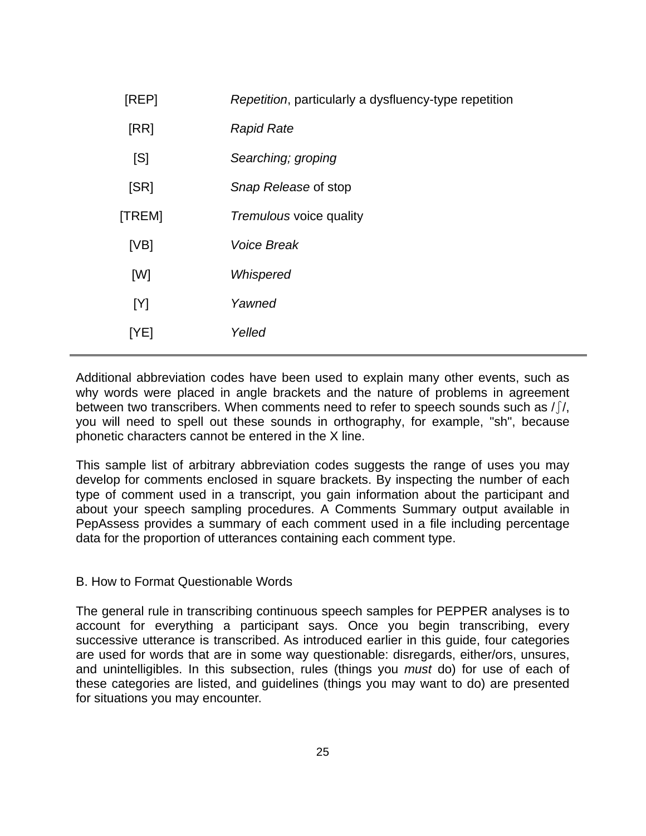| [REP]  | Repetition, particularly a dysfluency-type repetition |
|--------|-------------------------------------------------------|
| [RR]   | <b>Rapid Rate</b>                                     |
| [S]    | Searching; groping                                    |
| [SR]   | Snap Release of stop                                  |
| [TREM] | Tremulous voice quality                               |
| [VB]   | <b>Voice Break</b>                                    |
| [W]    | Whispered                                             |
| [Y]    | Yawned                                                |
| [YE]   | Yelled                                                |
|        |                                                       |

Additional abbreviation codes have been used to explain many other events, such as why words were placed in angle brackets and the nature of problems in agreement between two transcribers. When comments need to refer to speech sounds such as  $\int f(x, y)$ you will need to spell out these sounds in orthography, for example, "sh", because phonetic characters cannot be entered in the X line.

This sample list of arbitrary abbreviation codes suggests the range of uses you may develop for comments enclosed in square brackets. By inspecting the number of each type of comment used in a transcript, you gain information about the participant and about your speech sampling procedures. A Comments Summary output available in PepAssess provides a summary of each comment used in a file including percentage data for the proportion of utterances containing each comment type.

### B. How to Format Questionable Words

The general rule in transcribing continuous speech samples for PEPPER analyses is to account for everything a participant says. Once you begin transcribing, every successive utterance is transcribed. As introduced earlier in this guide, four categories are used for words that are in some way questionable: disregards, either/ors, unsures, and unintelligibles. In this subsection, rules (things you *must* do) for use of each of these categories are listed, and guidelines (things you may want to do) are presented for situations you may encounter.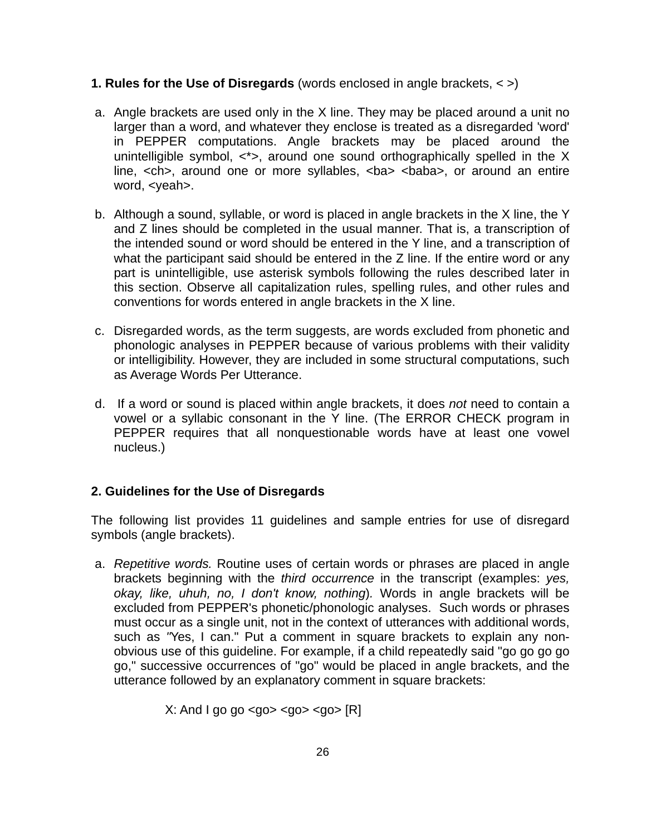## **1. Rules for the Use of Disregards** (words enclosed in angle brackets, < >)

- a. Angle brackets are used only in the X line. They may be placed around a unit no larger than a word, and whatever they enclose is treated as a disregarded 'word' in PEPPER computations. Angle brackets may be placed around the unintelligible symbol,  $\langle \rangle$ , around one sound orthographically spelled in the X line, <ch>, around one or more syllables, <ba> <br/>sbaba>, or around an entire word, <yeah>.
- b. Although a sound, syllable, or word is placed in angle brackets in the X line, the Y and Z lines should be completed in the usual manner. That is, a transcription of the intended sound or word should be entered in the Y line, and a transcription of what the participant said should be entered in the Z line. If the entire word or any part is unintelligible, use asterisk symbols following the rules described later in this section. Observe all capitalization rules, spelling rules, and other rules and conventions for words entered in angle brackets in the X line.
- c. Disregarded words, as the term suggests, are words excluded from phonetic and phonologic analyses in PEPPER because of various problems with their validity or intelligibility. However, they are included in some structural computations, such as Average Words Per Utterance.
- d. If a word or sound is placed within angle brackets, it does *not* need to contain a vowel or a syllabic consonant in the Y line. (The ERROR CHECK program in PEPPER requires that all nonquestionable words have at least one vowel nucleus.)

# **2. Guidelines for the Use of Disregards**

The following list provides 11 guidelines and sample entries for use of disregard symbols (angle brackets).

a. *Repetitive words.* Routine uses of certain words or phrases are placed in angle brackets beginning with the *third occurrence* in the transcript (examples: *yes, okay, like, uhuh, no, I don't know, nothing*)*.* Words in angle brackets will be excluded from PEPPER's phonetic/phonologic analyses. Such words or phrases must occur as a single unit, not in the context of utterances with additional words, such as *"*Yes, I can." Put a comment in square brackets to explain any nonobvious use of this guideline. For example, if a child repeatedly said "go go go go go," successive occurrences of "go" would be placed in angle brackets, and the utterance followed by an explanatory comment in square brackets:

 $X:$  And I go go <go> <go> <go>  $[R]$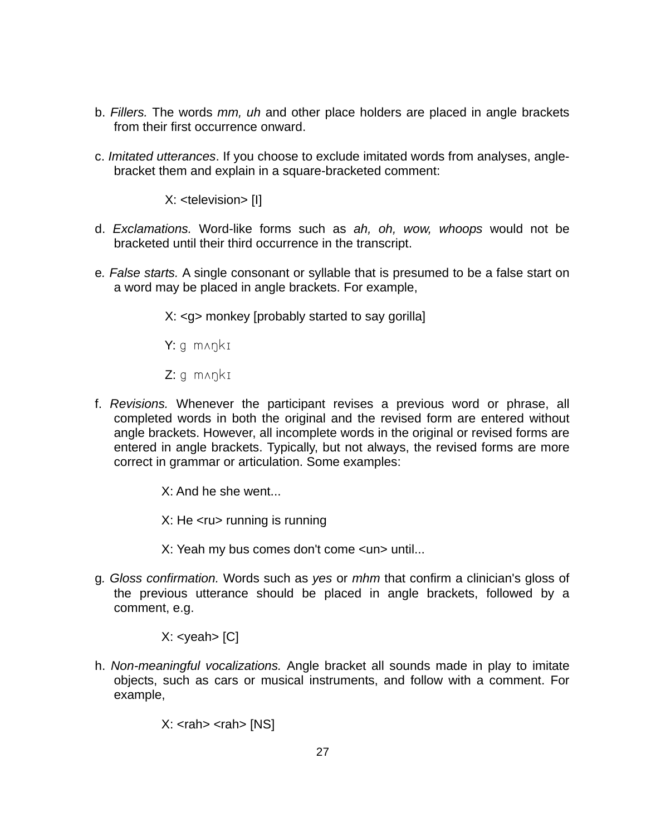- b. *Fillers.* The words *mm, uh* and other place holders are placed in angle brackets from their first occurrence onward.
- c. *Imitated utterances*. If you choose to exclude imitated words from analyses, anglebracket them and explain in a square-bracketed comment:

X: <television> [I]

- d. *Exclamations.* Word-like forms such as *ah, oh, wow, whoops* would not be bracketed until their third occurrence in the transcript.
- e*. False starts.* A single consonant or syllable that is presumed to be a false start on a word may be placed in angle brackets. For example,

X: <g> monkey [probably started to say gorilla]

 $Y: q \text{ many } kI$ 

 $Z: q \text{ manki}$ 

f. *Revisions.* Whenever the participant revises a previous word or phrase, all completed words in both the original and the revised form are entered without angle brackets. However, all incomplete words in the original or revised forms are entered in angle brackets. Typically, but not always, the revised forms are more correct in grammar or articulation. Some examples:

X: And he she went...

X: He <ru> running is running

X: Yeah my bus comes don't come <un> until...

g*. Gloss confirmation.* Words such as *yes* or *mhm* that confirm a clinician's gloss of the previous utterance should be placed in angle brackets, followed by a comment, e.g.

 $X:$  <yeah >  $[C]$ 

h. *Non-meaningful vocalizations.* Angle bracket all sounds made in play to imitate objects, such as cars or musical instruments, and follow with a comment. For example,

 $X:  $rank$   $rank$   $[NS]$$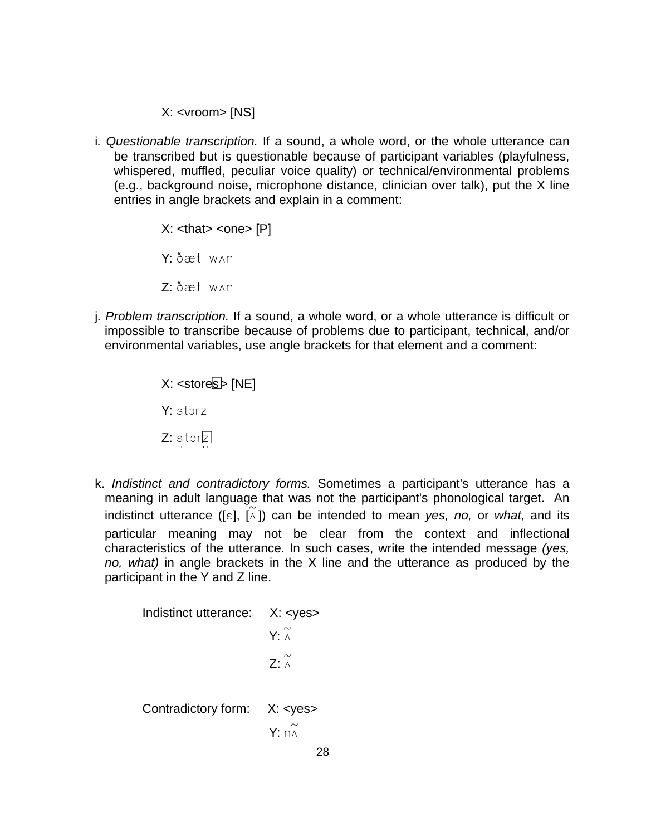X: <vroom> [NS]

i*. Questionable transcription.* If a sound, a whole word, or the whole utterance can be transcribed but is questionable because of participant variables (playfulness, whispered, muffled, peculiar voice quality) or technical/environmental problems (e.g., background noise, microphone distance, clinician over talk), put the X line entries in angle brackets and explain in a comment:

> $X:$  <that> <one>  $[P]$ Y: ðæt w^n  $Z: \delta x + w \wedge n$

j*. Problem transcription.* If a sound, a whole word, or a whole utterance is difficult or impossible to transcribe because of problems due to participant, technical, and/or environmental variables, use angle brackets for that element and a comment:

> $X:$  <stores  $\triangleright$  [NE] Y: storz  $Z:$  stor $\n \ \, \mathbb{Z}$

k. *Indistinct and contradictory forms.* Sometimes a participant's utterance has a meaning in adult language that was not the participant's phonological target. An indistinct utterance ( $[\epsilon], [\lambda]$ ) can be intended to mean *yes, no,* or *what,* and its particular meaning may not be clear from the context and inflectional characteristics of the utterance. In such cases, write the intended message *(yes, no, what)* in angle brackets in the X line and the utterance as produced by the participant in the Y and Z line.

Indistinct utterance: X: <yes>  $Y: \wedge$  $Z: \wedge$  Contradictory form: X: <yes>  $Y: n \overset{\sim}{\wedge}$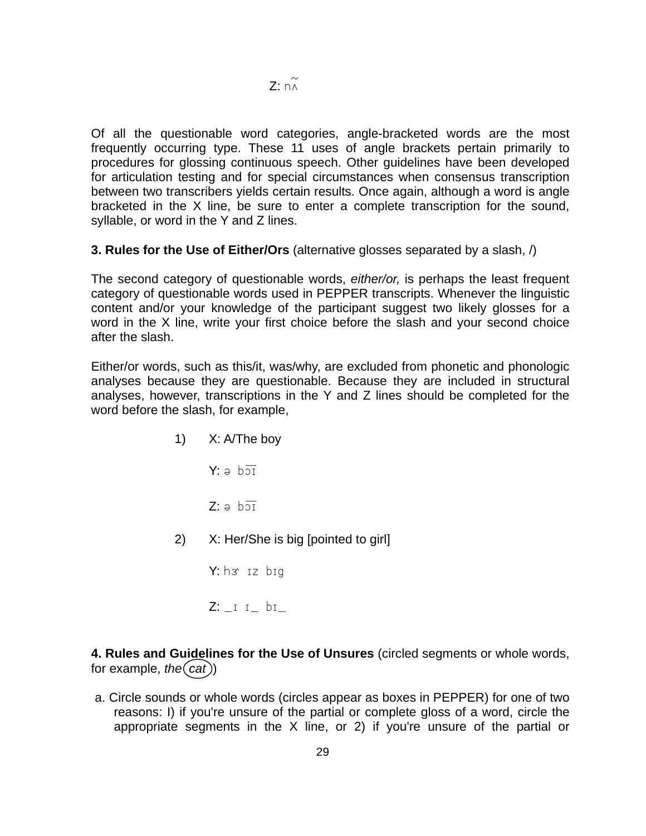Of all the questionable word categories, angle-bracketed words are the most frequently occurring type. These 11 uses of angle brackets pertain primarily to procedures for glossing continuous speech. Other guidelines have been developed for articulation testing and for special circumstances when consensus transcription between two transcribers yields certain results. Once again, although a word is angle bracketed in the X line, be sure to enter a complete transcription for the sound, syllable, or word in the Y and Z lines.

**3. Rules for the Use of Either/Ors** (alternative glosses separated by a slash, /)

The second category of questionable words, *either/or,* is perhaps the least frequent category of questionable words used in PEPPER transcripts. Whenever the linguistic content and/or your knowledge of the participant suggest two likely glosses for a word in the X line, write your first choice before the slash and your second choice after the slash.

Either/or words, such as this/it, was/why, are excluded from phonetic and phonologic analyses because they are questionable. Because they are included in structural analyses, however, transcriptions in the Y and Z lines should be completed for the word before the slash, for example,

> 1) X: A/The boy  $Y: a b\overline{21}$  $Z: a \overline{b} \overline{a} \overline{b}$ 2) X: Her/She is big [pointed to girl]  $Y: h \rightarrow z$  big  $Z: I I bI$

**4. Rules and Guidelines for the Use of Unsures** (circled segments or whole words, for example, *the* $(cat)$ 

a. Circle sounds or whole words (circles appear as boxes in PEPPER) for one of two reasons: I) if you're unsure of the partial or complete gloss of a word, circle the appropriate segments in the X line, or 2) if you're unsure of the partial or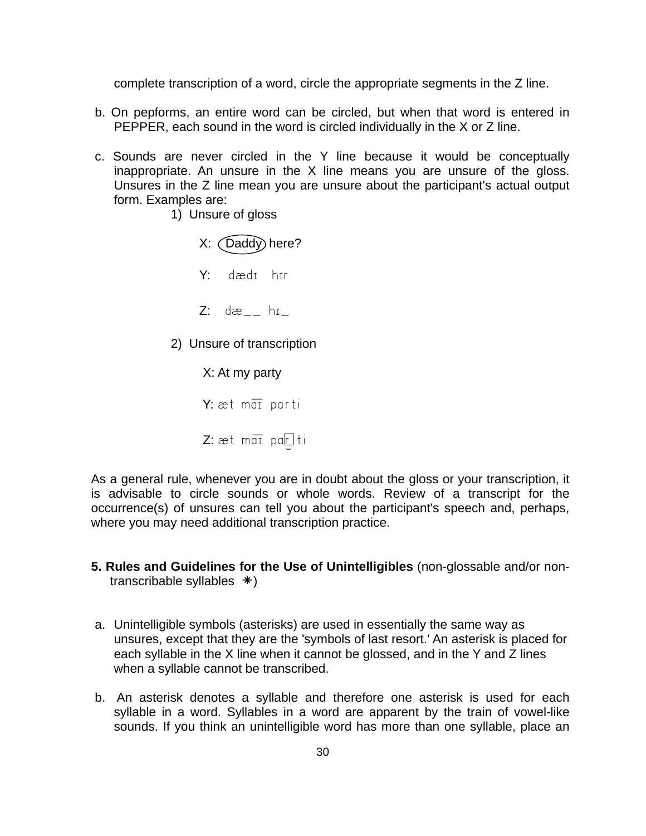complete transcription of a word, circle the appropriate segments in the Z line.

- b. On pepforms, an entire word can be circled, but when that word is entered in PEPPER, each sound in the word is circled individually in the X or Z line.
- c. Sounds are never circled in the Y line because it would be conceptually inappropriate. An unsure in the X line means you are unsure of the gloss. Unsures in the Z line mean you are unsure about the participant's actual output form. Examples are:
	- 1) Unsure of gloss

 $X:$   $(Daddy)$  here? Y: dædt htr

- $Z:$  dæ<sub>--</sub> h $I_{-}$
- 2) Unsure of transcription

 X: At my party  $Y:$  æt m $\overline{a}$  parti

Z:  $æt$  mai parki

As a general rule, whenever you are in doubt about the gloss or your transcription, it is advisable to circle sounds or whole words. Review of a transcript for the occurrence(s) of unsures can tell you about the participant's speech and, perhaps, where you may need additional transcription practice.

- **5. Rules and Guidelines for the Use of Unintelligibles** (non-glossable and/or nontranscribable syllables **\**)
- a. Unintelligible symbols (asterisks) are used in essentially the same way as unsures, except that they are the 'symbols of last resort.' An asterisk is placed for each syllable in the X line when it cannot be glossed, and in the Y and Z lines when a syllable cannot be transcribed.
- b. An asterisk denotes a syllable and therefore one asterisk is used for each syllable in a word. Syllables in a word are apparent by the train of vowel-like sounds. If you think an unintelligible word has more than one syllable, place an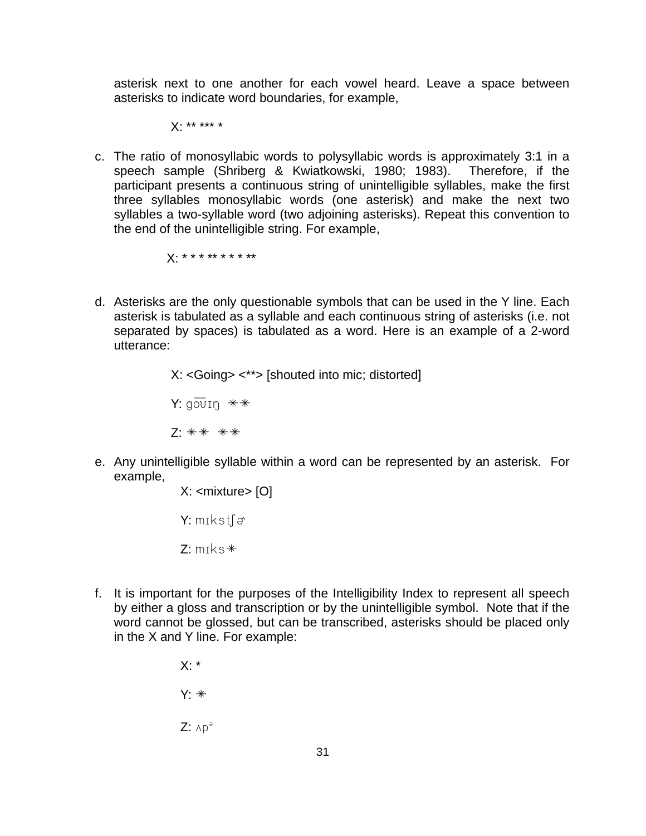asterisk next to one another for each vowel heard. Leave a space between asterisks to indicate word boundaries, for example,

X: \*\* \*\*\* \*

c. The ratio of monosyllabic words to polysyllabic words is approximately 3:1 in a speech sample (Shriberg & Kwiatkowski, 1980; 1983). Therefore, if the participant presents a continuous string of unintelligible syllables, make the first three syllables monosyllabic words (one asterisk) and make the next two syllables a two-syllable word (two adjoining asterisks). Repeat this convention to the end of the unintelligible string. For example,

X: \* \* \* \*\* \* \* \* \*\*

d. Asterisks are the only questionable symbols that can be used in the Y line. Each asterisk is tabulated as a syllable and each continuous string of asterisks (i.e. not separated by spaces) is tabulated as a word. Here is an example of a 2-word utterance:

X: <Going> <\*\*> [shouted into mic; distorted]

Y:  $q\overline{ov}$ <sub>In</sub>  $\overline{**}$ 

 $7 \cdot \ast \ast \ \ast \ast$ 

e. Any unintelligible syllable within a word can be represented by an asterisk. For example,

X: <mixture> [O]

 $Y:$  mikst $\lceil \varphi \rceil$ 

 $Z:$  m $\text{Ks}$  $*$ 

f. It is important for the purposes of the Intelligibility Index to represent all speech by either a gloss and transcription or by the unintelligible symbol. Note that if the word cannot be glossed, but can be transcribed, asterisks should be placed only in the X and Y line. For example:

> $X:$ \*  $Y: *$  $Z: \wedge p^{\partial}$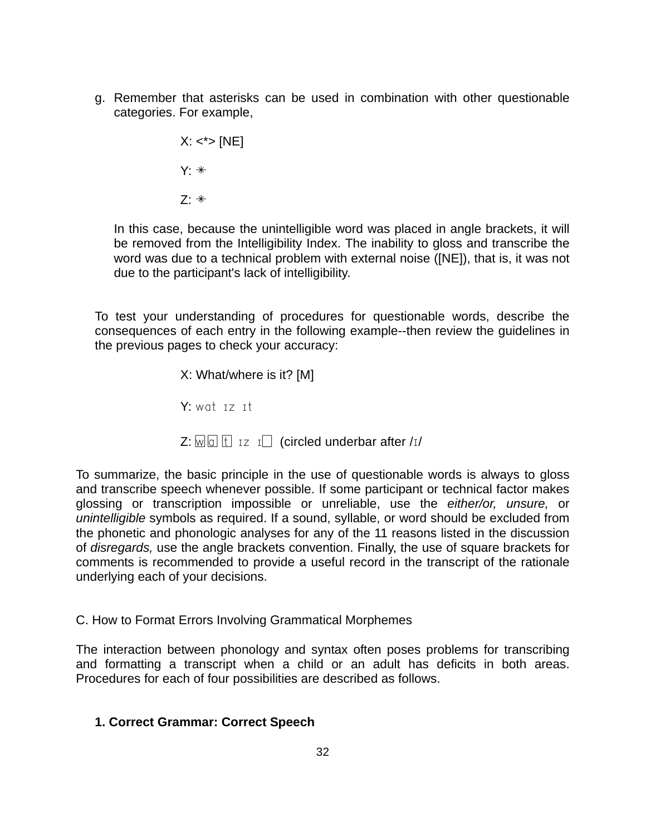g. Remember that asterisks can be used in combination with other questionable categories. For example,

> $X: <^* > [NE]$  $Y: *$  $7 \cdot *$

In this case, because the unintelligible word was placed in angle brackets, it will be removed from the Intelligibility Index. The inability to gloss and transcribe the word was due to a technical problem with external noise ([NE]), that is, it was not due to the participant's lack of intelligibility.

To test your understanding of procedures for questionable words, describe the consequences of each entry in the following example--then review the guidelines in the previous pages to check your accuracy:

> X: What/where is it? [M]  $Y:$  wat  $17$   $11$  $Z: \overline{w} \boxdot \overline{w}$   $\overline{w}$   $\overline{w}$   $\overline{w}$   $\overline{w}$  and  $\overline{w}$  are  $\overline{w}$  and  $\overline{w}$  are  $\overline{w}$

To summarize, the basic principle in the use of questionable words is always to gloss and transcribe speech whenever possible. If some participant or technical factor makes glossing or transcription impossible or unreliable, use the *either/or, unsure,* or *unintelligible* symbols as required. If a sound, syllable, or word should be excluded from the phonetic and phonologic analyses for any of the 11 reasons listed in the discussion of *disregards,* use the angle brackets convention. Finally, the use of square brackets for comments is recommended to provide a useful record in the transcript of the rationale underlying each of your decisions.

# C. How to Format Errors Involving Grammatical Morphemes

The interaction between phonology and syntax often poses problems for transcribing and formatting a transcript when a child or an adult has deficits in both areas. Procedures for each of four possibilities are described as follows.

# **1. Correct Grammar: Correct Speech**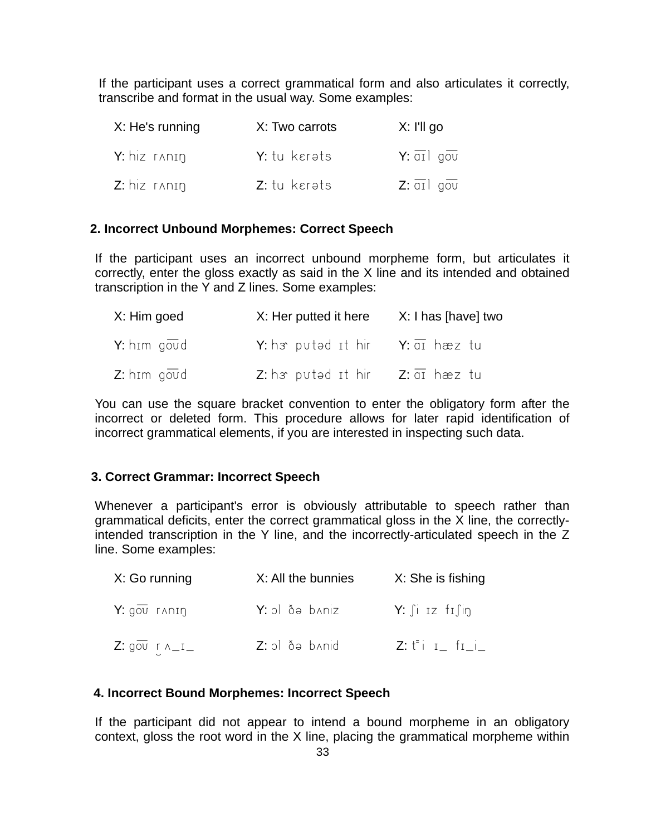If the participant uses a correct grammatical form and also articulates it correctly, transcribe and format in the usual way. Some examples:

| X: He's running | X: Two carrots | X: I'll go                            |
|-----------------|----------------|---------------------------------------|
| $Y: hiz$ ranin  | Y: tu kerəts   | $Y: \overline{q_1}   q_0\overline{v}$ |
| $Z: hiz$ ranin  | Z: tu kerəts   | $Z: \overline{qI}$ gov                |

# **2. Incorrect Unbound Morphemes: Correct Speech**

If the participant uses an incorrect unbound morpheme form, but articulates it correctly, enter the gloss exactly as said in the X line and its intended and obtained transcription in the Y and Z lines. Some examples:

| X: Him goed        | X: Her putted it here                                                | X: I has [have] two |
|--------------------|----------------------------------------------------------------------|---------------------|
| <b>Y:</b> him goud | Y: h <sub>3</sub> puted it hir Y: $\overline{ai}$ hæz tu             |                     |
| $Z:$ him goud      | <b>Z</b> : h <i>s</i> puted it hir <b>Z</b> : $\overline{di}$ hæz tu |                     |

You can use the square bracket convention to enter the obligatory form after the incorrect or deleted form. This procedure allows for later rapid identification of incorrect grammatical elements, if you are interested in inspecting such data.

# **3. Correct Grammar: Incorrect Speech**

Whenever a participant's error is obviously attributable to speech rather than grammatical deficits, enter the correct grammatical gloss in the X line, the correctlyintended transcription in the Y line, and the incorrectly-articulated speech in the Z line. Some examples:

| X: Go running                      | X: All the bunnies | X: She is fishing                      |
|------------------------------------|--------------------|----------------------------------------|
| $Y: q\overline{\text{ov}}$ ranin   | Y: ol ðə baniz     | $Y: \int i \, Iz \, f \, f \, \int in$ |
| Z: $g\overline{o}v$ r $n_{-}i_{-}$ | Z: ol ðə b^nid     | $Z: t^{\pm}i$ i fii                    |

## **4. Incorrect Bound Morphemes: Incorrect Speech**

If the participant did not appear to intend a bound morpheme in an obligatory context, gloss the root word in the X line, placing the grammatical morpheme within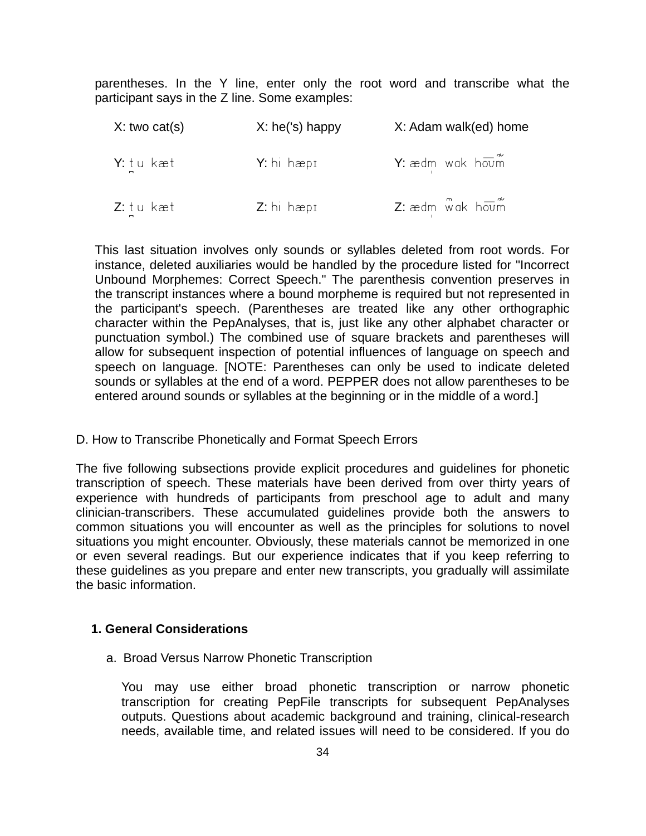parentheses. In the Y line, enter only the root word and transcribe what the participant says in the Z line. Some examples:

| X: two cat(s) | $X:$ he('s) happy | X: Adam walk(ed) home          |
|---------------|-------------------|--------------------------------|
| Y: tu kæt     | Y: hi hæpi        | Y: $ædm$ wak $h\overline{owm}$ |
| Z: tu kæt     | $Z:$ hi hæpi      | $Z$ : ædm wak houm             |

This last situation involves only sounds or syllables deleted from root words. For instance, deleted auxiliaries would be handled by the procedure listed for "Incorrect Unbound Morphemes: Correct Speech." The parenthesis convention preserves in the transcript instances where a bound morpheme is required but not represented in the participant's speech. (Parentheses are treated like any other orthographic character within the PepAnalyses, that is, just like any other alphabet character or punctuation symbol.) The combined use of square brackets and parentheses will allow for subsequent inspection of potential influences of language on speech and speech on language. [NOTE: Parentheses can only be used to indicate deleted sounds or syllables at the end of a word. PEPPER does not allow parentheses to be entered around sounds or syllables at the beginning or in the middle of a word.]

D. How to Transcribe Phonetically and Format Speech Errors

The five following subsections provide explicit procedures and guidelines for phonetic transcription of speech. These materials have been derived from over thirty years of experience with hundreds of participants from preschool age to adult and many clinician-transcribers. These accumulated guidelines provide both the answers to common situations you will encounter as well as the principles for solutions to novel situations you might encounter. Obviously, these materials cannot be memorized in one or even several readings. But our experience indicates that if you keep referring to these guidelines as you prepare and enter new transcripts, you gradually will assimilate the basic information.

### **1. General Considerations**

a. Broad Versus Narrow Phonetic Transcription

You may use either broad phonetic transcription or narrow phonetic transcription for creating PepFile transcripts for subsequent PepAnalyses outputs. Questions about academic background and training, clinical-research needs, available time, and related issues will need to be considered. If you do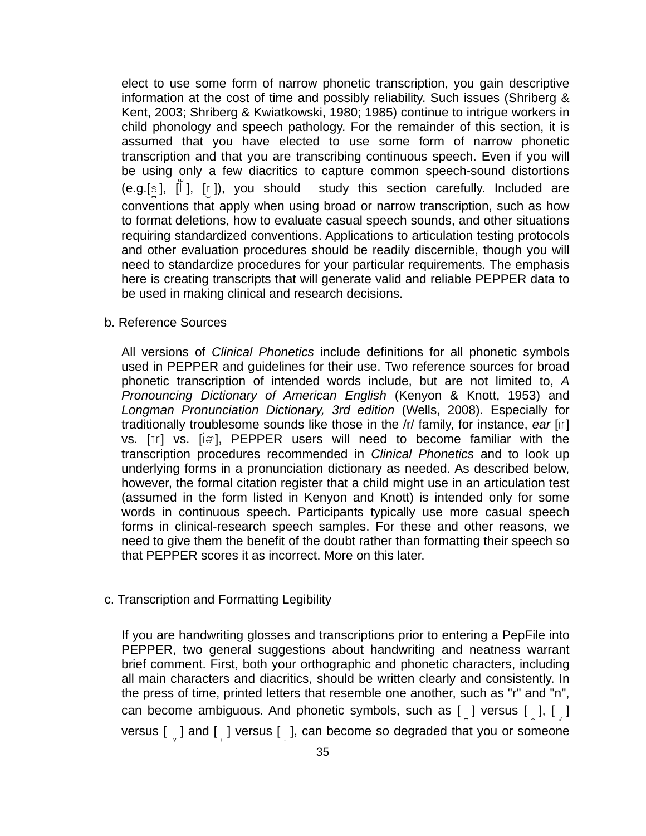elect to use some form of narrow phonetic transcription, you gain descriptive information at the cost of time and possibly reliability. Such issues (Shriberg & Kent, 2003; Shriberg & Kwiatkowski, 1980; 1985) continue to intrigue workers in child phonology and speech pathology. For the remainder of this section, it is assumed that you have elected to use some form of narrow phonetic transcription and that you are transcribing continuous speech. Even if you will be using only a few diacritics to capture common speech-sound distortions (e.g.[s],  $\lfloor \check{\mathsf{I}} \rfloor$ , [r]), you should study this section carefully. Included are conventions that apply when using broad or narrow transcription, such as how to format deletions, how to evaluate casual speech sounds, and other situations requiring standardized conventions. Applications to articulation testing protocols and other evaluation procedures should be readily discernible, though you will need to standardize procedures for your particular requirements. The emphasis here is creating transcripts that will generate valid and reliable PEPPER data to be used in making clinical and research decisions.

b. Reference Sources

All versions of *Clinical Phonetics* include definitions for all phonetic symbols used in PEPPER and guidelines for their use. Two reference sources for broad phonetic transcription of intended words include, but are not limited to, *A Pronouncing Dictionary of American English* (Kenyon & Knott, 1953) and *Longman Pronunciation Dictionary, 3rd edition* (Wells, 2008). Especially for traditionally troublesome sounds like those in the /r/ family, for instance, *ear* [ir] vs.  $[If]$  vs.  $[if]$ , PEPPER users will need to become familiar with the transcription procedures recommended in *Clinical Phonetics* and to look up underlying forms in a pronunciation dictionary as needed. As described below, however, the formal citation register that a child might use in an articulation test (assumed in the form listed in Kenyon and Knott) is intended only for some words in continuous speech. Participants typically use more casual speech forms in clinical-research speech samples. For these and other reasons, we need to give them the benefit of the doubt rather than formatting their speech so that PEPPER scores it as incorrect. More on this later.

c. Transcription and Formatting Legibility

If you are handwriting glosses and transcriptions prior to entering a PepFile into PEPPER, two general suggestions about handwriting and neatness warrant brief comment. First, both your orthographic and phonetic characters, including all main characters and diacritics, should be written clearly and consistently. In the press of time, printed letters that resemble one another, such as "r" and "n", can become ambiguous. And phonetic symbols, such as  $\begin{bmatrix} 0 \\ 1 \end{bmatrix}$  versus  $\begin{bmatrix} 0 \\ 0 \end{bmatrix}$ ,  $\begin{bmatrix} 0 \\ 0 \end{bmatrix}$ versus  $\begin{bmatrix} 0 & 1 \end{bmatrix}$  and  $\begin{bmatrix} 1 & 1 \end{bmatrix}$  versus  $\begin{bmatrix} 1 & 1 \end{bmatrix}$ , can become so degraded that you or someone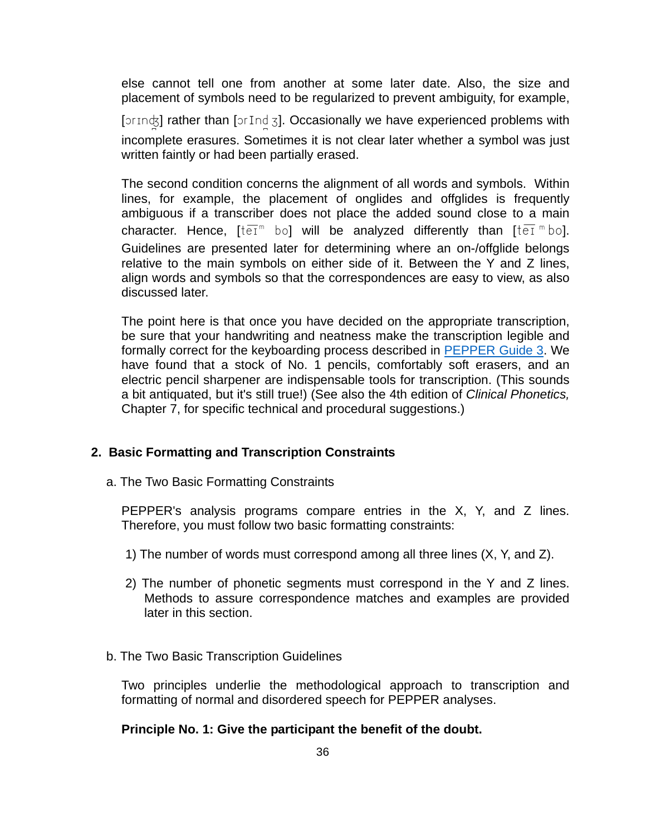else cannot tell one from another at some later date. Also, the size and placement of symbols need to be regularized to prevent ambiguity, for example,

[orindot] rather than [orIndot]. Occasionally we have experienced problems with incomplete erasures. Sometimes it is not clear later whether a symbol was just written faintly or had been partially erased.

The second condition concerns the alignment of all words and symbols. Within lines, for example, the placement of onglides and offglides is frequently ambiguous if a transcriber does not place the added sound close to a main character. Hence,  $[t\overline{eI}^m$  bol will be analyzed differently than  $[t\overline{eI}^m$  bol. Guidelines are presented later for determining where an on-/offglide belongs relative to the main symbols on either side of it. Between the Y and Z lines, align words and symbols so that the correspondences are easy to view, as also discussed later.

The point here is that once you have decided on the appropriate transcription, be sure that your handwriting and neatness make the transcription legible and formally correct for the keyboarding process described in [PEPPER Guide 3](https://phonology.waisman.wisc.edu/wp-content/uploads/sites/532/2019/07/PEPPER-Guide-3.pdf). We have found that a stock of No. 1 pencils, comfortably soft erasers, and an electric pencil sharpener are indispensable tools for transcription. (This sounds a bit antiquated, but it's still true!) (See also the 4th edition of *Clinical Phonetics,*  Chapter 7, for specific technical and procedural suggestions.)

### **2. Basic Formatting and Transcription Constraints**

a. The Two Basic Formatting Constraints

PEPPER's analysis programs compare entries in the X, Y, and Z lines. Therefore, you must follow two basic formatting constraints:

- 1) The number of words must correspond among all three lines (X, Y, and Z).
- 2) The number of phonetic segments must correspond in the Y and Z lines. Methods to assure correspondence matches and examples are provided later in this section.
- b. The Two Basic Transcription Guidelines

Two principles underlie the methodological approach to transcription and formatting of normal and disordered speech for PEPPER analyses.

#### **Principle No. 1: Give the participant the benefit of the doubt.**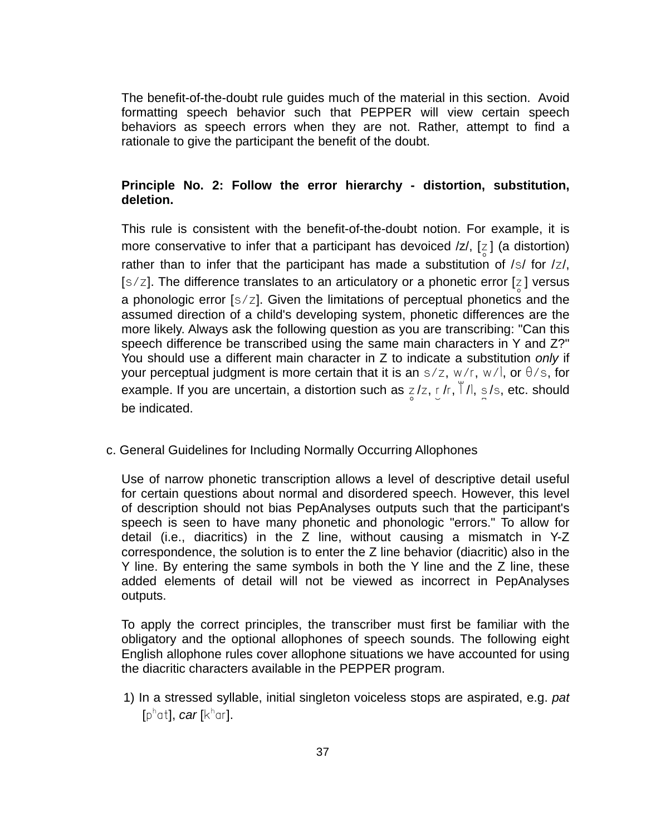The benefit-of-the-doubt rule guides much of the material in this section. Avoid formatting speech behavior such that PEPPER will view certain speech behaviors as speech errors when they are not. Rather, attempt to find a rationale to give the participant the benefit of the doubt.

## **Principle No. 2: Follow the error hierarchy - distortion, substitution, deletion.**

This rule is consistent with the benefit-of-the-doubt notion. For example, it is more conservative to infer that a participant has devoiced  $/z/$ ,  $[z]$  (a distortion) rather than to infer that the participant has made a substitution of  $\frac{s}{s}$  for  $\frac{z}{t}$ ,  $[s/z]$ . The difference translates to an articulatory or a phonetic error [z] versus a phonologic error [s/z]. Given the limitations of perceptual phonetics and the assumed direction of a child's developing system, phonetic differences are the more likely. Always ask the following question as you are transcribing: "Can this speech difference be transcribed using the same main characters in Y and Z?" You should use a different main character in Z to indicate a substitution *only* if your perceptual judgment is more certain that it is an  $s/z$ ,  $w/r$ ,  $w/l$ , or  $\theta/s$ , for example. If you are uncertain, a distortion such as  $z/z$ ,  $y/r$ ,  $\frac{y}{x}$ /l, s<sub>i</sub>/s, etc. should be indicated.

c. General Guidelines for Including Normally Occurring Allophones

Use of narrow phonetic transcription allows a level of descriptive detail useful for certain questions about normal and disordered speech. However, this level of description should not bias PepAnalyses outputs such that the participant's speech is seen to have many phonetic and phonologic "errors." To allow for detail (i.e., diacritics) in the Z line, without causing a mismatch in Y-Z correspondence, the solution is to enter the Z line behavior (diacritic) also in the Y line. By entering the same symbols in both the Y line and the Z line, these added elements of detail will not be viewed as incorrect in PepAnalyses outputs.

To apply the correct principles, the transcriber must first be familiar with the obligatory and the optional allophones of speech sounds. The following eight English allophone rules cover allophone situations we have accounted for using the diacritic characters available in the PEPPER program.

1) In a stressed syllable, initial singleton voiceless stops are aspirated, e.g. *pat* [pʰat], *car* [kʰar].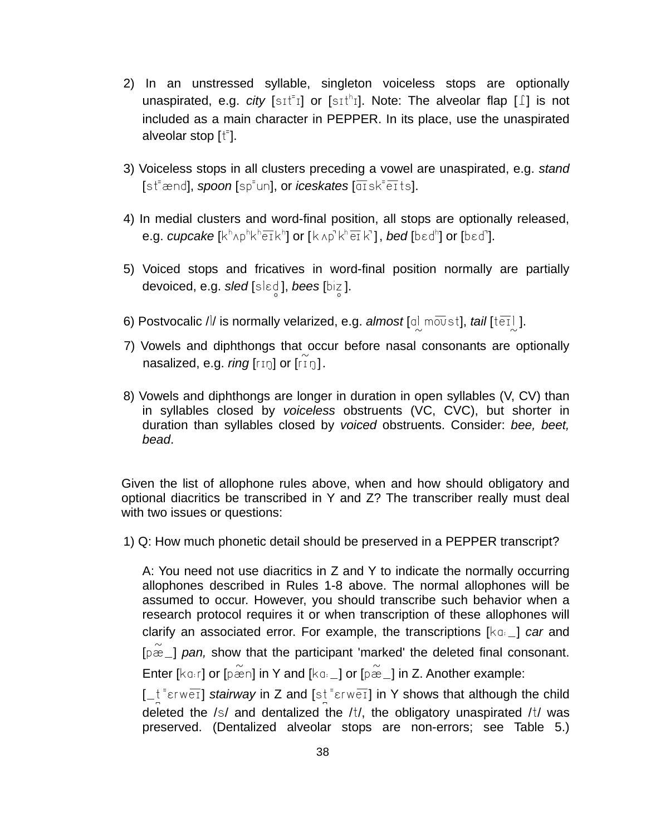- 2) In an unstressed syllable, singleton voiceless stops are optionally unaspirated, e.g. *city* [sɪt<sup>=</sup>ɪ] or [sɪt<sup>h</sup>ɪ]. Note: The alveolar flap [1] is not included as a main character in PEPPER. In its place, use the unaspirated alveolar stop  $[t^{\dagger}]$ .
- 3) Voiceless stops in all clusters preceding a vowel are unaspirated, e.g. *stand*   $[$ st<sup> $=$ </sup>ænd], *spoon*  $[sp^{\dagger}$ un], or *iceskates*  $[\overline{q_1}$ sk $^{\dagger}$ e $\overline{t}$ ts].
- 4) In medial clusters and word-final position, all stops are optionally released, e.g. *cupcake* [kʰʌpʰkʰēīkʰ] or [kʌp`kʰēīk`], *bed* [bɛdʰ] or [bɛd`].
- 5) Voiced stops and fricatives in word-final position normally are partially devoiced, e.g. *sled* [sl2d:], *bees* [biz:].
- 6) Postvocalic /l/ is normally velarized, e.g. *almost* [a] moust], *tail* [tet]].
- 7) Vowels and diphthongs that occur before nasal consonants are optionally nasalized, e.g. *ring* [rɪŋ] or [riŋ].
- 8) Vowels and diphthongs are longer in duration in open syllables (V, CV) than in syllables closed by *voiceless* obstruents (VC, CVC), but shorter in duration than syllables closed by *voiced* obstruents. Consider: *bee, beet, bead*.

Given the list of allophone rules above, when and how should obligatory and optional diacritics be transcribed in Y and Z? The transcriber really must deal with two issues or questions:

1) Q: How much phonetic detail should be preserved in a PEPPER transcript?

A: You need not use diacritics in Z and Y to indicate the normally occurring allophones described in Rules 1-8 above. The normal allophones will be assumed to occur. However, you should transcribe such behavior when a research protocol requires it or when transcription of these allophones will clarify an associated error. For example, the transcriptions  $\lbrack \kappa_0, \Delta \rbrack$  *car* and [ $pæ$ ] *pan,* show that the participant 'marked' the deleted final consonant. Enter [ $ka$ r] or [p $\widetilde{\cong}$ n] in Y and [ $ka$ <sub>-</sub>] or [p $\widetilde{\cong}$ -] in Z. Another example: [ $\pm$ <sup>t</sup> $\epsilon$ rw $\overline{e1}$ ] *stairway* in Z and [st<sup>-</sup> $\epsilon$ rw $\overline{e1}$ ] in Y shows that although the child

deleted the  $/s/$  and dentalized the  $/t/$ , the obligatory unaspirated  $/t/$  was preserved. (Dentalized alveolar stops are non-errors; see Table 5.)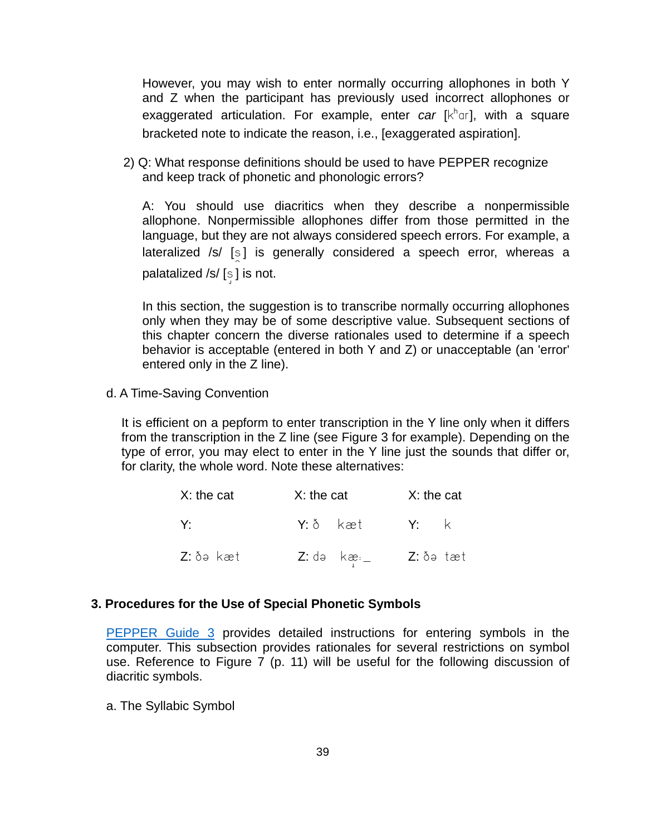However, you may wish to enter normally occurring allophones in both Y and Z when the participant has previously used incorrect allophones or exaggerated articulation. For example, enter *car*  $[k^h]$ <sub>0</sub>, with a square bracketed note to indicate the reason, i.e., [exaggerated aspiration].

2) Q: What response definitions should be used to have PEPPER recognize and keep track of phonetic and phonologic errors?

A: You should use diacritics when they describe a nonpermissible allophone. Nonpermissible allophones differ from those permitted in the language, but they are not always considered speech errors. For example, a lateralized  $/s/$  [s] is generally considered a speech error, whereas a palatalized /s/ $[s]$  is not.

In this section, the suggestion is to transcribe normally occurring allophones only when they may be of some descriptive value. Subsequent sections of this chapter concern the diverse rationales used to determine if a speech behavior is acceptable (entered in both Y and Z) or unacceptable (an 'error' entered only in the Z line).

d. A Time-Saving Convention

It is efficient on a pepform to enter transcription in the Y line only when it differs from the transcription in the Z line (see Figure 3 for example). Depending on the type of error, you may elect to enter in the Y line just the sounds that differ or, for clarity, the whole word. Note these alternatives:

| X: the cat | X: the cat |                                                                               | X: the cat |  |
|------------|------------|-------------------------------------------------------------------------------|------------|--|
| V·         |            | Y:ðkæt Y:k                                                                    |            |  |
| Z: ðə kæt  |            | $Z: d \circ \kappa \circ d \circ \ldots \circ Z: \delta \circ \kappa \circ d$ |            |  |

### **3. Procedures for the Use of Special Phonetic Symbols**

[PEPPER Guide 3](https://phonology.waisman.wisc.edu/wp-content/uploads/sites/532/2019/07/PEPPER-Guide-3.pdf) provides detailed instructions for entering symbols in the computer. This subsection provides rationales for several restrictions on symbol use. Reference to Figure 7 (p. 11) will be useful for the following discussion of diacritic symbols.

a. The Syllabic Symbol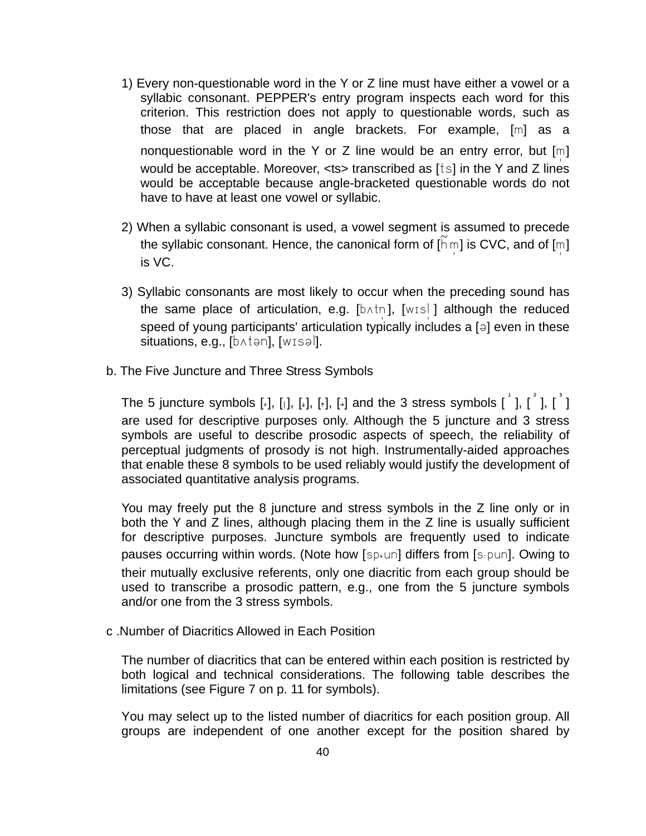- 1) Every non-questionable word in the Y or Z line must have either a vowel or a syllabic consonant. PEPPER's entry program inspects each word for this criterion. This restriction does not apply to questionable words, such as those that are placed in angle brackets. For example, [m] as a nonquestionable word in the Y or Z line would be an entry error, but  $[m]$ would be acceptable. Moreover, <ts> transcribed as [ts] in the Y and Z lines would be acceptable because angle-bracketed questionable words do not have to have at least one vowel or syllabic.
- 2) When a syllabic consonant is used, a vowel segment is assumed to precede the syllabic consonant. Hence, the canonical form of  $[\widetilde{h}m]$  is CVC, and of  $[m]$ is VC.
- 3) Syllabic consonants are most likely to occur when the preceding sound has the same place of articulation, e.g.  $[b \land t \land 1]$ ,  $[w \land s]$  although the reduced speed of young participants' articulation typically includes a  $\lceil \theta \rceil$  even in these situations, e.g.,  $[b \land t \Rightarrow n]$ , [wisəl].
- b. The Five Juncture and Three Stress Symbols

The 5 juncture symbols [+], [i], [+], [+], [-] and the 3 stress symbols  $\begin{bmatrix} 1 & 0 \\ 0 & 1 \end{bmatrix}$ ,  $\begin{bmatrix} 1 & 0 \\ 0 & 1 \end{bmatrix}$ are used for descriptive purposes only. Although the 5 juncture and 3 stress symbols are useful to describe prosodic aspects of speech, the reliability of perceptual judgments of prosody is not high. Instrumentally-aided approaches that enable these 8 symbols to be used reliably would justify the development of associated quantitative analysis programs.

You may freely put the 8 juncture and stress symbols in the Z line only or in both the Y and Z lines, although placing them in the Z line is usually sufficient for descriptive purposes. Juncture symbols are frequently used to indicate pauses occurring within words. (Note how  $[sp+un]$  differs from [spun]. Owing to their mutually exclusive referents, only one diacritic from each group should be used to transcribe a prosodic pattern, e.g., one from the 5 juncture symbols and/or one from the 3 stress symbols.

c .Number of Diacritics Allowed in Each Position

The number of diacritics that can be entered within each position is restricted by both logical and technical considerations. The following table describes the limitations (see Figure 7 on p. 11 for symbols).

You may select up to the listed number of diacritics for each position group. All groups are independent of one another except for the position shared by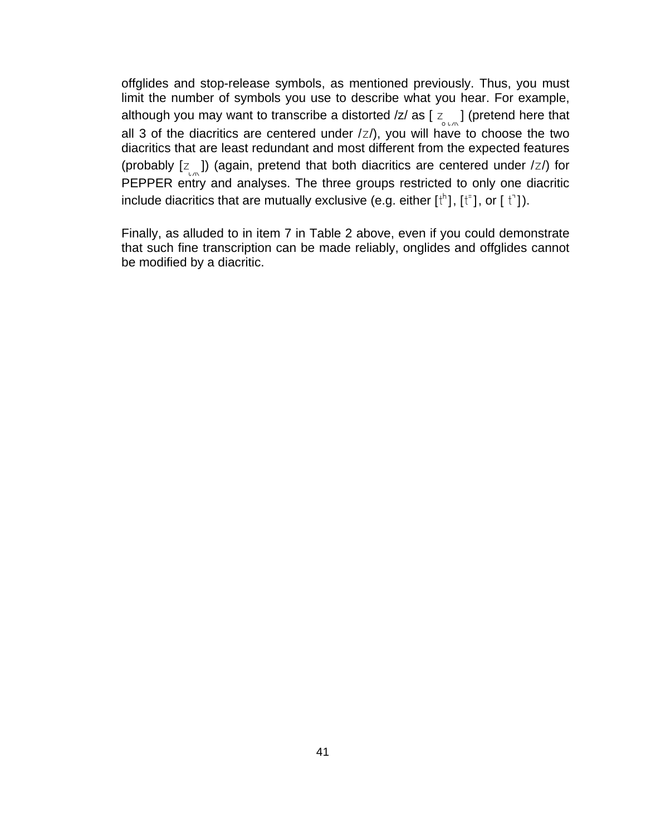offglides and stop-release symbols, as mentioned previously. Thus, you must limit the number of symbols you use to describe what you hear. For example, although you may want to transcribe a distorted /z/ as [ $z_{\text{max}}$ ] (pretend here that all 3 of the diacritics are centered under  $\frac{z}{z}$ , you will have to choose the two diacritics that are least redundant and most different from the expected features (probably  $[z]$ ) (again, pretend that both diacritics are centered under  $|z|$ ) for PEPPER entry and analyses. The three groups restricted to only one diacritic include diacritics that are mutually exclusive (e.g. either  $[t^h]$ ,  $[t^=]$ , or  $[t^+]$ ).

Finally, as alluded to in item 7 in Table 2 above, even if you could demonstrate that such fine transcription can be made reliably, onglides and offglides cannot be modified by a diacritic.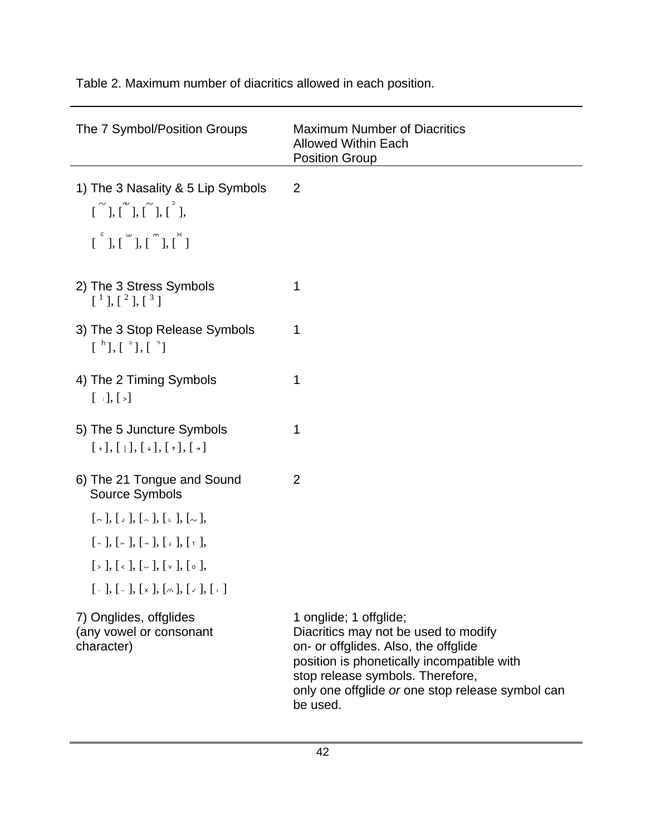| The 7 Symbol/Position Groups                                                                                                                                                                                                                                                                                                                                                                                                                                                                                                          | <b>Maximum Number of Diacritics</b><br><b>Allowed Within Each</b><br><b>Position Group</b>                                                                                                                                                               |
|---------------------------------------------------------------------------------------------------------------------------------------------------------------------------------------------------------------------------------------------------------------------------------------------------------------------------------------------------------------------------------------------------------------------------------------------------------------------------------------------------------------------------------------|----------------------------------------------------------------------------------------------------------------------------------------------------------------------------------------------------------------------------------------------------------|
| 1) The 3 Nasality & 5 Lip Symbols<br>$\begin{bmatrix} 1 \ 1 \end{bmatrix}, \begin{bmatrix} 1 \ 1 \end{bmatrix}, \begin{bmatrix} 1 \ 1 \end{bmatrix}, \begin{bmatrix} 1 \ 1 \end{bmatrix}, \begin{bmatrix} 1 \ 1 \end{bmatrix}, \begin{bmatrix} 1 \ 1 \end{bmatrix}, \begin{bmatrix} 1 \ 1 \end{bmatrix}, \begin{bmatrix} 1 \ 1 \end{bmatrix}, \begin{bmatrix} 1 \ 1 \end{bmatrix}, \begin{bmatrix} 1 \ 1 \end{bmatrix}, \begin{bmatrix} 1 \ 1 \end{bmatrix}, \begin{bmatrix} 1 \ 1 \end{bmatrix}, \begin{bmatrix} 1 \ 1 \end{bmatrix$ | 2                                                                                                                                                                                                                                                        |
| $\begin{bmatrix} 1 & 1 \\ 1 & 1 \end{bmatrix}, \begin{bmatrix} 1 & 1 \\ 1 & 1 \end{bmatrix}, \begin{bmatrix} 1 & 1 \\ 1 & 1 \end{bmatrix}$                                                                                                                                                                                                                                                                                                                                                                                            |                                                                                                                                                                                                                                                          |
| 2) The 3 Stress Symbols<br>$\begin{bmatrix} 1 \end{bmatrix}, \begin{bmatrix} 2 \end{bmatrix}, \begin{bmatrix} 3 \end{bmatrix}$                                                                                                                                                                                                                                                                                                                                                                                                        | 1                                                                                                                                                                                                                                                        |
| 3) The 3 Stop Release Symbols<br>$\begin{bmatrix} h \\ h \end{bmatrix}, \begin{bmatrix} h \\ h \end{bmatrix}, \begin{bmatrix} h \\ h \end{bmatrix}$                                                                                                                                                                                                                                                                                                                                                                                   | 1                                                                                                                                                                                                                                                        |
| 4) The 2 Timing Symbols<br>$[ \; : \; ] , [ \; > ]$                                                                                                                                                                                                                                                                                                                                                                                                                                                                                   | 1                                                                                                                                                                                                                                                        |
| 5) The 5 Juncture Symbols<br>$[+]$ , $[+]$ , $[$ $]$ , $[$ $]$ , $[$ $]$ , $[$ $]$ , $[$ $]$                                                                                                                                                                                                                                                                                                                                                                                                                                          | 1                                                                                                                                                                                                                                                        |
| 6) The 21 Tongue and Sound<br>Source Symbols                                                                                                                                                                                                                                                                                                                                                                                                                                                                                          | $\overline{2}$                                                                                                                                                                                                                                           |
| $\left[ \begin{array}{c} 0 \\ 1 \end{array} \right], \left[ \begin{array}{c} 0 \\ 0 \end{array} \right], \left[ \begin{array}{c} 0 \\ 0 \end{array} \right], \left[ \begin{array}{c} 0 \\ 0 \end{array} \right],$                                                                                                                                                                                                                                                                                                                     |                                                                                                                                                                                                                                                          |
| $[-], [-], [-], [-], [\underline{1},], [\underline{r}],$                                                                                                                                                                                                                                                                                                                                                                                                                                                                              |                                                                                                                                                                                                                                                          |
| $[\,\cdot\,], [\,\cdot\,], [\,\cdot\,], [\,\cdot\,], [\,\cdot\,],$                                                                                                                                                                                                                                                                                                                                                                                                                                                                    |                                                                                                                                                                                                                                                          |
| $[ \cdot ] , [ \cdot ], [ \cdot ], [ \times ], [ \wedge ], [ \cdot ], [ \cdot ]$                                                                                                                                                                                                                                                                                                                                                                                                                                                      |                                                                                                                                                                                                                                                          |
| 7) Onglides, offglides<br>(any vowel or consonant<br>character)                                                                                                                                                                                                                                                                                                                                                                                                                                                                       | 1 onglide; 1 offglide;<br>Diacritics may not be used to modify<br>on- or offglides. Also, the offglide<br>position is phonetically incompatible with<br>stop release symbols. Therefore,<br>only one offglide or one stop release symbol can<br>be used. |

Table 2. Maximum number of diacritics allowed in each position.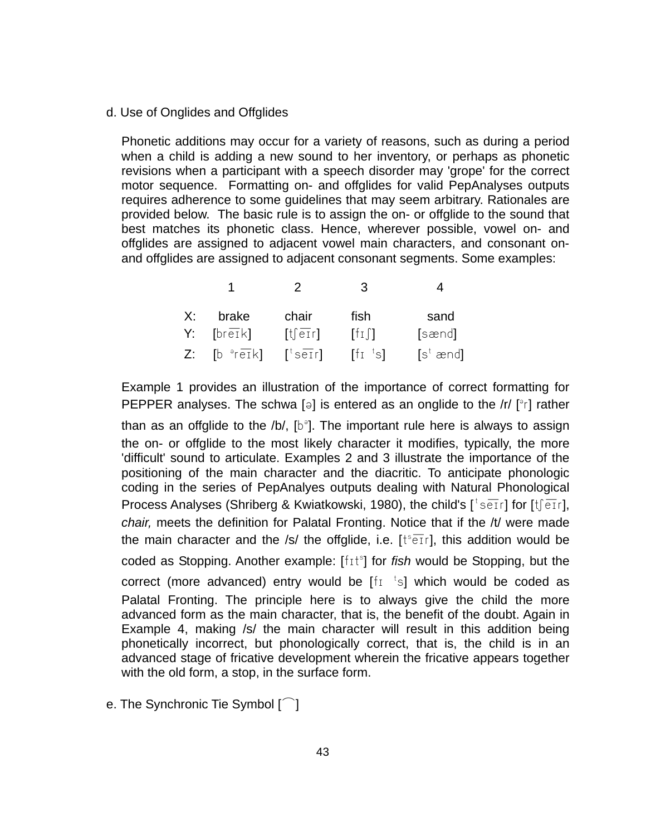#### d. Use of Onglides and Offglides

Phonetic additions may occur for a variety of reasons, such as during a period when a child is adding a new sound to her inventory, or perhaps as phonetic revisions when a participant with a speech disorder may 'grope' for the correct motor sequence. Formatting on- and offglides for valid PepAnalyses outputs requires adherence to some guidelines that may seem arbitrary. Rationales are provided below. The basic rule is to assign the on- or offglide to the sound that best matches its phonetic class. Hence, wherever possible, vowel on- and offglides are assigned to adjacent vowel main characters, and consonant onand offglides are assigned to adjacent consonant segments. Some examples:

|                           | $\mathcal{L}$                                                                                                                  | 3                                                |                             |
|---------------------------|--------------------------------------------------------------------------------------------------------------------------------|--------------------------------------------------|-----------------------------|
| brake<br>X:               | chair                                                                                                                          | fish                                             | sand                        |
| $Y:$ [breik]              | $[t]$ $e$ $r$ ]                                                                                                                | $\lceil f_1 \rceil$                              | [sænd]                      |
| $Z:$ [b $\sqrt[3]{eI}k$ ] | $\left[\begin{smallmatrix} \dagger & \mathbf{0} & \mathbf{0} \\ \mathbf{0} & \mathbf{0} & \mathbf{0} \end{smallmatrix}\right]$ | $\left[\begin{matrix} 1 & 1 \end{matrix}\right]$ | $[s^{\dagger} \text{ and}]$ |

Example 1 provides an illustration of the importance of correct formatting for PEPPER analyses. The schwa [a] is entered as an onglide to the /r/ [ $\degree$ r] rather

than as an offglide to the /b/,  $[b^{\circ}]$ . The important rule here is always to assign the on- or offglide to the most likely character it modifies, typically, the more 'difficult' sound to articulate. Examples 2 and 3 illustrate the importance of the positioning of the main character and the diacritic. To anticipate phonologic coding in the series of PepAnalyes outputs dealing with Natural Phonological Process Analyses (Shriberg & Kwiatkowski, 1980), the child's [ $\frac{t}{s}$  setr] for [t͡j etr], *chair,* meets the definition for Palatal Fronting. Notice that if the /t/ were made the main character and the /s/ the offglide, i.e. [ $t^s$  $\overline{e}$ Tr], this addition would be coded as Stopping. Another example: [fit<sup>s</sup>] for *fish* would be Stopping, but the correct (more advanced) entry would be  $[f_1$ <sup>t</sup>s] which would be coded as Palatal Fronting. The principle here is to always give the child the more advanced form as the main character, that is, the benefit of the doubt. Again in Example 4, making /s/ the main character will result in this addition being phonetically incorrect, but phonologically correct, that is, the child is in an advanced stage of fricative development wherein the fricative appears together with the old form, a stop, in the surface form.

e. The Synchronic Tie Symbol  $\lceil \widehat{\phantom{a}} \rceil$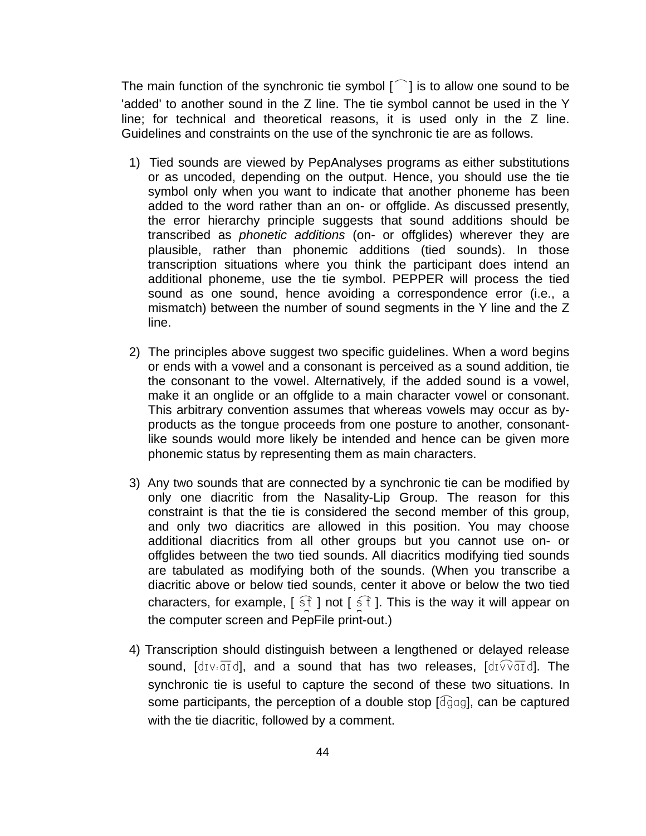The main function of the synchronic tie symbol  $\lceil \bigcap \rceil$  is to allow one sound to be 'added' to another sound in the Z line. The tie symbol cannot be used in the Y line; for technical and theoretical reasons, it is used only in the Z line. Guidelines and constraints on the use of the synchronic tie are as follows.

- 1) Tied sounds are viewed by PepAnalyses programs as either substitutions or as uncoded, depending on the output. Hence, you should use the tie symbol only when you want to indicate that another phoneme has been added to the word rather than an on- or offglide. As discussed presently, the error hierarchy principle suggests that sound additions should be transcribed as *phonetic additions* (on- or offglides) wherever they are plausible, rather than phonemic additions (tied sounds). In those transcription situations where you think the participant does intend an additional phoneme, use the tie symbol. PEPPER will process the tied sound as one sound, hence avoiding a correspondence error (i.e., a mismatch) between the number of sound segments in the Y line and the Z line.
- 2) The principles above suggest two specific guidelines. When a word begins or ends with a vowel and a consonant is perceived as a sound addition, tie the consonant to the vowel. Alternatively, if the added sound is a vowel, make it an onglide or an offglide to a main character vowel or consonant. This arbitrary convention assumes that whereas vowels may occur as byproducts as the tongue proceeds from one posture to another, consonantlike sounds would more likely be intended and hence can be given more phonemic status by representing them as main characters.
- 3) Any two sounds that are connected by a synchronic tie can be modified by only one diacritic from the Nasality-Lip Group. The reason for this constraint is that the tie is considered the second member of this group, and only two diacritics are allowed in this position. You may choose additional diacritics from all other groups but you cannot use on- or offglides between the two tied sounds. All diacritics modifying tied sounds are tabulated as modifying both of the sounds. (When you transcribe a diacritic above or below tied sounds, center it above or below the two tied characters, for example,  $\left[\begin{array}{c} \in \mathbb{R} \\ 0 \end{array}\right]$  not  $\left[\begin{array}{c} \in \mathbb{R} \\ 0 \end{array}\right]$ . This is the way it will appear on the computer screen and PepFile print-out.)
- 4) Transcription should distinguish between a lengthened or delayed release sound,  $\left[\text{div}\right.\overline{\text{ord}}\right]$ , and a sound that has two releases,  $\left[\text{div}\right.\overline{\text{ord}}\right]$ . The synchronic tie is useful to capture the second of these two situations. In some participants, the perception of a double stop  $\lceil \frac{d}{g}q \rceil$ , can be captured with the tie diacritic, followed by a comment.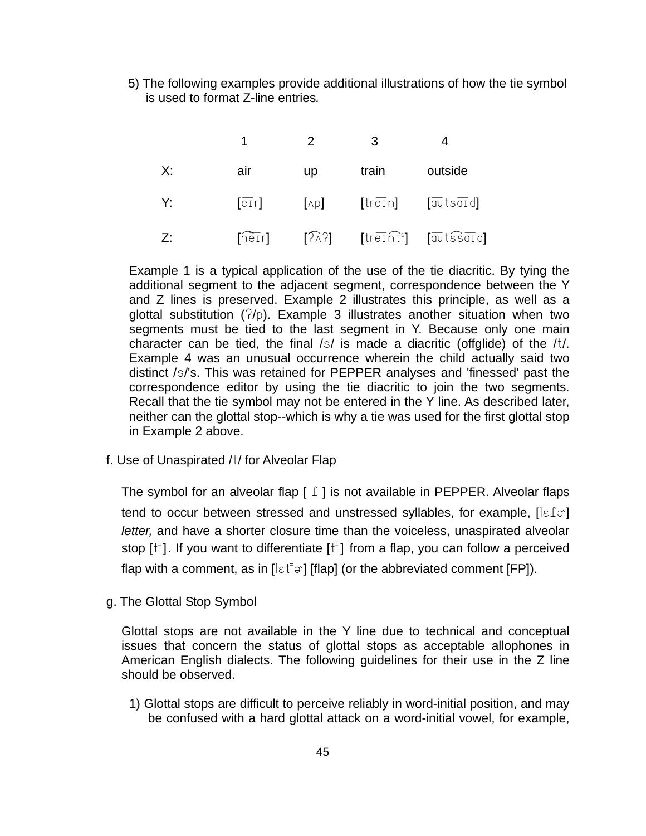5) The following examples provide additional illustrations of how the tie symbol is used to format Z-line entries*.* 

|                            |     | $\overline{\mathbf{2}}$ |                                                                                        |                                                                                                                                           |
|----------------------------|-----|-------------------------|----------------------------------------------------------------------------------------|-------------------------------------------------------------------------------------------------------------------------------------------|
| X:                         | air | $\mathsf{up}$           | train                                                                                  | outside                                                                                                                                   |
| $Y:$ and $Y:$              |     |                         | $\overline{[e]}$ $\overline{[A]}$ $\overline{[tre]}$ $\overline{[a}vts\overline{a}id]$ |                                                                                                                                           |
| $Z$ : $\sim$ $\sim$ $\sim$ |     |                         |                                                                                        | $[\widehat{\text{heir}}]$ $[\widehat{\land} \widehat{\land}]$ $[\text{treinf}^{\text{s}}]$ $[\overline{\text{av}} \widehat{\text{ssar}}]$ |

Example 1 is a typical application of the use of the tie diacritic. By tying the additional segment to the adjacent segment, correspondence between the Y and Z lines is preserved. Example 2 illustrates this principle, as well as a glottal substitution  $(7/p)$ . Example 3 illustrates another situation when two segments must be tied to the last segment in Y. Because only one main character can be tied, the final  $/s/$  is made a diacritic (offglide) of the  $/t/$ . Example 4 was an unusual occurrence wherein the child actually said two distinct /s/'s. This was retained for PEPPER analyses and 'finessed' past the correspondence editor by using the tie diacritic to join the two segments. Recall that the tie symbol may not be entered in the Y line. As described later, neither can the glottal stop--which is why a tie was used for the first glottal stop in Example 2 above.

f. Use of Unaspirated /t/ for Alveolar Flap

The symbol for an alveolar flap  $\lceil \int$  is not available in PEPPER. Alveolar flaps tend to occur between stressed and unstressed syllables, for example,  $\lceil \varepsilon \rfloor \ni \rceil$ *letter,* and have a shorter closure time than the voiceless, unaspirated alveolar stop  $[t^{\dagger}]$ . If you want to differentiate  $[t^{\dagger}]$  from a flap, you can follow a perceived flap with a comment, as in  $[\text{let}^{\dagger}\vartheta]$  [flap] (or the abbreviated comment [FP]).

g. The Glottal Stop Symbol

Glottal stops are not available in the Y line due to technical and conceptual issues that concern the status of glottal stops as acceptable allophones in American English dialects. The following guidelines for their use in the Z line should be observed.

1) Glottal stops are difficult to perceive reliably in word-initial position, and may be confused with a hard glottal attack on a word-initial vowel, for example,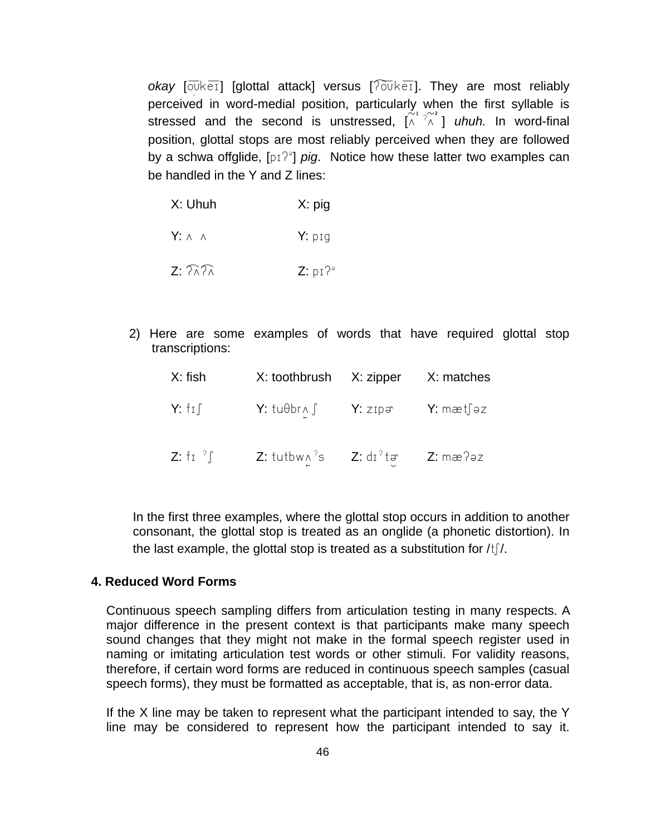*okay* [ouket] [glottal attack] versus [?ouket]. They are most reliably perceived in word-medial position, particularly when the first syllable is stressed and the second is unstressed,  $[\widehat{A}^{\gamma} \widehat{A}]$  *uhuh.* In word-final position, glottal stops are most reliably perceived when they are followed by a schwa offglide, [pɪ<sup> $\gamma$ ə</sup>] *pig*. Notice how these latter two examples can be handled in the Y and Z lines:

| X: Uhuh                  | $X:$ pig |
|--------------------------|----------|
| $Y: \wedge \wedge$       | $Y:$ pig |
| $Z: 7\lambda$ $7\lambda$ | Z: pI?°  |

2) Here are some examples of words that have required glottal stop transcriptions:

| X: fish | X: toothbrush X: zipper X: matches                                                                                        |  |
|---------|---------------------------------------------------------------------------------------------------------------------------|--|
|         | $Y: f \text{ if } Y: \text{tubbr} \land \int Y: z \text{tip} \Rightarrow Y: \text{mætf} \Rightarrow z$                    |  |
|         | <b>Z</b> : fr <sup>2</sup> $\int$ <b>Z</b> : tutbw $\wedge$ <sup>2</sup> s <b>Z</b> : dr <sup>2</sup> ta <b>Z</b> : mæ2ez |  |

In the first three examples, where the glottal stop occurs in addition to another consonant, the glottal stop is treated as an onglide (a phonetic distortion). In the last example, the glottal stop is treated as a substitution for  $\frac{1}{1}$ .

### **4. Reduced Word Forms**

Continuous speech sampling differs from articulation testing in many respects. A major difference in the present context is that participants make many speech sound changes that they might not make in the formal speech register used in naming or imitating articulation test words or other stimuli. For validity reasons, therefore, if certain word forms are reduced in continuous speech samples (casual speech forms), they must be formatted as acceptable, that is, as non-error data.

If the X line may be taken to represent what the participant intended to say, the Y line may be considered to represent how the participant intended to say it.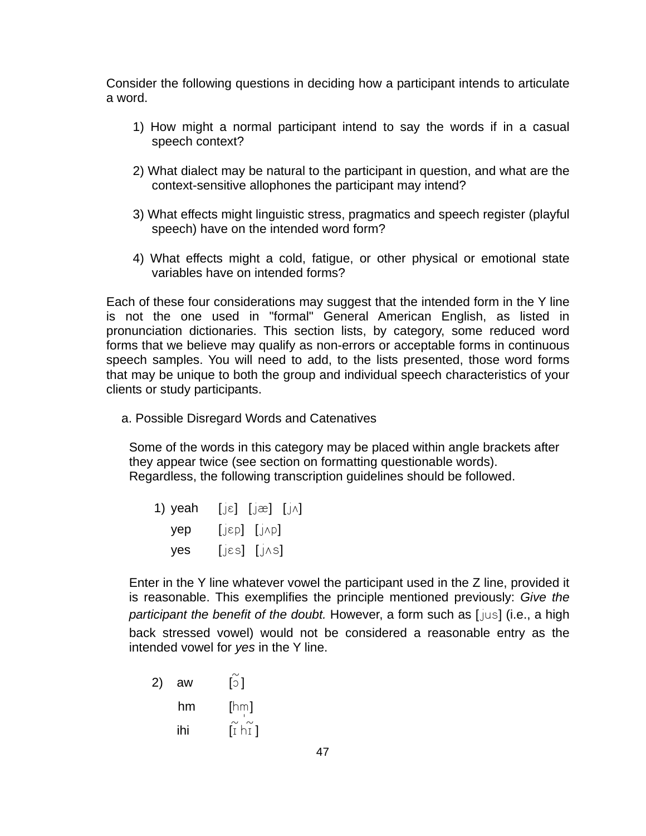Consider the following questions in deciding how a participant intends to articulate a word.

- 1) How might a normal participant intend to say the words if in a casual speech context?
- 2) What dialect may be natural to the participant in question, and what are the context-sensitive allophones the participant may intend?
- 3) What effects might linguistic stress, pragmatics and speech register (playful speech) have on the intended word form?
- 4) What effects might a cold, fatigue, or other physical or emotional state variables have on intended forms?

Each of these four considerations may suggest that the intended form in the Y line is not the one used in "formal" General American English, as listed in pronunciation dictionaries. This section lists, by category, some reduced word forms that we believe may qualify as non-errors or acceptable forms in continuous speech samples. You will need to add, to the lists presented, those word forms that may be unique to both the group and individual speech characteristics of your clients or study participants.

a. Possible Disregard Words and Catenatives

Some of the words in this category may be placed within angle brackets after they appear twice (see section on formatting questionable words). Regardless, the following transcription guidelines should be followed.

| 1) yeah | $[j\varepsilon]$ $[j\varepsilon]$ $[j\wedge]$ |  |
|---------|-----------------------------------------------|--|
| yep     | $[j\varepsilon p]$ $[j\wedge p]$              |  |
| yes     | $[JS]$ $[JS]$                                 |  |

Enter in the Y line whatever vowel the participant used in the Z line, provided it is reasonable. This exemplifies the principle mentioned previously: *Give the participant the benefit of the doubt.* However, a form such as [jus] (i.e., a high back stressed vowel) would not be considered a reasonable entry as the intended vowel for *yes* in the Y line.

2) aw  $\begin{bmatrix} 5 \end{bmatrix}$  $hm$  [hm] ihi  $\tilde{I}$   $\tilde{I}$   $\tilde{h}$   $\tilde{I}$   $\tilde{I}$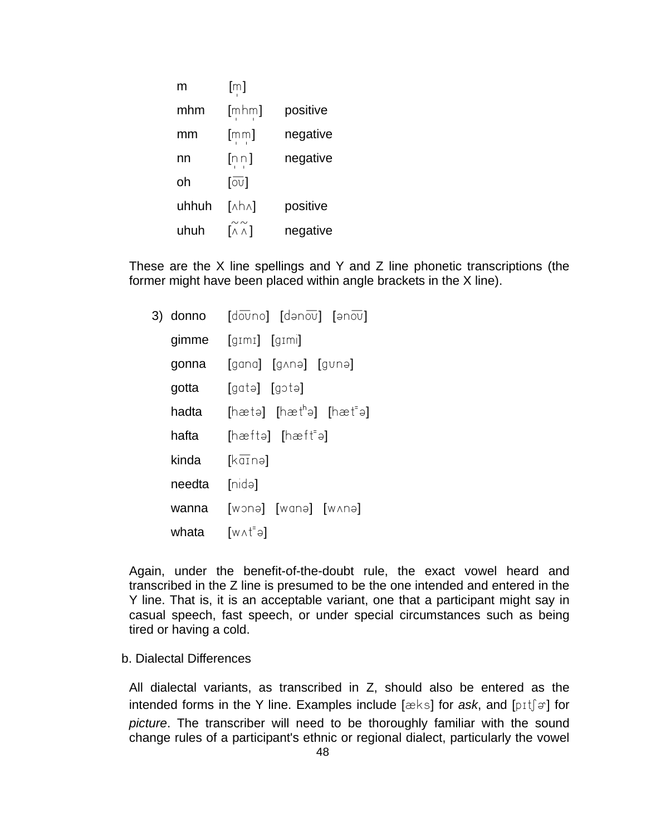| m     | $[\mathbb{m}]$           |          |
|-------|--------------------------|----------|
| mhm   | $[$ mhm]                 | positive |
| mm    | $[\mathsf{mm}]$          | negative |
| nn    | [nn]                     | negative |
| oh    | [ $\overline{\circ v}$ ] |          |
| uhhuh | $[nh \wedge]$            | positive |
| uhuh  | $[\wedge \wedge]$        | negative |

These are the X line spellings and Y and Z line phonetic transcriptions (the former might have been placed within angle brackets in the X line).

|        | 3) donno $[\text{dāvno}]$ $[\text{dənāv}]$ $[\text{ənāv}]$ |
|--------|------------------------------------------------------------|
|        | gimme [gɪmɪ] [gɪmi]                                        |
| gonna  | [gana] [gʌnə] [gʊnə]                                       |
| gotta  | [gatə] [gɔtə]                                              |
| hadta  | $[hat]$ $[hat]$ $[hat]$ $[hat]$                            |
| hafta  | [hat]                                                      |
| kinda  | $[k\overline{a}$ inəl                                      |
| needta | [mid]                                                      |
| wanna  | [wɔnə] [wɑnə] [wʌnə]                                       |
| whata  | [w∧t"ə]                                                    |

Again, under the benefit-of-the-doubt rule, the exact vowel heard and transcribed in the Z line is presumed to be the one intended and entered in the Y line. That is, it is an acceptable variant, one that a participant might say in casual speech, fast speech, or under special circumstances such as being tired or having a cold.

#### b. Dialectal Differences

All dialectal variants, as transcribed in Z, should also be entered as the intended forms in the Y line. Examples include  $[\alpha k s]$  for *ask*, and  $[pif]$  for *picture*. The transcriber will need to be thoroughly familiar with the sound change rules of a participant's ethnic or regional dialect, particularly the vowel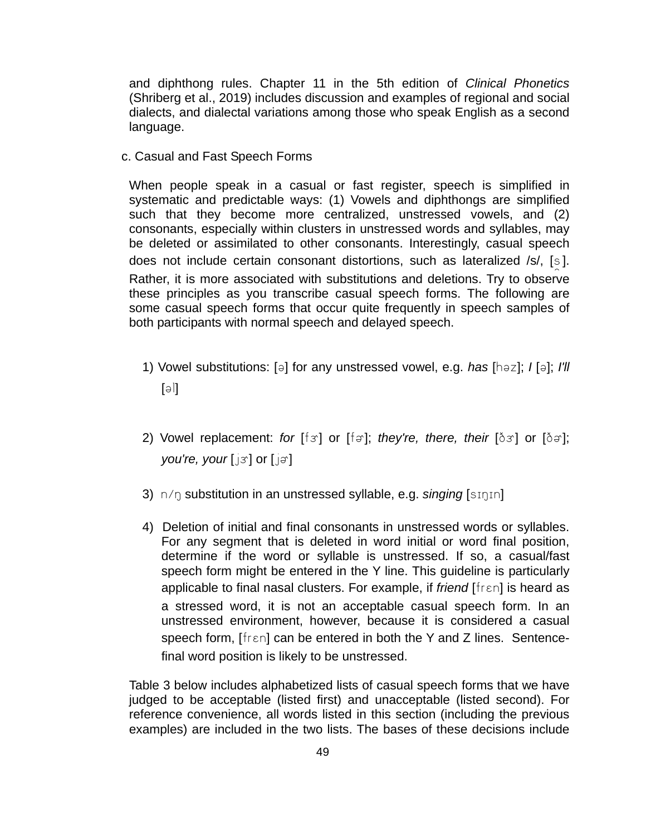and diphthong rules. Chapter 11 in the 5th edition of *Clinical Phonetics* (Shriberg et al., 2019) includes discussion and examples of regional and social dialects, and dialectal variations among those who speak English as a second language.

c. Casual and Fast Speech Forms

When people speak in a casual or fast register, speech is simplified in systematic and predictable ways: (1) Vowels and diphthongs are simplified such that they become more centralized, unstressed vowels, and (2) consonants, especially within clusters in unstressed words and syllables, may be deleted or assimilated to other consonants. Interestingly, casual speech does not include certain consonant distortions, such as lateralized /s/,  $[s]$ . Rather, it is more associated with substitutions and deletions. Try to observe these principles as you transcribe casual speech forms. The following are some casual speech forms that occur quite frequently in speech samples of both participants with normal speech and delayed speech.

- 1) Vowel substitutions: [a] for any unstressed vowel, e.g. *has* [haz]; *I* [a]; *I'll*  $[|\in]$
- 2) Vowel replacement: *for* [f*s*] or [fa]; *they're, there, their* [ $\delta$ *s*] or [ $\delta$ a]; *you're, your* [*j*3**]** or [*j*<sub> $\theta$ </sub>]
- 3) n/ŋ substitution in an unstressed syllable, e.g. *singing* [sɪŋɪn]
- 4) Deletion of initial and final consonants in unstressed words or syllables. For any segment that is deleted in word initial or word final position, determine if the word or syllable is unstressed. If so, a casual/fast speech form might be entered in the Y line. This guideline is particularly applicable to final nasal clusters. For example, if *friend* [fren] is heard as a stressed word, it is not an acceptable casual speech form. In an unstressed environment, however, because it is considered a casual speech form,  $\lceil \text{fren} \rceil$  can be entered in both the Y and Z lines. Sentencefinal word position is likely to be unstressed.

Table 3 below includes alphabetized lists of casual speech forms that we have judged to be acceptable (listed first) and unacceptable (listed second). For reference convenience, all words listed in this section (including the previous examples) are included in the two lists. The bases of these decisions include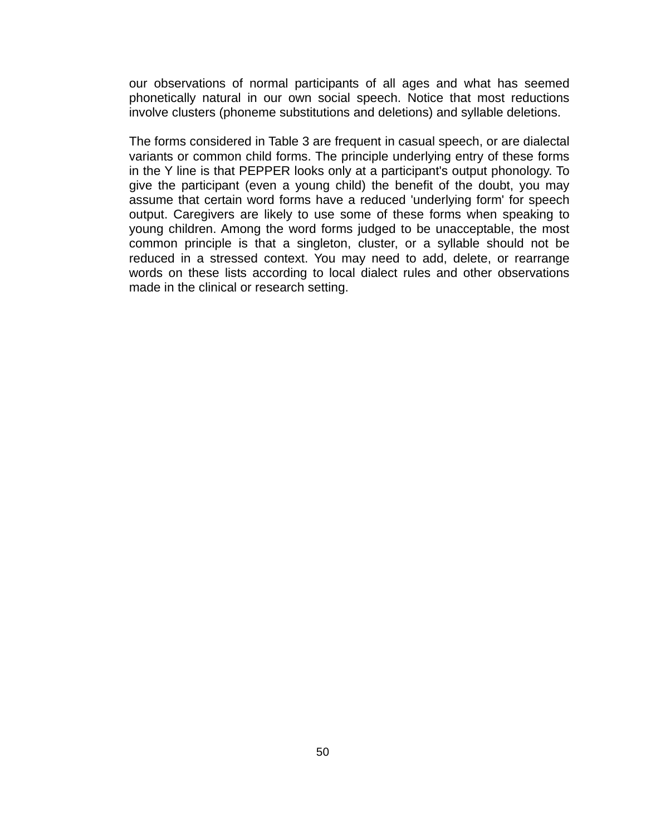our observations of normal participants of all ages and what has seemed phonetically natural in our own social speech. Notice that most reductions involve clusters (phoneme substitutions and deletions) and syllable deletions.

The forms considered in Table 3 are frequent in casual speech, or are dialectal variants or common child forms. The principle underlying entry of these forms in the Y line is that PEPPER looks only at a participant's output phonology. To give the participant (even a young child) the benefit of the doubt, you may assume that certain word forms have a reduced 'underlying form' for speech output. Caregivers are likely to use some of these forms when speaking to young children. Among the word forms judged to be unacceptable, the most common principle is that a singleton, cluster, or a syllable should not be reduced in a stressed context. You may need to add, delete, or rearrange words on these lists according to local dialect rules and other observations made in the clinical or research setting.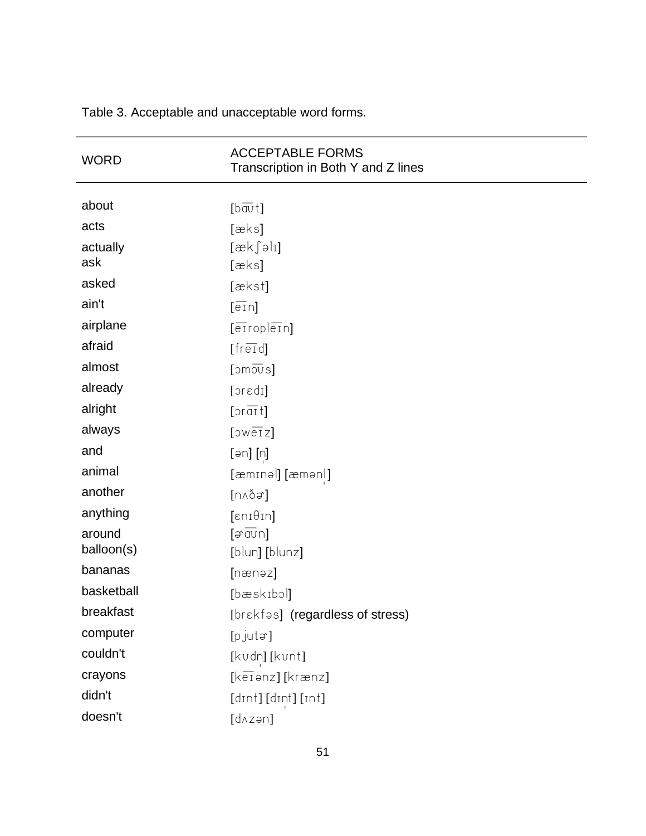| <b>WORD</b> | <b>ACCEPTABLE FORMS</b><br>Transcription in Both Y and Z lines |
|-------------|----------------------------------------------------------------|
|             |                                                                |
| about       | $[b\overline{\overline{a}}\overline{v}t]$                      |
| acts        | [æks]                                                          |
| actually    | $[\alpha k \int \theta$                                        |
| ask         | [æks]                                                          |
| asked       | [ækst]                                                         |
| ain't       | $[\overline{e1}n]$                                             |
| airplane    | $[\overline{\text{error}}]$                                    |
| afraid      | [fered]                                                        |
| almost      | $[300 \overline{\text{eV}}]$                                   |
| already     | [oredi]                                                        |
| alright     | $[\text{or} \, \overline{\text{a1}} \, t]$                     |
| always      | $[5w\overline{e1}z]$                                           |
| and         | [ən] [n]                                                       |
| animal      | [æmɪnəl] [æmənl]                                               |
| another     | [n∧ðə]                                                         |
| anything    | $[\epsilon n i \theta i n]$                                    |
| around      | $[\exists \overline{\text{av}}$ n]                             |
| balloon(s)  | [blun] [blunz]                                                 |
| bananas     | [nænəz]                                                        |
| basketball  | [bæskɪbɔl]                                                     |
| breakfast   | [brekfas] (regardless of stress)                               |
| computer    | [pjuta]                                                        |
| couldn't    | [kvdn] [kvnt]                                                  |
| crayons     | $[k\overline{e1}$ anz] [krænz]                                 |
| didn't      | [dɪnt] [dɪnt] [ɪnt]                                            |
| doesn't     | [dʌzən]                                                        |

Table 3. Acceptable and unacceptable word forms.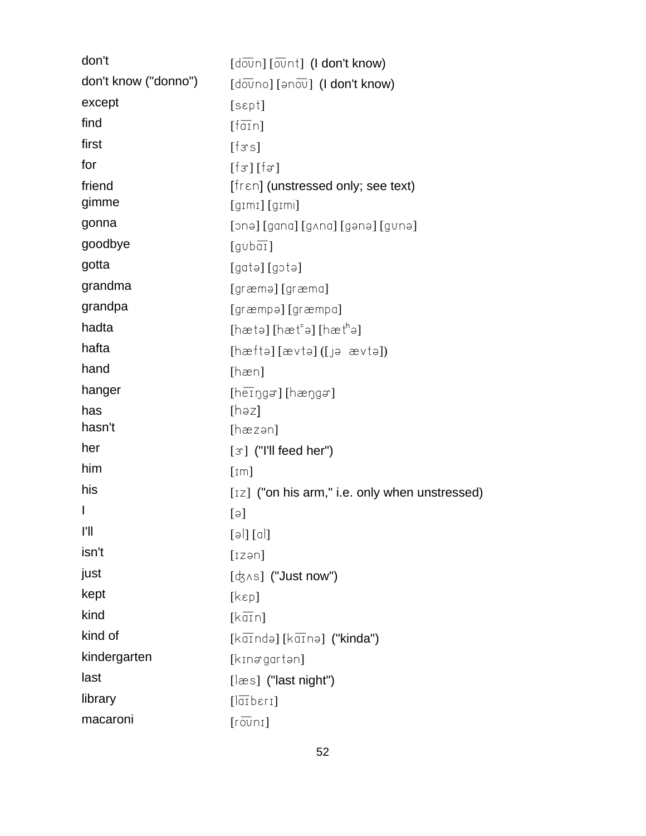| don't                | $\lbrack \text{d }\overline{\text{ow}}\text{n} \rbrack \lbrack \overline{\text{ow}}\text{n } \text{t} \rbrack \rbrack$ (I don't know) |
|----------------------|---------------------------------------------------------------------------------------------------------------------------------------|
| don't know ("donno") | $\lceil d \overline{\text{ov}} \text{no} \rceil \rceil$ (I don't know)                                                                |
| except               | [sept]                                                                                                                                |
| find                 | $[\overline{\text{fan}}]$                                                                                                             |
| first                | [fss]                                                                                                                                 |
| for                  | $[f\circ] [f\circ]$                                                                                                                   |
| friend               | $[1\text{ren}]$ (unstressed only; see text)                                                                                           |
| gimme                | $\left[\text{gim} \right]$ $\left[\text{gim} \right]$                                                                                 |
| gonna                | [ɔnə] [gana] [gʌna] [gənə] [gvnə]                                                                                                     |
| goodbye              | $[qv\bar{b\overline{a_1}}]$                                                                                                           |
| gotta                | [gatə][gɔtə]                                                                                                                          |
| grandma              | [græmə] [græma]                                                                                                                       |
| grandpa              | [græmpə] [græmpa]                                                                                                                     |
| hadta                | [hætə] [hæt-ə] [hætʰə]                                                                                                                |
| hafta                | [hæftə][ævtə]([jə ævtə])                                                                                                              |
| hand                 | [ham]                                                                                                                                 |
| hanger               | $[hei0gg][hei0gg]$                                                                                                                    |
| has                  | $[$ həz]                                                                                                                              |
| hasn't               | [hæzən]                                                                                                                               |
| her                  | $\lbrack \mathcal{F} \rbrack$ ("I'll feed her")                                                                                       |
| him                  | [Im]                                                                                                                                  |
| his                  | $[12]$ ("on his arm," i.e. only when unstressed)                                                                                      |
| I                    | $[\exists]$                                                                                                                           |
| ľI                   | [əl] [al]                                                                                                                             |
| isn't                | [izən]                                                                                                                                |
| just                 | $[\nexists \land s]$ ("Just now")                                                                                                     |
| kept                 | [kep]                                                                                                                                 |
| kind                 | $[k\overline{a}i\overline{n}]$                                                                                                        |
| kind of              | $[k\overline{a} \overline{1}$ ndə] $[k\overline{a} \overline{1}$ nə] ("kinda")                                                        |
| kindergarten         | [kɪnəgartən]                                                                                                                          |
| last                 | $[\text{less}]$ ("last night")                                                                                                        |
| library              | $[\overline{\text{left}}\text{beri}]$                                                                                                 |
| macaroni             | $[r\overline{ov}$ nı]                                                                                                                 |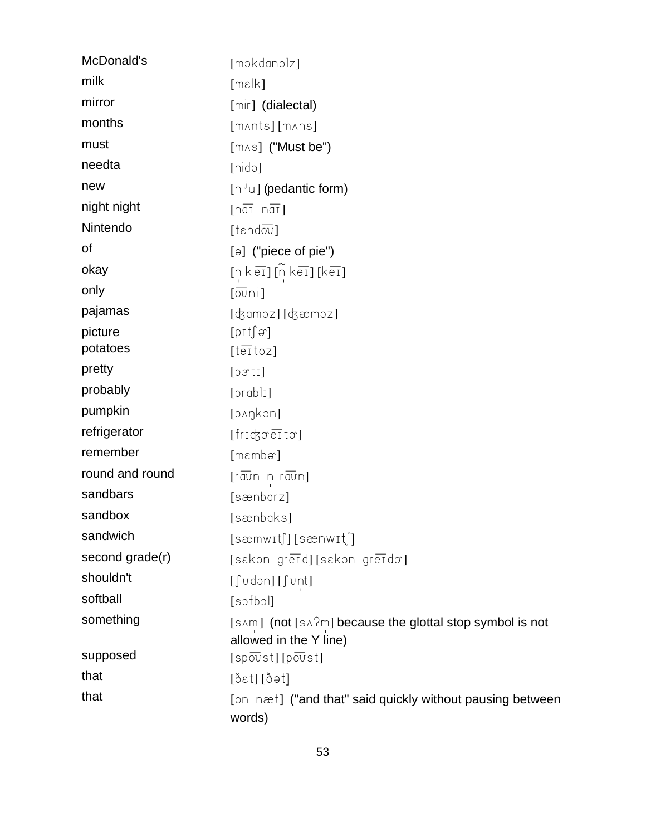| McDonald's      | [məkdanəlz]                                                                                                                                                   |
|-----------------|---------------------------------------------------------------------------------------------------------------------------------------------------------------|
| milk            | [mek]                                                                                                                                                         |
| mirror          | [mir] (dialectal)                                                                                                                                             |
| months          | [mʌnts][mʌns]                                                                                                                                                 |
| must            | $[m \wedge s]$ ("Must be")                                                                                                                                    |
| needta          | [nidə]                                                                                                                                                        |
| new             | $[n \cup j]$ (pedantic form)                                                                                                                                  |
| night night     | $\lceil n \overline{a} \overline{i} \rceil$                                                                                                                   |
| Nintendo        | $[$ t $\varepsilon$ ndov $]$                                                                                                                                  |
| οf              | $[\ni]$ ("piece of pie")                                                                                                                                      |
| okay            | $[n \text{ } k \text{ } \overline{\text{}}]$ $[\widetilde{n} \text{ } k \overline{\text{ } \overline{\text{}}}]$ $[k \overline{\text{ } \overline{\text{}}}]$ |
| only            | $\lceil \overline{\text{ov}} \text{n} \rceil$                                                                                                                 |
| pajamas         | [ʤaməz] [ʤæməz]                                                                                                                                               |
| picture         | $[{\rm pt}]$                                                                                                                                                  |
| potatoes        | $[t\overline{ei}$ toz]                                                                                                                                        |
| pretty          | [p31]                                                                                                                                                         |
| probably        | $[prab]_1$                                                                                                                                                    |
| pumpkin         | [pʌŋkən]                                                                                                                                                      |
| refrigerator    | $[fridg\sigma \overline{eI} \tau \sigma]$                                                                                                                     |
| remember        | [mɛmbə]                                                                                                                                                       |
| round and round | $[\overline{r}$ avin n $r$ avin]                                                                                                                              |
| sandbars        | [sænbarz]                                                                                                                                                     |
| sandbox         | [sænbɑks]                                                                                                                                                     |
| sandwich        | $[semwit]$ $[semwit]$                                                                                                                                         |
| second grade(r) | [sakan greid] [sakan greida]                                                                                                                                  |
| shouldn't       | [∫ʊdən] [∫ʊnt]                                                                                                                                                |
| softball        | [sofbol]                                                                                                                                                      |
| something       | [sʌm] (not [sʌʔm] because the glottal stop symbol is not<br>allowed in the Y line)                                                                            |
| supposed        | $[s \overline{\text{p} \overline{\text{ov}}} s t]$ [povst]                                                                                                    |
| that            | [ðɛt][ðət]                                                                                                                                                    |
| that            | [an næt] ("and that" said quickly without pausing between<br>words)                                                                                           |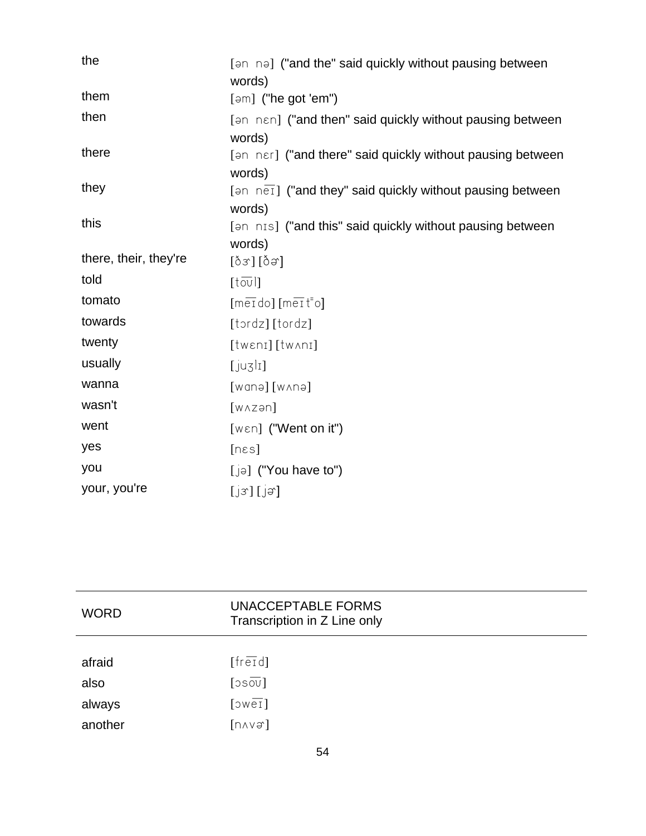| the                   | [an na] ("and the" said quickly without pausing between                  |
|-----------------------|--------------------------------------------------------------------------|
|                       | words)                                                                   |
| them                  | $[əm]$ ("he got 'em")                                                    |
| then                  | [an nen] ("and then" said quickly without pausing between                |
|                       | words)                                                                   |
| there                 | [an ner] ("and there" said quickly without pausing between               |
|                       | words)                                                                   |
| they                  | $[3n \ n\overline{ej}]$ ("and they" said quickly without pausing between |
|                       | words)                                                                   |
| this                  | [an nis] ("and this" said quickly without pausing between                |
|                       | words)                                                                   |
| there, their, they're | [ဝိဒ] [ဝိခ]                                                              |
| told                  | $[t\overline{ov}]$                                                       |
| tomato                | [merdo] [merto]                                                          |
| towards               | [tordz][tordz]                                                           |
| twenty                | [tweni][tw^ni]                                                           |
| usually               | $[$ juzli]                                                               |
| wanna                 | $[w$ anə $]$ $[w \land n$ ə $]$                                          |
| wasn't                | $[W\wedge Z\partial\Omega]$                                              |
| went                  | $[wen]$ ("Went on it")                                                   |
| yes                   | $[n\epsilon s]$                                                          |
| you                   | $[j\in]$ ("You have to")                                                 |
| your, you're          | [jx][jx]                                                                 |

| <b>WORD</b> | UNACCEPTABLE FORMS<br>Transcription in Z Line only |
|-------------|----------------------------------------------------|
|             |                                                    |
| afraid      | $[fer\overline{er}d]$                              |
| also        | $\lfloor \overline{\mathrm{vo}}$ 20                |
| always      | $[50 \times 1]$                                    |
| another     | $[n \wedge v \rightarrow v]$                       |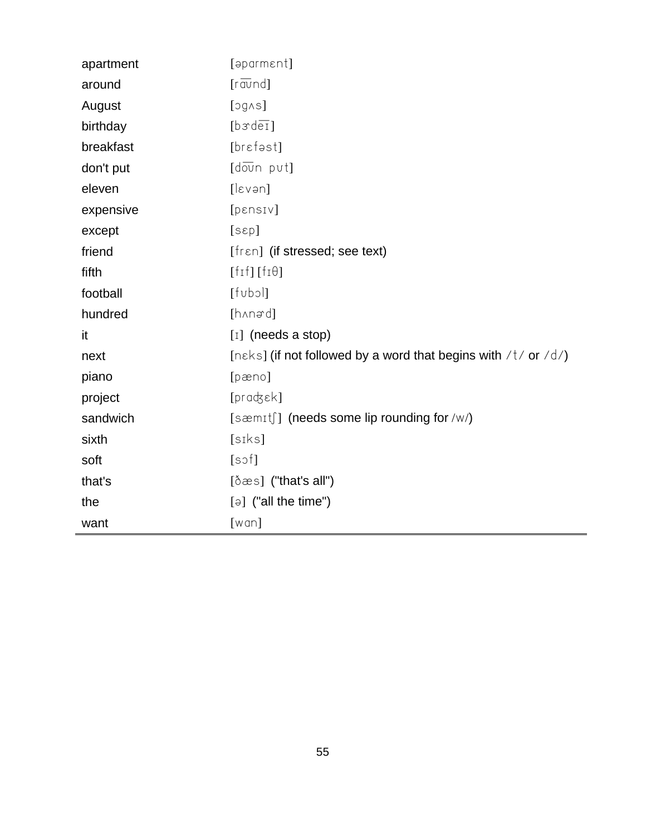| apartment | [əparmɛnt]                                                     |
|-----------|----------------------------------------------------------------|
| around    | $\lceil r \overline{\text{av}} \text{nd} \rceil$               |
| August    | [300]                                                          |
| birthday  | [bxdef]                                                        |
| breakfast | [brɛfəst]                                                      |
| don't put | $[d\overline{ov}n$ pvt]                                        |
| eleven    | [lexan]                                                        |
| expensive | [pensiv]                                                       |
| except    | [sep]                                                          |
| friend    | [fren] (if stressed; see text)                                 |
| fifth     | $[f_1f_1[f_1\theta]]$                                          |
| football  | [tubol]                                                        |
| hundred   | [hʌnəd]                                                        |
| it        | $[I]$ (needs a stop)                                           |
| next      | [nɛks] (if not followed by a word that begins with /t/ or /d/) |
| piano     | [pæno]                                                         |
| project   | $[prad; \varepsilon k]$                                        |
| sandwich  | [sæmɪtʃ] (needs some lip rounding for /w/)                     |
| sixth     | [siks]                                                         |
| soft      | [soft]                                                         |
| that's    | $[\delta \infty s]$ ("that's all")                             |
| the       | $\lceil a \rceil$ ("all the time")                             |
| want      | [wan]                                                          |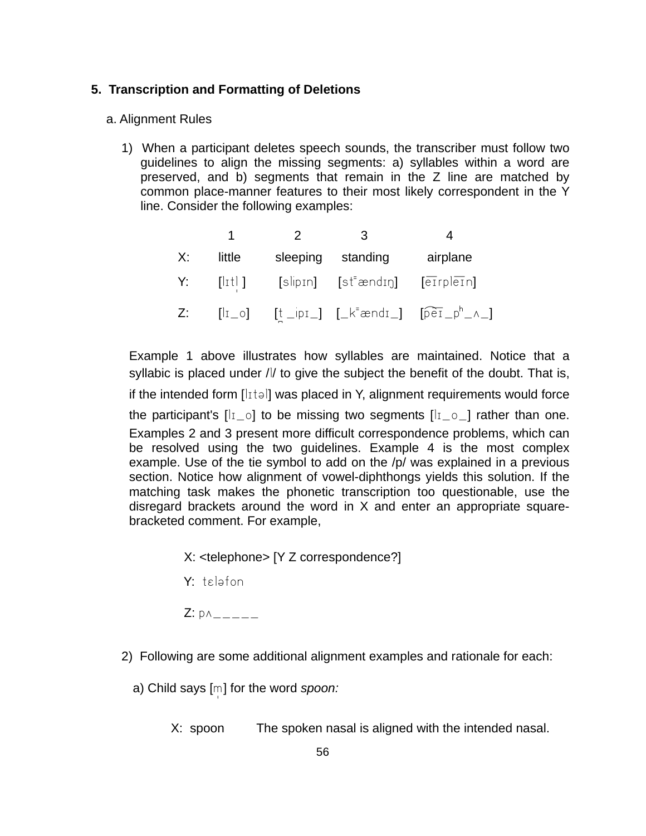### **5. Transcription and Formatting of Deletions**

### a. Alignment Rules

1) When a participant deletes speech sounds, the transcriber must follow two guidelines to align the missing segments: a) syllables within a word are preserved, and b) segments that remain in the Z line are matched by common place-manner features to their most likely correspondent in the Y line. Consider the following examples:

|       |         |          | 3                              |                                                                                                                                                                               |
|-------|---------|----------|--------------------------------|-------------------------------------------------------------------------------------------------------------------------------------------------------------------------------|
| X:    | little  | sleeping | standing                       | airplane                                                                                                                                                                      |
| Y:    | [lɪtl ] |          | [slipɪn] [stʰændɪŋ] [eɪrpleɪn] |                                                                                                                                                                               |
| $Z$ : |         |          |                                | $\begin{bmatrix} 1 & 0 \end{bmatrix}$ $\begin{bmatrix} t & p_1 \end{bmatrix}$ $\begin{bmatrix} k^{\dagger} & 0 \end{bmatrix}$ $\begin{bmatrix} k^{\dagger} & 0 \end{bmatrix}$ |

Example 1 above illustrates how syllables are maintained. Notice that a syllabic is placed under // to give the subject the benefit of the doubt. That is, if the intended form  $\lfloor |x| \rfloor$  was placed in Y, alignment requirements would force the participant's  $[I_{1\_\circ}]$  to be missing two segments  $[I_{1\_\circ}]$  rather than one. Examples 2 and 3 present more difficult correspondence problems, which can be resolved using the two guidelines. Example 4 is the most complex example. Use of the tie symbol to add on the /p/ was explained in a previous section. Notice how alignment of vowel-diphthongs yields this solution. If the matching task makes the phonetic transcription too questionable, use the disregard brackets around the word in X and enter an appropriate squarebracketed comment. For example,

X: <telephone> [Y Z correspondence?]

 $Y: t \geq 1$ 

 $Z: p \wedge _{-} - _{-} - _{-}$ 

- 2) Following are some additional alignment examples and rationale for each:
	- a) Child says [m] for the word *spoon:* 
		- X: spoon The spoken nasal is aligned with the intended nasal.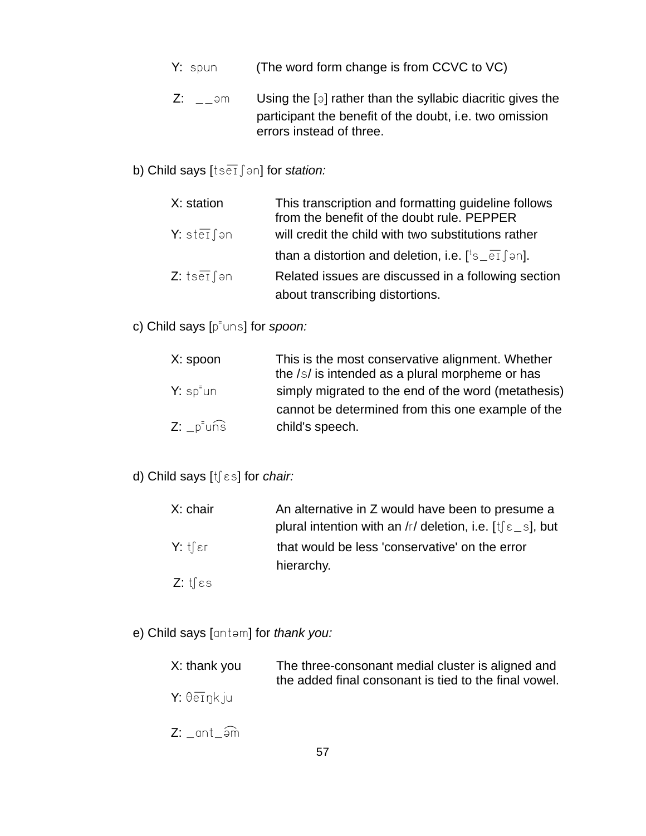- Y: spun (The word form change is from CCVC to VC)
- Z:  $\Box$   $\Box$  = 1m Using the [ $\Box$ ] rather than the syllabic diacritic gives the participant the benefit of the doubt, i.e. two omission errors instead of three.

# b) Child says [tse<sub>1</sub>  $\int$  an] for *station:*

| X: station            | This transcription and formatting guideline follows<br>from the benefit of the doubt rule. PEPPER |
|-----------------------|---------------------------------------------------------------------------------------------------|
| <b>Y</b> : stel fan   | will credit the child with two substitutions rather                                               |
|                       | than a distortion and deletion, i.e. $[^{\dagger}$ s $_{\overline{e1}}$ [ $_{\overline{e1}}$ ].   |
| $Z: tseI \text{ on }$ | Related issues are discussed in a following section                                               |
|                       | about transcribing distortions.                                                                   |

c) Child says [p<sup>-</sup>uns] for *spoon:* 

| X: spoon                            | This is the most conservative alignment. Whether<br>the /s/ is intended as a plural morpheme or has |
|-------------------------------------|-----------------------------------------------------------------------------------------------------|
| $Y: sp=un$                          | simply migrated to the end of the word (metathesis)                                                 |
|                                     | cannot be determined from this one example of the                                                   |
| $Z: \_p^{\dagger}$ un $\widehat{s}$ | child's speech.                                                                                     |

# d) Child says [tʃɛs] for *chair:*

| X: chair               | An alternative in Z would have been to presume a                   |
|------------------------|--------------------------------------------------------------------|
|                        | plural intention with an /r/ deletion, i.e. $[t] \epsilon$ s], but |
| $Y:$ tfer              | that would be less 'conservative' on the error                     |
|                        | hierarchy.                                                         |
| Z: $t \int \epsilon s$ |                                                                    |

e) Child says [antem] for *thank you:* 

| X: thank you                    | The three-consonant medial cluster is aligned and<br>the added final consonant is tied to the final vowel. |
|---------------------------------|------------------------------------------------------------------------------------------------------------|
| $Y: \theta \overline{e}$ ink ju |                                                                                                            |

 $Z:$   $\_ant$  $\widehat{=}$ m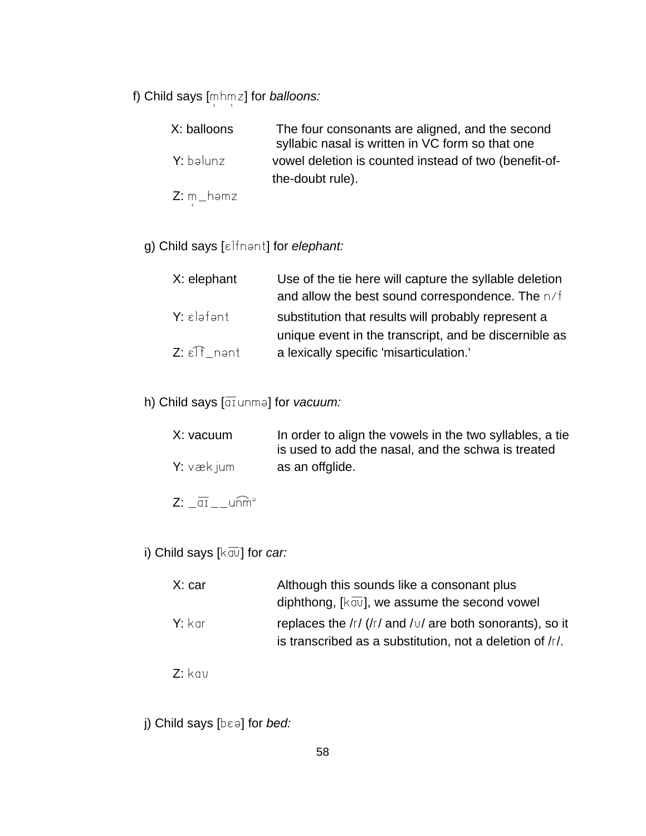f) Child says [mhmz] for *balloons:* 

| X: balloons | The four consonants are aligned, and the second<br>syllabic nasal is written in VC form so that one |
|-------------|-----------------------------------------------------------------------------------------------------|
| Y: bəlunz   | vowel deletion is counted instead of two (benefit-of-<br>the-doubt rule).                           |
|             |                                                                                                     |

 $Z: m_h$ -həmz

g) Child says [*ɛlfnənt]* for *elephant:* 

| X: elephant                   | Use of the tie here will capture the syllable deletion |
|-------------------------------|--------------------------------------------------------|
|                               | and allow the best sound correspondence. The n/f       |
| $Y:$ $\epsilon$ ləfənt        | substitution that results will probably represent a    |
|                               | unique event in the transcript, and be discernible as  |
| $Z: \epsilon \mathbb{F}$ nant | a lexically specific 'misarticulation.'                |

h) Child says [diunme] for *vacuum:* 

| X: vacuum | In order to align the vowels in the two syllables, a tie<br>is used to add the nasal, and the schwa is treated |
|-----------|----------------------------------------------------------------------------------------------------------------|
| Y: vækium | as an offglide.                                                                                                |

- $Z: \overline{\text{at}}$ <sub>--</sub>unm<sup>a</sup>
- i) Child says [ $k\overline{av}$ ] for *car:*

| X: car   | Although this sounds like a consonant plus                   |
|----------|--------------------------------------------------------------|
|          | diphthong, $[k \overline{av}]$ , we assume the second vowel  |
| $Y:$ kar | replaces the $/r$ ( $/r$ and $/v$ are both sonorants), so it |
|          | is transcribed as a substitution, not a deletion of /r/.     |

- $Z:$  kav
- j) Child says [b $\epsilon$ <sup>2</sup>] for *bed:*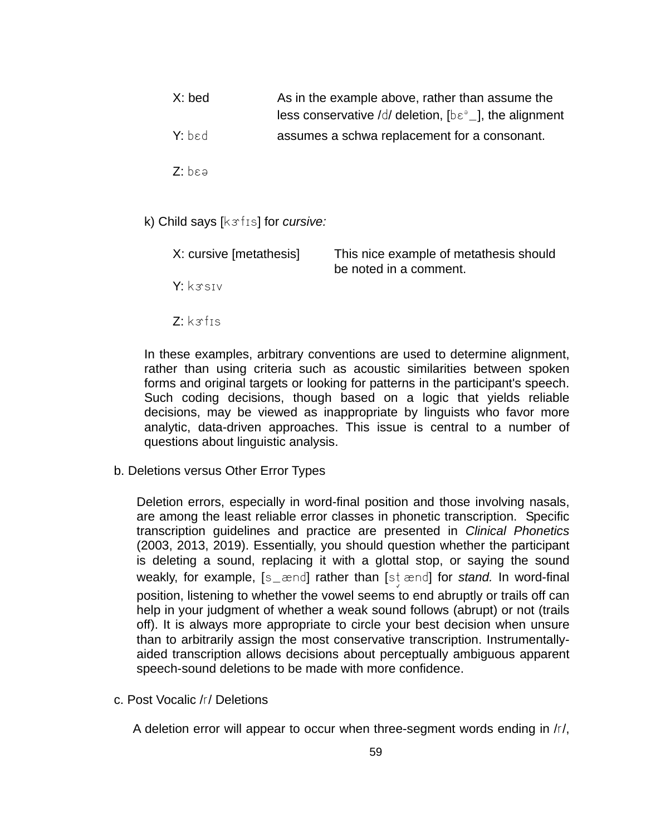- X: bed As in the example above, rather than assume the less conservative /d/ deletion,  $[b \epsilon^{\circ}]$ , the alignment Y: bed assumes a schwa replacement for a consonant.
- $Z: b \epsilon a$
- k) Child says [k $s$ fis] for *cursive:*

| X: cursive [metathesis] | This nice example of metathesis should<br>be noted in a comment. |
|-------------------------|------------------------------------------------------------------|
| Y: krsiv                |                                                                  |
| $Z:$ k $\sigma$ fis     |                                                                  |

In these examples, arbitrary conventions are used to determine alignment, rather than using criteria such as acoustic similarities between spoken forms and original targets or looking for patterns in the participant's speech. Such coding decisions, though based on a logic that yields reliable decisions, may be viewed as inappropriate by linguists who favor more analytic, data-driven approaches. This issue is central to a number of questions about linguistic analysis.

b. Deletions versus Other Error Types

Deletion errors, especially in word-final position and those involving nasals, are among the least reliable error classes in phonetic transcription. Specific transcription guidelines and practice are presented in *Clinical Phonetics* (2003, 2013, 2019). Essentially, you should question whether the participant is deleting a sound, replacing it with a glottal stop, or saying the sound weakly, for example, [s\_ænd] rather than [st ænd] for *stand.* In word-final position, listening to whether the vowel seems to end abruptly or trails off can help in your judgment of whether a weak sound follows (abrupt) or not (trails off). It is always more appropriate to circle your best decision when unsure than to arbitrarily assign the most conservative transcription. Instrumentallyaided transcription allows decisions about perceptually ambiguous apparent speech-sound deletions to be made with more confidence.

c. Post Vocalic /r/ Deletions

A deletion error will appear to occur when three-segment words ending in /r/,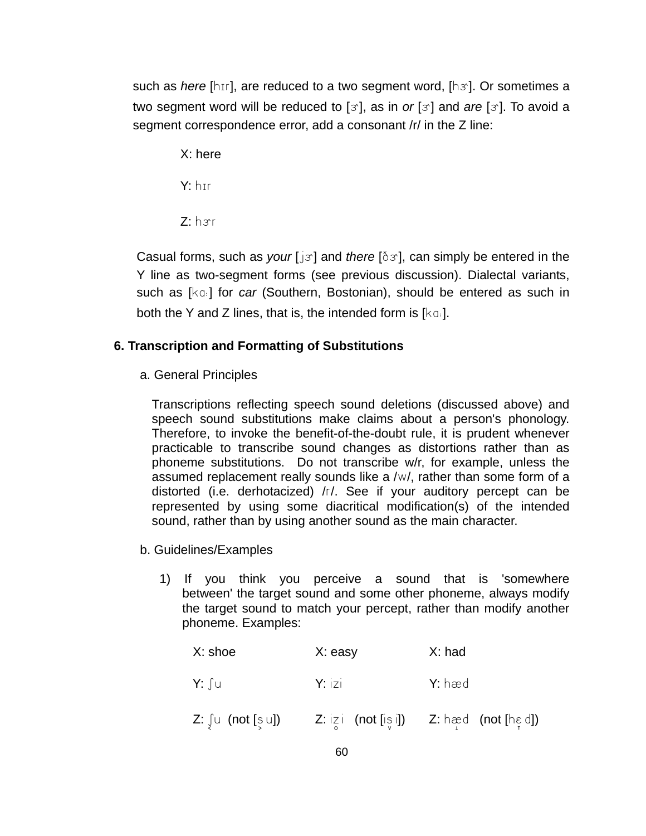such as *here* [hɪr], are reduced to a two segment word, [hø]. Or sometimes a two segment word will be reduced to [6], as in *or* [6] and *are* [6]. To avoid a segment correspondence error, add a consonant /r/ in the Z line:

 X: here  $Y: h$ <sub>rr</sub>  $Z: hsr$ 

Casual forms, such as *your* [jx] and *there* [ $\delta x$ ], can simply be entered in the Y line as two-segment forms (see previous discussion). Dialectal variants, such as [ka] for *car* (Southern, Bostonian), should be entered as such in both the Y and Z lines, that is, the intended form is  $[kq]$ .

### **6. Transcription and Formatting of Substitutions**

a. General Principles

Transcriptions reflecting speech sound deletions (discussed above) and speech sound substitutions make claims about a person's phonology. Therefore, to invoke the benefit-of-the-doubt rule, it is prudent whenever practicable to transcribe sound changes as distortions rather than as phoneme substitutions. Do not transcribe w/r, for example, unless the assumed replacement really sounds like a /w/, rather than some form of a distorted (i.e. derhotacized) /r/. See if your auditory percept can be represented by using some diacritical modification(s) of the intended sound, rather than by using another sound as the main character.

- b. Guidelines/Examples
	- 1) If you think you perceive a sound that is 'somewhere between' the target sound and some other phoneme, always modify the target sound to match your percept, rather than modify another phoneme. Examples:

| $X:$ shoe                        | X: easy                               | X: had                    |
|----------------------------------|---------------------------------------|---------------------------|
| Y: ∫u                            | $Y:$ $ z $                            | Y: hæd                    |
| $Z: \int u \text{ (not } [s] u]$ | $Z: i \times i$ (not $[i \times i]$ ) | $Z:$ hæd $($ not [hɛ̞ d]) |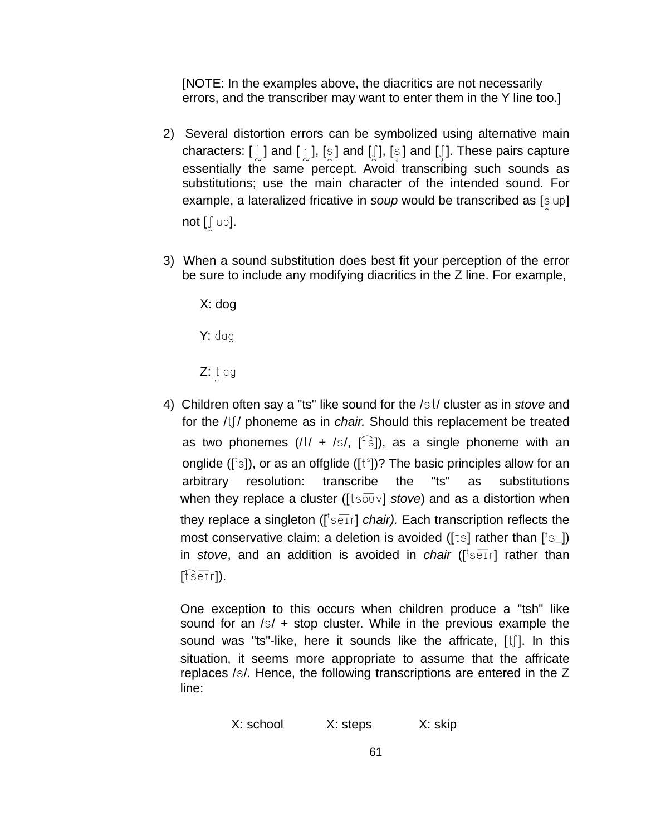[NOTE: In the examples above, the diacritics are not necessarily errors, and the transcriber may want to enter them in the Y line too.]

- 2) Several distortion errors can be symbolized using alternative main characters:  $[ \ ]$  and  $[ \ ]$ ,  $[ \ ]$  and  $[ \ ]$ ,  $[ \ ]$  and  $[ \ ]$ . These pairs capture essentially the same percept. Avoid transcribing such sounds as substitutions; use the main character of the intended sound. For example, a lateralized fricative in *soup* would be transcribed as [sup] not  $[\int up]$ .
- 3) When a sound substitution does best fit your perception of the error be sure to include any modifying diacritics in the Z line. For example,

X: dog

Y: dag

 $Z: t$  ag

4) Children often say a "ts" like sound for the /st/ cluster as in *stove* and for the /t<sup>f</sup>/ phoneme as in *chair*. Should this replacement be treated as two phonemes  $(|t| + |s|, |f\hat{s}|)$ , as a single phoneme with an onglide ( $[$ <sup>t</sup>s]), or as an offglide ( $[$ t<sup>s</sup>])? The basic principles allow for an arbitrary resolution: transcribe the "ts" as substitutions when they replace a cluster ( $[ts\overline{o}0]$  *stove*) and as a distortion when they replace a singleton ([<sup>t</sup>setr] *chair).* Each transcription reflects the most conservative claim: a deletion is avoided ([ $ts$ ] rather than [ $ts$ ]) in *stove*, and an addition is avoided in *chair* ([<sup>t</sup>ser] rather than  $[t$  seir**]**).

One exception to this occurs when children produce a "tsh" like sound for an  $/s/ +$  stop cluster. While in the previous example the sound was "ts"-like, here it sounds like the affricate,  $[t]$ . In this situation, it seems more appropriate to assume that the affricate replaces /s/. Hence, the following transcriptions are entered in the Z line:

X: school X: steps X: skip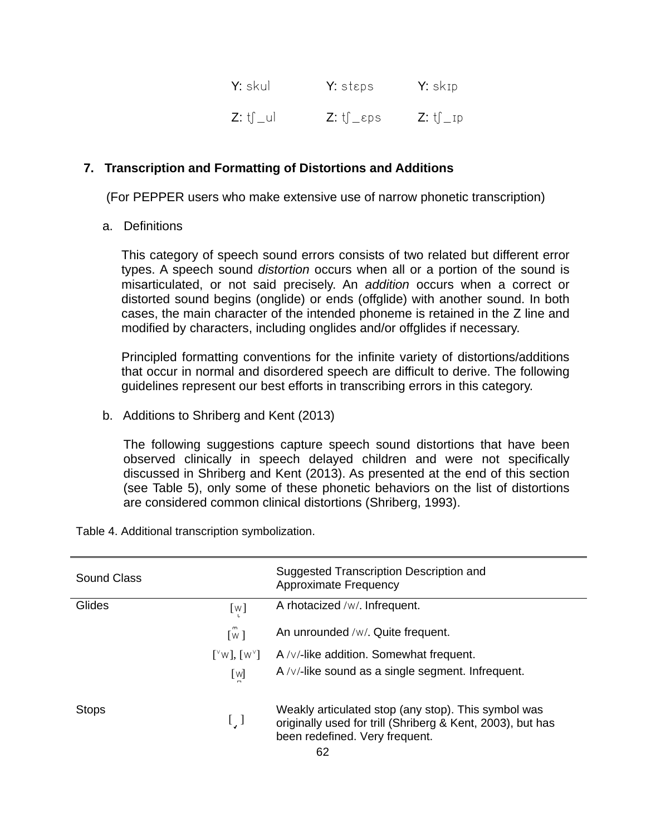| Y: skul                | $Y:$ steps       | <b>Y:</b> skɪp |
|------------------------|------------------|----------------|
| $Z:$ $t$ $\int$ $-$ ul | <b>Ζ:</b> t∫_εps | $Z:$ tf _ ip   |

### **7. Transcription and Formatting of Distortions and Additions**

(For PEPPER users who make extensive use of narrow phonetic transcription)

a. Definitions

This category of speech sound errors consists of two related but different error types. A speech sound *distortion* occurs when all or a portion of the sound is misarticulated, or not said precisely. An *addition* occurs when a correct or distorted sound begins (onglide) or ends (offglide) with another sound. In both cases, the main character of the intended phoneme is retained in the Z line and modified by characters, including onglides and/or offglides if necessary.

Principled formatting conventions for the infinite variety of distortions/additions that occur in normal and disordered speech are difficult to derive. The following guidelines represent our best efforts in transcribing errors in this category.

b. Additions to Shriberg and Kent (2013)

The following suggestions capture speech sound distortions that have been observed clinically in speech delayed children and were not specifically discussed in Shriberg and Kent (2013). As presented at the end of this section (see Table 5), only some of these phonetic behaviors on the list of distortions are considered common clinical distortions (Shriberg, 1993).

| Sound Class  |                                                       | Suggested Transcription Description and<br>Approximate Frequency                                                                                          |
|--------------|-------------------------------------------------------|-----------------------------------------------------------------------------------------------------------------------------------------------------------|
| Glides       | [w]                                                   | A rhotacized /w/. Infrequent.                                                                                                                             |
|              | $\mathsf{m}$<br>$\lceil w \rceil$                     | An unrounded /w/. Quite frequent.                                                                                                                         |
|              | $\lceil y \wedge y \rceil$ , $\lceil w \vee y \rceil$ | $A / \sqrt{1}$ like addition. Somewhat frequent.                                                                                                          |
|              | $[$ W]                                                | A/v/-like sound as a single segment. Infrequent.                                                                                                          |
| <b>Stops</b> | t, I                                                  | Weakly articulated stop (any stop). This symbol was<br>originally used for trill (Shriberg & Kent, 2003), but has<br>been redefined. Very frequent.<br>ຂາ |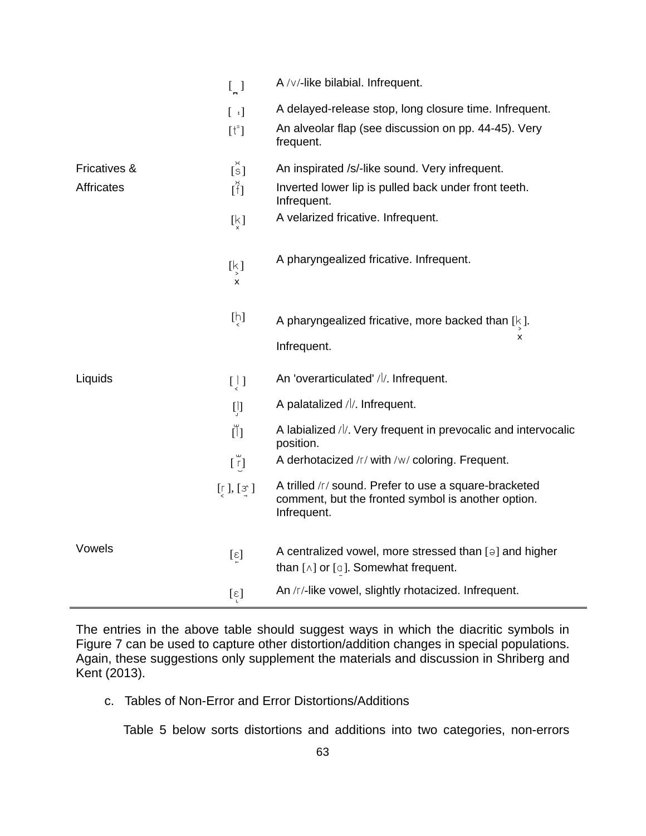|                   | $\left[\right]$                                                 | A /v/-like bilabial. Infrequent.                                                                                                  |
|-------------------|-----------------------------------------------------------------|-----------------------------------------------------------------------------------------------------------------------------------|
|                   | $[\cdot]$                                                       | A delayed-release stop, long closure time. Infrequent.                                                                            |
|                   | $[t^{\dagger}]$                                                 | An alveolar flap (see discussion on pp. 44-45). Very<br>frequent.                                                                 |
| Fricatives &      | $\tilde{\mathfrak{l}}$ s]                                       | An inspirated /s/-like sound. Very infrequent.                                                                                    |
| <b>Affricates</b> | $\tilde{[f]}$                                                   | Inverted lower lip is pulled back under front teeth.<br>Infrequent.                                                               |
|                   | $\left[\n\bigvee_{\sim}\right]$                                 | A velarized fricative. Infrequent.                                                                                                |
|                   | $\left[\begin{smallmatrix} k\\ y \end{smallmatrix}\right]$<br>x | A pharyngealized fricative. Infrequent.                                                                                           |
|                   | $[\mu]$                                                         | A pharyngealized fricative, more backed than $[k]$ .                                                                              |
|                   |                                                                 | x<br>Infrequent.                                                                                                                  |
| Liquids           | $\begin{bmatrix} 1 \\ 1 \end{bmatrix}$                          | An 'overarticulated' / /. Infrequent.                                                                                             |
|                   | $\begin{bmatrix} 1 \\ 0 \end{bmatrix}$                          | A palatalized //. Infrequent.                                                                                                     |
|                   | Ŭ)                                                              | A labialized //. Very frequent in prevocalic and intervocalic<br>position.                                                        |
|                   | $[\tilde{r}]$                                                   | A derhotacized /r/ with /w/ coloring. Frequent.                                                                                   |
|                   | $[\Gamma], [\Im]$                                               | A trilled /r/ sound. Prefer to use a square-bracketed<br>comment, but the fronted symbol is another option.<br>Infrequent.        |
| Vowels            | $[\epsilon]$                                                    | A centralized vowel, more stressed than $\lbrack \varphi \rbrack$ and higher<br>than $[\wedge]$ or $[\circ]$ . Somewhat frequent. |
|                   | $[\epsilon]$                                                    | An /r/-like vowel, slightly rhotacized. Infrequent.                                                                               |

The entries in the above table should suggest ways in which the diacritic symbols in Figure 7 can be used to capture other distortion/addition changes in special populations. Again, these suggestions only supplement the materials and discussion in Shriberg and Kent (2013).

c. Tables of Non-Error and Error Distortions/Additions

Table 5 below sorts distortions and additions into two categories, non-errors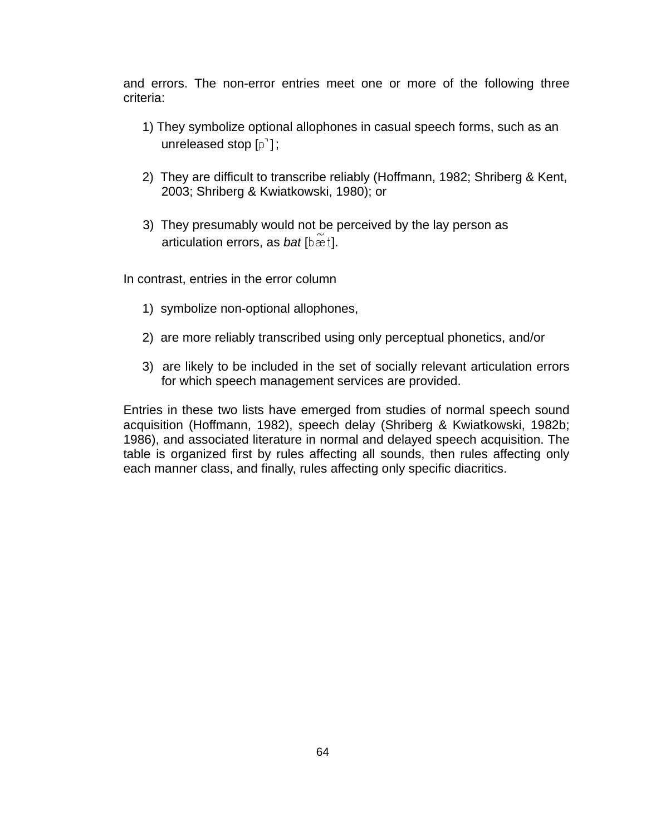and errors. The non-error entries meet one or more of the following three criteria:

- 1) They symbolize optional allophones in casual speech forms, such as an unreleased stop  $[p^{\dagger}]$ ;
- 2) They are difficult to transcribe reliably (Hoffmann, 1982; Shriberg & Kent, 2003; Shriberg & Kwiatkowski, 1980); or
- 3) They presumably would not be perceived by the lay person as articulation errors, as *bat* [bæt].

In contrast, entries in the error column

- 1) symbolize non-optional allophones,
- 2) are more reliably transcribed using only perceptual phonetics, and/or
- 3) are likely to be included in the set of socially relevant articulation errors for which speech management services are provided.

Entries in these two lists have emerged from studies of normal speech sound acquisition (Hoffmann, 1982), speech delay (Shriberg & Kwiatkowski, 1982b; 1986), and associated literature in normal and delayed speech acquisition. The table is organized first by rules affecting all sounds, then rules affecting only each manner class, and finally, rules affecting only specific diacritics.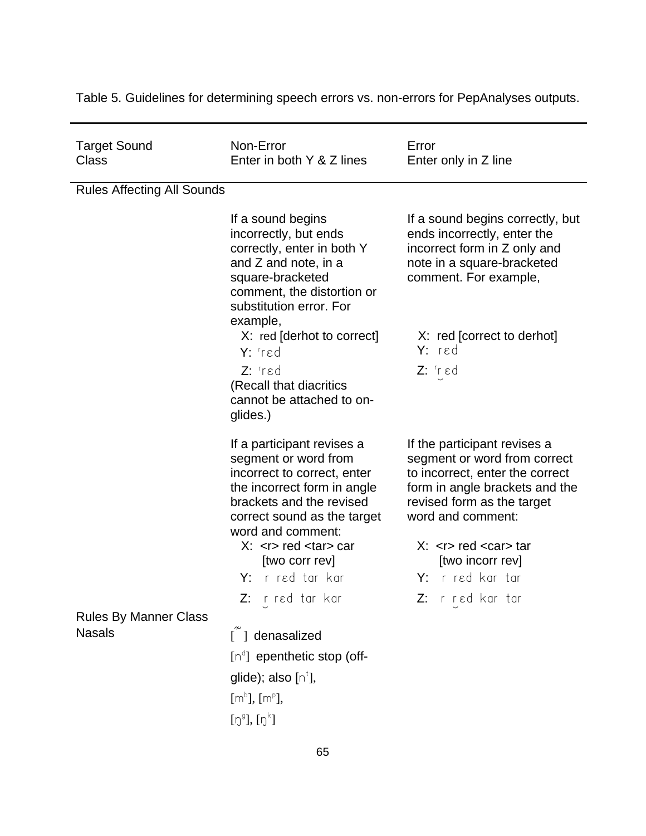Target Sound Class Non-Error Enter in both Y & Z lines Error Enter only in Z line Rules Affecting All Sounds If a sound begins incorrectly, but ends correctly, enter in both Y and Z and note, in a square-bracketed comment, the distortion or substitution error. For example, X: red [derhot to correct] Y: Tred **Z:** 'red (Recall that diacritics cannot be attached to onglides.) If a sound begins correctly, but ends incorrectly, enter the incorrect form in Z only and note in a square-bracketed comment. For example, X: red [correct to derhot] Y: red  $Z:$  'r  $\epsilon$ d If a participant revises a segment or word from incorrect to correct, enter the incorrect form in angle brackets and the revised correct sound as the target word and comment:  $X:$  red  $<$ tar $>$  car [two corr rev] Y: r red tar kar  $Z:$  r red tar kar If the participant revises a segment or word from correct to incorrect, enter the correct form in angle brackets and the revised form as the target word and comment:  $X:$  red  $<$ car $>$  tar [two incorr rev] Y: r red kar tar Z: r red kar tar Rules By Manner Class Nasals  $\tilde{1}$  denasalized  $[n^d]$  epenthetic stop (offglide); also [n $^\dagger$ ],  $[m^b]$ ,  $[m^p]$ ,  $[{\tt Q}^{\tt g}], [{\tt Q}^{\tt k}]$ 

Table 5. Guidelines for determining speech errors vs. non-errors for PepAnalyses outputs.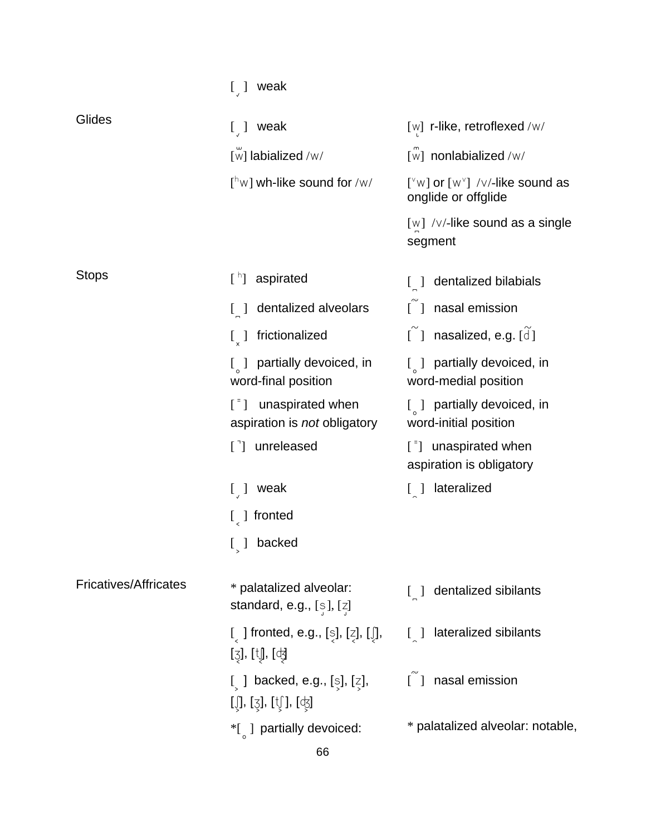|                              | $[$ ] weak                                                                                   |                                                                                                                                            |
|------------------------------|----------------------------------------------------------------------------------------------|--------------------------------------------------------------------------------------------------------------------------------------------|
| Glides                       | $[$ ] weak                                                                                   | [w] r-like, retroflexed /w/                                                                                                                |
|                              | [w] labialized /w/                                                                           | $\overline{w}$ nonlabialized /w/                                                                                                           |
|                              | $\lceil n \wedge n \rceil$ wh-like sound for /w/                                             | [ $\sqrt[n]{w}$ ] or $[w^{\vee}]$ /v/-like sound as<br>onglide or offglide                                                                 |
|                              |                                                                                              | $[w]$ / $\vee$ /-like sound as a single<br>segment                                                                                         |
| <b>Stops</b>                 | $\lceil \cdot \rceil$<br>aspirated                                                           | dentalized bilabials<br>$\begin{bmatrix} 1 \end{bmatrix}$                                                                                  |
|                              | dentalized alveolars<br>$\lfloor \ \rfloor$                                                  | [ ] nasal emission                                                                                                                         |
|                              | frictionalized<br>$\left[\begin{smallmatrix} 1 \\ 2 \end{smallmatrix}\right]$                | $[$ ] nasalized, e.g. $[d]$                                                                                                                |
|                              | $\left[\begin{array}{cc} 1 \end{array}\right]$ partially devoiced, in<br>word-final position | $\begin{bmatrix} 0 & 1 \end{bmatrix}$ partially devoiced, in<br>word-medial position                                                       |
|                              | unaspirated when<br>$\lceil \cdot \rceil$<br>aspiration is not obligatory                    | $\begin{bmatrix} 0 & 1 \end{bmatrix}$ partially devoiced, in<br>word-initial position                                                      |
|                              | [ <sup>-</sup> ] unreleased                                                                  | $\left[\begin{array}{cc} \overline{\phantom{a}} \\ \overline{\phantom{a}} \end{array}\right]$ unaspirated when<br>aspiration is obligatory |
|                              | $[$ ] weak                                                                                   | [ ] lateralized                                                                                                                            |
|                              | $\lceil \int$ fronted                                                                        |                                                                                                                                            |
|                              | backed<br>$\lfloor \ \rfloor$                                                                |                                                                                                                                            |
| <b>Fricatives/Affricates</b> | * palatalized alveolar:<br>standard, e.g., $[s]$ , $[z]$                                     | dentalized sibilants<br>$\begin{bmatrix} 1 \end{bmatrix}$                                                                                  |
|                              | [ ] fronted, e.g., [s], [z], [ʃ],<br>[ʒ], [tʃ], [ʤ]                                          | lateralized sibilants<br>$\begin{bmatrix} 1 \end{bmatrix}$                                                                                 |
|                              | [ ] backed, e.g., [s], [z],<br>$\iota$ [Ĵ, [ʒ], [t͡i̯], [ʤ]                                  | [ ] nasal emission                                                                                                                         |
|                              | *[ ] partially devoiced:                                                                     | * palatalized alveolar: notable,                                                                                                           |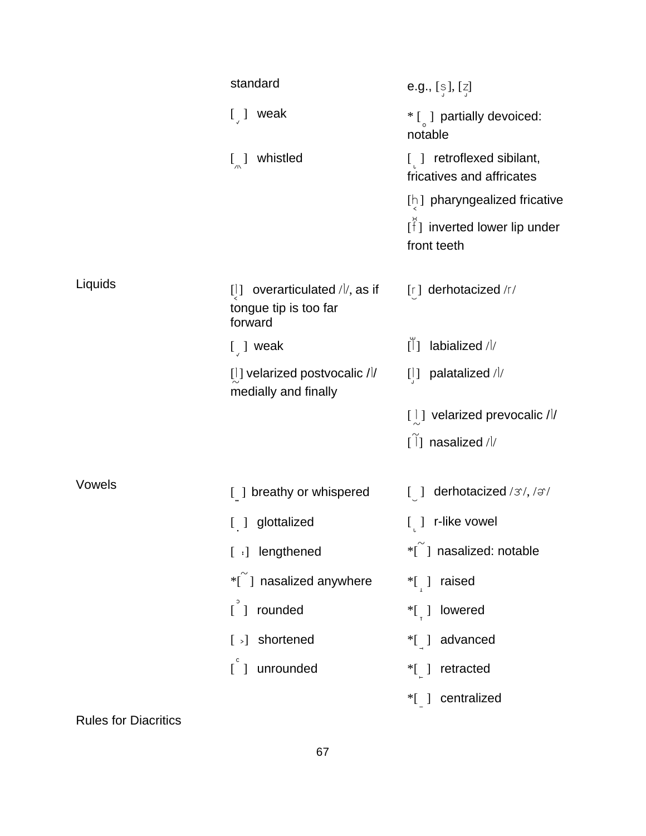|         | standard                                                                         | <b>e.g.,</b> $[s]$ , $[z]$                                         |
|---------|----------------------------------------------------------------------------------|--------------------------------------------------------------------|
|         | $[\ ]$ weak                                                                      | $*$ [ ] partially devoiced:<br>notable                             |
|         | $\left[\begin{matrix} 1 \\ 0 \end{matrix}\right]$ whistled                       | [ ] retroflexed sibilant,<br>fricatives and affricates             |
|         |                                                                                  | [h] pharyngealized fricative                                       |
|         |                                                                                  | $[\hat{f}]$ inverted lower lip under<br>front teeth                |
| Liquids | overarticulated $\frac{1}{2}$ , as if<br>[1]<br>tongue tip is too far<br>forward | [r] derhotacized /r/                                               |
|         | $\left[\right]$ weak                                                             | $\tilde{[1]}$<br>labialized / l/                                   |
|         | $[$ ] velarized postvocalic / $\frac{1}{2}$<br>medially and finally              | $[1]$ palatalized //                                               |
|         |                                                                                  | [  ] velarized prevocalic //                                       |
|         |                                                                                  | $[\tilde{1}]$ nasalized /l/                                        |
| Vowels  | [ ] breathy or whispered                                                         | derhotacized / 3/, / $\sigma$ /<br>$\begin{bmatrix} \end{bmatrix}$ |
|         | [ ] glottalized                                                                  | $[$ ] r-like vowel                                                 |
|         | [ :] lengthened                                                                  | $\tilde{\mathcal{C}}$ ] nasalized: notable                         |
|         | *[ ] nasalized anywhere                                                          | *[ ] raised                                                        |
|         | $\int^{\circ}$<br>rounded                                                        | *[ ] lowered                                                       |
|         | $\lceil \cdot \rceil$ shortened                                                  | *[ ] advanced                                                      |
|         | $\begin{bmatrix} 1 \end{bmatrix}$<br>unrounded                                   | $*$ [ ]<br>retracted                                               |
|         |                                                                                  | *[ ] centralized                                                   |

Rules for Diacritics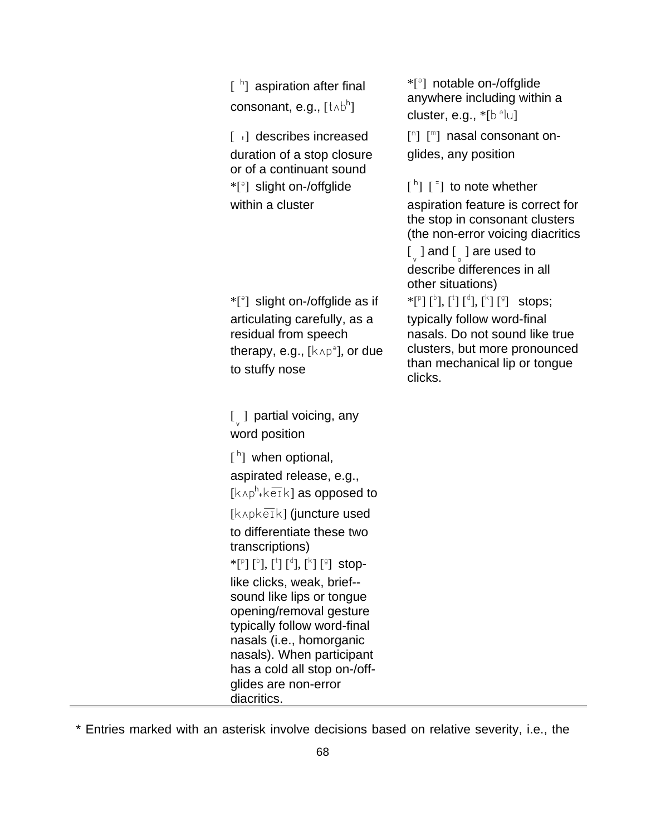| $[$ $n$ aspiration after final<br>consonant, e.g., [tʌbʰ]                                                                                                                                                                                                                                                                                                                                                                                                                  | *[ <sup>9</sup> ] notable on-/offglide<br>anywhere including within a<br>cluster, e.g., $*[b^{\circ}]$ u]                                                                                                                                                                                                                                                                                |
|----------------------------------------------------------------------------------------------------------------------------------------------------------------------------------------------------------------------------------------------------------------------------------------------------------------------------------------------------------------------------------------------------------------------------------------------------------------------------|------------------------------------------------------------------------------------------------------------------------------------------------------------------------------------------------------------------------------------------------------------------------------------------------------------------------------------------------------------------------------------------|
| [ : ] describes increased<br>duration of a stop closure<br>or of a continuant sound                                                                                                                                                                                                                                                                                                                                                                                        | $\lceil n \rceil$ $\lceil m \rceil$ nasal consonant on-<br>glides, any position                                                                                                                                                                                                                                                                                                          |
| *[ <sup>a</sup> ] slight on-/offglide<br>within a cluster                                                                                                                                                                                                                                                                                                                                                                                                                  | $\lceil$ <sup>h</sup> $\lceil$ $\lceil$ <sup>=</sup> $\rceil$ to note whether<br>aspiration feature is correct for<br>the stop in consonant clusters<br>(the non-error voicing diacritics<br>$\left[\begin{smallmatrix} 0 \\ 0 \end{smallmatrix}\right]$ and $\left[\begin{smallmatrix} 0 \\ 0 \end{smallmatrix}\right]$ are used to<br>describe differences in all<br>other situations) |
| $*$ [ <sup>3</sup> ] slight on-/offglide as if<br>articulating carefully, as a<br>residual from speech<br>therapy, e.g., $[k \wedge p^{\circ}]$ , or due<br>to stuffy nose                                                                                                                                                                                                                                                                                                 | $*$ [ <sup>p</sup> ] [ <sup>b</sup> ], [ <sup>t</sup> ] [ <sup>d</sup> ], [ <sup>k</sup> ] [ <sup>g</sup> ] stops;<br>typically follow word-final<br>nasals. Do not sound like true<br>clusters, but more pronounced<br>than mechanical lip or tongue<br>clicks.                                                                                                                         |
| [ ] partial voicing, any<br>word position                                                                                                                                                                                                                                                                                                                                                                                                                                  |                                                                                                                                                                                                                                                                                                                                                                                          |
| $[$ <sub>h</sub> ] when optional,<br>aspirated release, e.g.,<br>$[k \wedge p^h * k \overline{e} \overline{1} k]$ as opposed to                                                                                                                                                                                                                                                                                                                                            |                                                                                                                                                                                                                                                                                                                                                                                          |
| $[k \wedge p \wedge e\overline{i} \wedge]$ (juncture used<br>to differentiate these two<br>transcriptions)<br>* $[{}^{\circ}]$ $[{}^{\circ}]$ , $[{}^{\circ}]$ , $[{}^{\circ}]$ , $[{}^{\circ}]$ $[{}^{\circ}]$ stop-<br>like clicks, weak, brief--<br>sound like lips or tongue<br>opening/removal gesture<br>typically follow word-final<br>nasals (i.e., homorganic<br>nasals). When participant<br>has a cold all stop on-/off-<br>glides are non-error<br>diacritics. |                                                                                                                                                                                                                                                                                                                                                                                          |

\* Entries marked with an asterisk involve decisions based on relative severity, i.e., the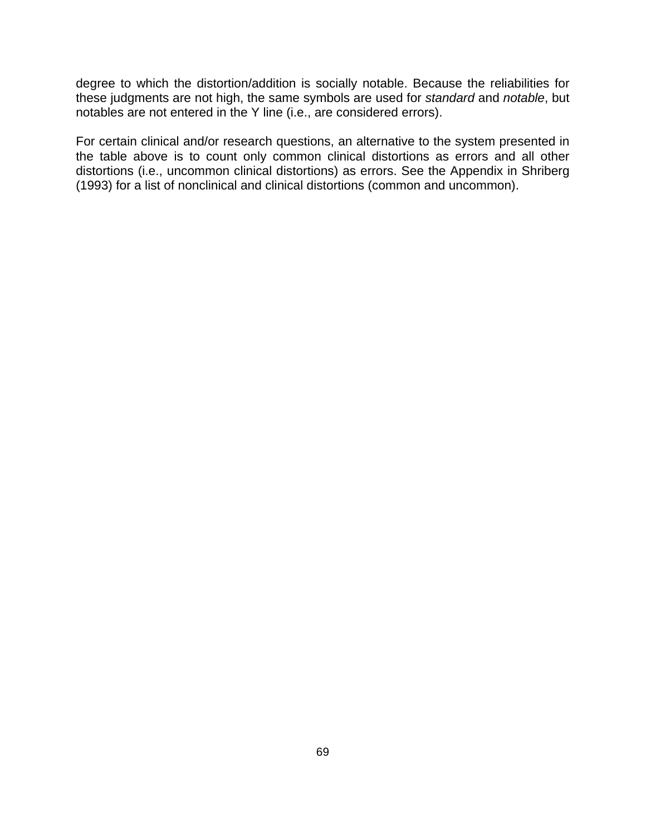degree to which the distortion/addition is socially notable. Because the reliabilities for these judgments are not high, the same symbols are used for *standard* and *notable*, but notables are not entered in the Y line (i.e., are considered errors).

For certain clinical and/or research questions, an alternative to the system presented in the table above is to count only common clinical distortions as errors and all other distortions (i.e., uncommon clinical distortions) as errors. See the Appendix in Shriberg (1993) for a list of nonclinical and clinical distortions (common and uncommon).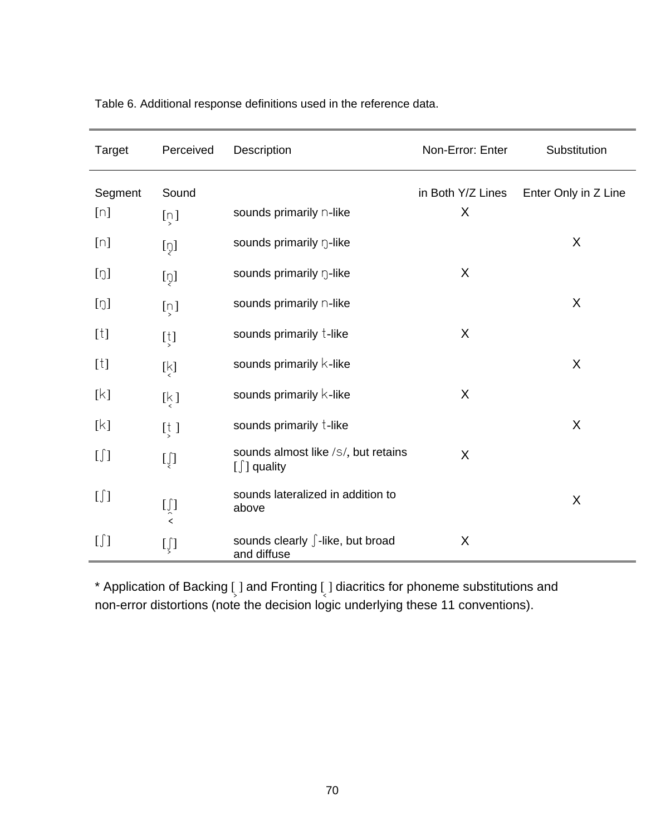| Target                                                                                                                                                                                                                                                                                                                            | Perceived                                                   | Description                                             | Non-Error: Enter  | Substitution         |
|-----------------------------------------------------------------------------------------------------------------------------------------------------------------------------------------------------------------------------------------------------------------------------------------------------------------------------------|-------------------------------------------------------------|---------------------------------------------------------|-------------------|----------------------|
| Segment                                                                                                                                                                                                                                                                                                                           | Sound                                                       |                                                         | in Both Y/Z Lines | Enter Only in Z Line |
| [n]                                                                                                                                                                                                                                                                                                                               | $[\tilde{\omega}]$                                          | sounds primarily n-like                                 | X                 |                      |
| [n]                                                                                                                                                                                                                                                                                                                               | [ņ]                                                         | sounds primarily n-like                                 |                   | X                    |
| [0]                                                                                                                                                                                                                                                                                                                               | $[\overline{v}]$                                            | sounds primarily n-like                                 | X                 |                      |
| [0]                                                                                                                                                                                                                                                                                                                               | $[\dot{\omega}]$                                            | sounds primarily n-like                                 |                   | X                    |
| $[t]$                                                                                                                                                                                                                                                                                                                             | $\left[\frac{1}{2}\right]$                                  | sounds primarily t-like                                 | X                 |                      |
| $[t] \centering% \includegraphics[width=0.9\textwidth]{Figures/PN1.png} \caption{The 3D (black) model for the 3D (black) model. The 3D (black) model is shown in Fig.~\ref{fig:1}, (a) and (b) and (c) and (d) respectively. The 3D (black) model is shown in Fig.~\ref{fig:1}, (b) and (c) and (d) respectively.} \label{fig:1}$ | 肉                                                           | sounds primarily k-like                                 |                   | X                    |
| [k]                                                                                                                                                                                                                                                                                                                               | $\left[\begin{smallmatrix} k \\ s \end{smallmatrix}\right]$ | sounds primarily k-like                                 | X                 |                      |
| [k]                                                                                                                                                                                                                                                                                                                               | $[\frac{1}{2}]$                                             | sounds primarily t-like                                 |                   | X                    |
| $[\iint]$                                                                                                                                                                                                                                                                                                                         | $[\iint$                                                    | sounds almost like /s/, but retains<br>$[\int]$ quality | X                 |                      |
| $[\iint]$                                                                                                                                                                                                                                                                                                                         | $[\int\limits_{\zeta}$                                      | sounds lateralized in addition to<br>above              |                   | X                    |
| $[\iint]$                                                                                                                                                                                                                                                                                                                         | $[\iint$                                                    | sounds clearly ∫-like, but broad<br>and diffuse         | X                 |                      |

Table 6. Additional response definitions used in the reference data.

 $*$  Application of Backing  $\int$  and Fronting  $\int$  diacritics for phoneme substitutions and non-error distortions (note the decision logic underlying these 11 conventions).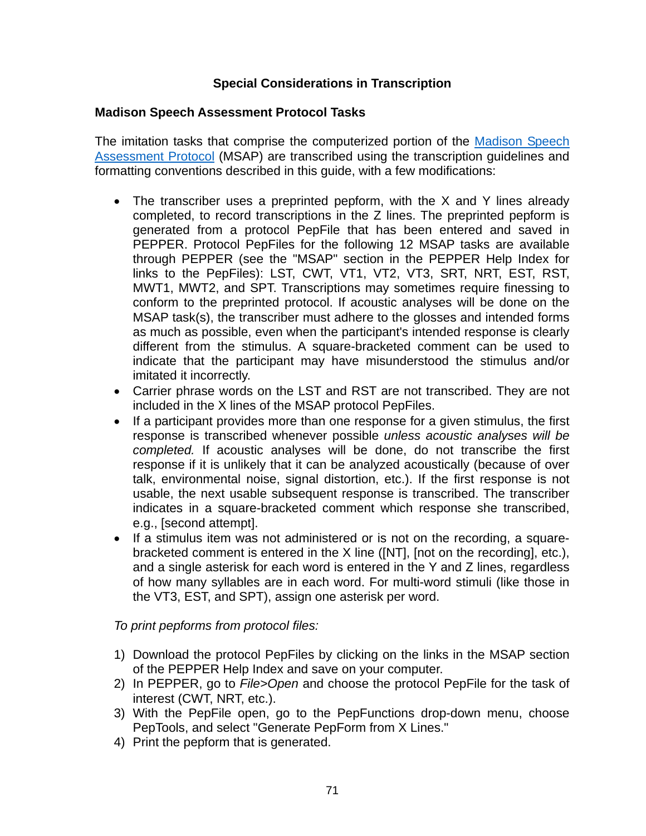# **Special Considerations in Transcription**

## **Madison Speech Assessment Protocol Tasks**

[The imitation tasks that comprise the computerized portion of the Madison Speech](https://phonology.waisman.wisc.edu/about-the-msap/)  Assessment Protocol (MSAP) are transcribed using the transcription guidelines and formatting conventions described in this guide, with a few modifications:

- The transcriber uses a preprinted pepform, with the X and Y lines already completed, to record transcriptions in the Z lines. The preprinted pepform is generated from a protocol PepFile that has been entered and saved in PEPPER. Protocol PepFiles for the following 12 MSAP tasks are available through PEPPER (see the "MSAP" section in the PEPPER Help Index for links to the PepFiles): LST, CWT, VT1, VT2, VT3, SRT, NRT, EST, RST, MWT1, MWT2, and SPT. Transcriptions may sometimes require finessing to conform to the preprinted protocol. If acoustic analyses will be done on the MSAP task(s), the transcriber must adhere to the glosses and intended forms as much as possible, even when the participant's intended response is clearly different from the stimulus. A square-bracketed comment can be used to indicate that the participant may have misunderstood the stimulus and/or imitated it incorrectly.
- Carrier phrase words on the LST and RST are not transcribed. They are not included in the X lines of the MSAP protocol PepFiles.
- If a participant provides more than one response for a given stimulus, the first response is transcribed whenever possible *unless acoustic analyses will be completed.* If acoustic analyses will be done, do not transcribe the first response if it is unlikely that it can be analyzed acoustically (because of over talk, environmental noise, signal distortion, etc.). If the first response is not usable, the next usable subsequent response is transcribed. The transcriber indicates in a square-bracketed comment which response she transcribed, e.g., [second attempt].
- If a stimulus item was not administered or is not on the recording, a squarebracketed comment is entered in the X line ([NT], [not on the recording], etc.), and a single asterisk for each word is entered in the Y and Z lines, regardless of how many syllables are in each word. For multi-word stimuli (like those in the VT3, EST, and SPT), assign one asterisk per word.

## *To print pepforms from protocol files:*

- 1) Download the protocol PepFiles by clicking on the links in the MSAP section of the PEPPER Help Index and save on your computer.
- 2) In PEPPER, go to *File>Open* and choose the protocol PepFile for the task of interest (CWT, NRT, etc.).
- 3) With the PepFile open, go to the PepFunctions drop-down menu, choose PepTools, and select "Generate PepForm from X Lines."
- 4) Print the pepform that is generated.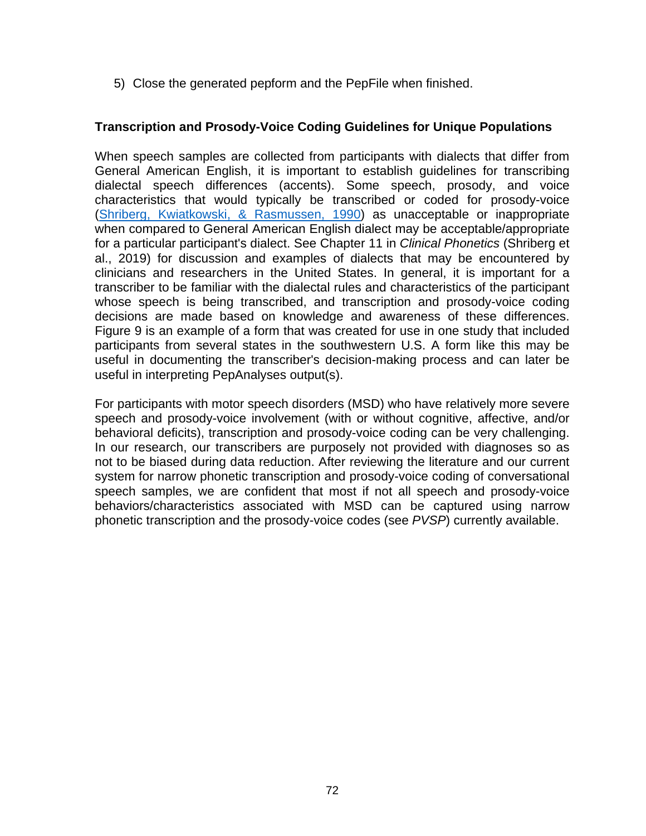5) Close the generated pepform and the PepFile when finished.

## **Transcription and Prosody-Voice Coding Guidelines for Unique Populations**

When speech samples are collected from participants with dialects that differ from General American English, it is important to establish guidelines for transcribing dialectal speech differences (accents). Some speech, prosody, and voice characteristics that would typically be transcribed or coded for prosody-voice ([Shriberg, Kwiatkowski, & Rasmussen, 1990\)](https://uwmadison.box.com/s/dw2pvjnd0cjxw989e5m4ew019z39elg2) as unacceptable or inappropriate when compared to General American English dialect may be acceptable/appropriate for a particular participant's dialect. See Chapter 11 in *Clinical Phonetics* (Shriberg et al., 2019) for discussion and examples of dialects that may be encountered by clinicians and researchers in the United States. In general, it is important for a transcriber to be familiar with the dialectal rules and characteristics of the participant whose speech is being transcribed, and transcription and prosody-voice coding decisions are made based on knowledge and awareness of these differences. Figure 9 is an example of a form that was created for use in one study that included participants from several states in the southwestern U.S. A form like this may be useful in documenting the transcriber's decision-making process and can later be useful in interpreting PepAnalyses output(s).

For participants with motor speech disorders (MSD) who have relatively more severe speech and prosody-voice involvement (with or without cognitive, affective, and/or behavioral deficits), transcription and prosody-voice coding can be very challenging. In our research, our transcribers are purposely not provided with diagnoses so as not to be biased during data reduction. After reviewing the literature and our current system for narrow phonetic transcription and prosody-voice coding of conversational speech samples, we are confident that most if not all speech and prosody-voice behaviors/characteristics associated with MSD can be captured using narrow phonetic transcription and the prosody-voice codes (see *PVSP*) currently available.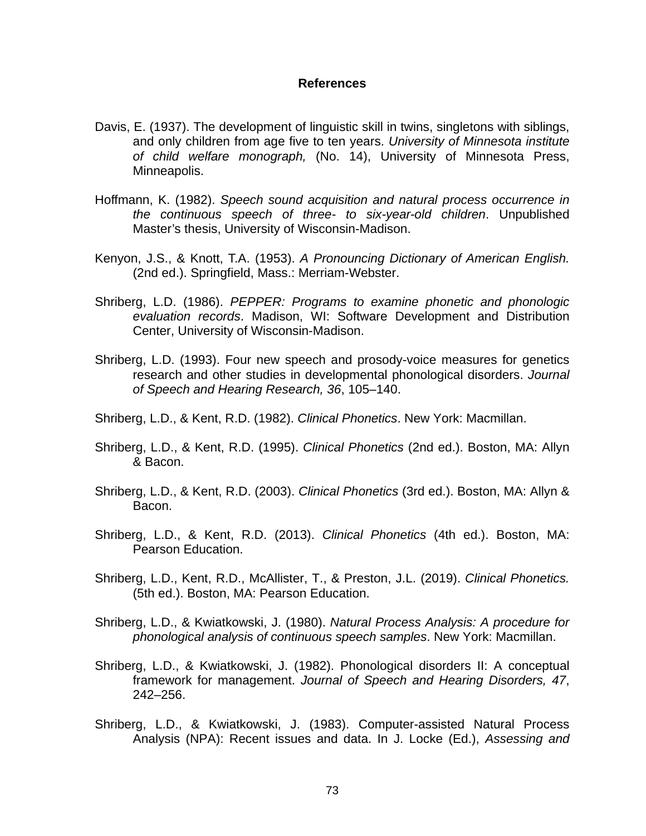## **References**

- Davis, E. (1937). The development of linguistic skill in twins, singletons with siblings, and only children from age five to ten years. *University of Minnesota institute of child welfare monograph,* (No. 14), University of Minnesota Press, Minneapolis.
- Hoffmann, K. (1982). *Speech sound acquisition and natural process occurrence in the continuous speech of three- to six-year-old children*. Unpublished Master's thesis, University of Wisconsin-Madison.
- Kenyon, J.S., & Knott, T.A. (1953). *A Pronouncing Dictionary of American English.* (2nd ed.). Springfield, Mass.: Merriam-Webster.
- Shriberg, L.D. (1986). *PEPPER: Programs to examine phonetic and phonologic evaluation records*. Madison, WI: Software Development and Distribution Center, University of Wisconsin-Madison.
- Shriberg, L.D. (1993). Four new speech and prosody-voice measures for genetics research and other studies in developmental phonological disorders. *Journal of Speech and Hearing Research, 36*, 105–140.
- Shriberg, L.D., & Kent, R.D. (1982). *Clinical Phonetics*. New York: Macmillan.
- Shriberg, L.D., & Kent, R.D. (1995). *Clinical Phonetics* (2nd ed.). Boston, MA: Allyn & Bacon.
- Shriberg, L.D., & Kent, R.D. (2003). *Clinical Phonetics* (3rd ed.). Boston, MA: Allyn & Bacon.
- Shriberg, L.D., & Kent, R.D. (2013). *Clinical Phonetics* (4th ed.). Boston, MA: Pearson Education.
- Shriberg, L.D., Kent, R.D., McAllister, T., & Preston, J.L. (2019). *Clinical Phonetics.*  (5th ed.). Boston, MA: Pearson Education.
- Shriberg, L.D., & Kwiatkowski, J. (1980). *Natural Process Analysis: A procedure for phonological analysis of continuous speech samples*. New York: Macmillan.
- Shriberg, L.D., & Kwiatkowski, J. (1982). Phonological disorders II: A conceptual framework for management. *Journal of Speech and Hearing Disorders, 47*, 242–256.
- Shriberg, L.D., & Kwiatkowski, J. (1983). Computer-assisted Natural Process Analysis (NPA): Recent issues and data. In J. Locke (Ed.), *Assessing and*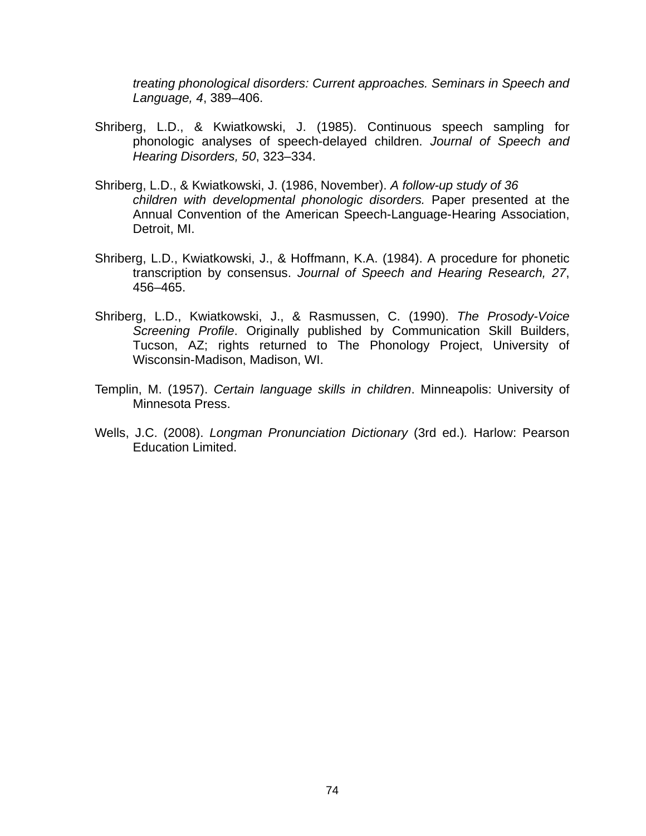*treating phonological disorders: Current approaches. Seminars in Speech and Language, 4*, 389–406.

- Shriberg, L.D., & Kwiatkowski, J. (1985). Continuous speech sampling for phonologic analyses of speech-delayed children. *Journal of Speech and Hearing Disorders, 50*, 323–334.
- Shriberg, L.D., & Kwiatkowski, J. (1986, November). *A follow-up study of 36 children with developmental phonologic disorders.* Paper presented at the Annual Convention of the American Speech-Language-Hearing Association, Detroit, MI.
- Shriberg, L.D., Kwiatkowski, J., & Hoffmann, K.A. (1984). A procedure for phonetic transcription by consensus. *Journal of Speech and Hearing Research, 27*, 456–465.
- Shriberg, L.D., Kwiatkowski, J., & Rasmussen, C. (1990). *The Prosody-Voice Screening Profile*. Originally published by Communication Skill Builders, Tucson, AZ; rights returned to The Phonology Project, University of Wisconsin-Madison, Madison, WI.
- Templin, M. (1957). *Certain language skills in children*. Minneapolis: University of Minnesota Press.
- Wells, J.C. (2008). *Longman Pronunciation Dictionary* (3rd ed.)*.* Harlow: Pearson Education Limited.